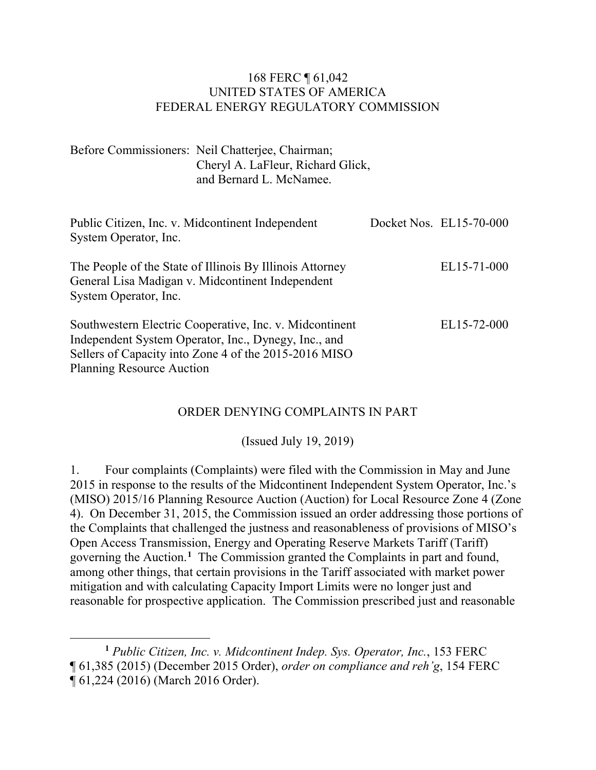#### 168 FERC ¶ 61,042 UNITED STATES OF AMERICA FEDERAL ENERGY REGULATORY COMMISSION

Before Commissioners: Neil Chatterjee, Chairman; Cheryl A. LaFleur, Richard Glick, and Bernard L. McNamee.

| Public Citizen, Inc. v. Midcontinent Independent<br>System Operator, Inc.                                                                                                                                    | Docket Nos. EL15-70-000 |
|--------------------------------------------------------------------------------------------------------------------------------------------------------------------------------------------------------------|-------------------------|
| The People of the State of Illinois By Illinois Attorney<br>General Lisa Madigan v. Midcontinent Independent<br>System Operator, Inc.                                                                        | EL15-71-000             |
| Southwestern Electric Cooperative, Inc. v. Midcontinent<br>Independent System Operator, Inc., Dynegy, Inc., and<br>Sellers of Capacity into Zone 4 of the 2015-2016 MISO<br><b>Planning Resource Auction</b> | EL15-72-000             |

#### ORDER DENYING COMPLAINTS IN PART

(Issued July 19, 2019)

1. Four complaints (Complaints) were filed with the Commission in May and June 2015 in response to the results of the Midcontinent Independent System Operator, Inc.'s (MISO) 2015/16 Planning Resource Auction (Auction) for Local Resource Zone 4 (Zone 4). On December 31, 2015, the Commission issued an order addressing those portions of the Complaints that challenged the justness and reasonableness of provisions of MISO's Open Access Transmission, Energy and Operating Reserve Markets Tariff (Tariff) governing the Auction.**[1](#page-0-0)** The Commission granted the Complaints in part and found, among other things, that certain provisions in the Tariff associated with market power mitigation and with calculating Capacity Import Limits were no longer just and reasonable for prospective application. The Commission prescribed just and reasonable

<span id="page-0-0"></span>**<sup>1</sup>** *Public Citizen, Inc. v. Midcontinent Indep. Sys. Operator, Inc.*, 153 FERC ¶ 61,385 (2015) (December 2015 Order), *order on compliance and reh'g*, 154 FERC ¶ 61,224 (2016) (March 2016 Order).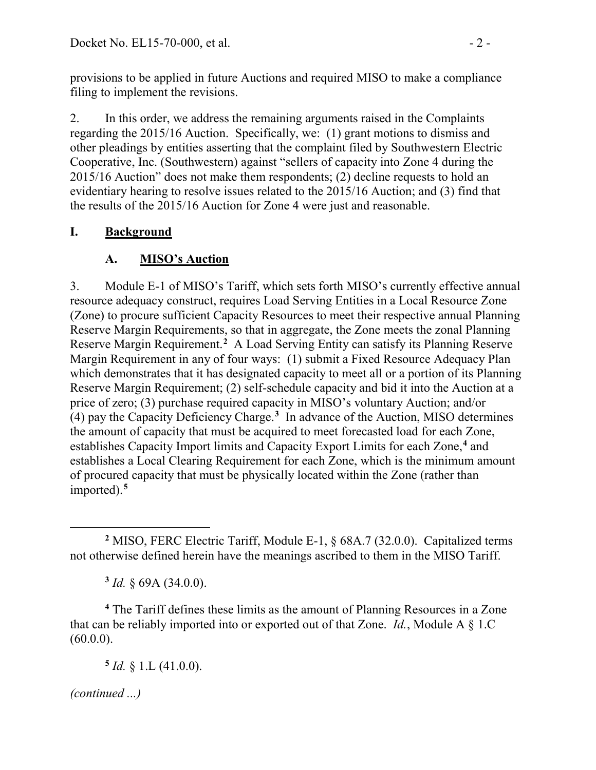provisions to be applied in future Auctions and required MISO to make a compliance filing to implement the revisions.

2. In this order, we address the remaining arguments raised in the Complaints regarding the 2015/16 Auction. Specifically, we: (1) grant motions to dismiss and other pleadings by entities asserting that the complaint filed by Southwestern Electric Cooperative, Inc. (Southwestern) against "sellers of capacity into Zone 4 during the 2015/16 Auction" does not make them respondents; (2) decline requests to hold an evidentiary hearing to resolve issues related to the 2015/16 Auction; and (3) find that the results of the 2015/16 Auction for Zone 4 were just and reasonable.

# **I. Background**

# **A. MISO's Auction**

3. Module E-1 of MISO's Tariff, which sets forth MISO's currently effective annual resource adequacy construct, requires Load Serving Entities in a Local Resource Zone (Zone) to procure sufficient Capacity Resources to meet their respective annual Planning Reserve Margin Requirements, so that in aggregate, the Zone meets the zonal Planning Reserve Margin Requirement.<sup>[2](#page-1-0)</sup> A Load Serving Entity can satisfy its Planning Reserve Margin Requirement in any of four ways: (1) submit a Fixed Resource Adequacy Plan which demonstrates that it has designated capacity to meet all or a portion of its Planning Reserve Margin Requirement; (2) self-schedule capacity and bid it into the Auction at a price of zero; (3) purchase required capacity in MISO's voluntary Auction; and/or (4) pay the Capacity Deficiency Charge.**[3](#page-1-1)** In advance of the Auction, MISO determines the amount of capacity that must be acquired to meet forecasted load for each Zone, establishes Capacity Import limits and Capacity Export Limits for each Zone,**[4](#page-1-2)** and establishes a Local Clearing Requirement for each Zone, which is the minimum amount of procured capacity that must be physically located within the Zone (rather than imported).**[5](#page-1-3)**

**<sup>3</sup>** *Id.* § 69A (34.0.0).

<span id="page-1-3"></span><span id="page-1-2"></span><span id="page-1-1"></span>**<sup>4</sup>** The Tariff defines these limits as the amount of Planning Resources in a Zone that can be reliably imported into or exported out of that Zone. *Id.*, Module A § 1.C  $(60.0.0)$ .

 $5$  *Id.* § 1.L (41.0.0).

<span id="page-1-0"></span> $\overline{a}$ **<sup>2</sup>** MISO, FERC Electric Tariff, Module E-1, § 68A.7 (32.0.0). Capitalized terms not otherwise defined herein have the meanings ascribed to them in the MISO Tariff.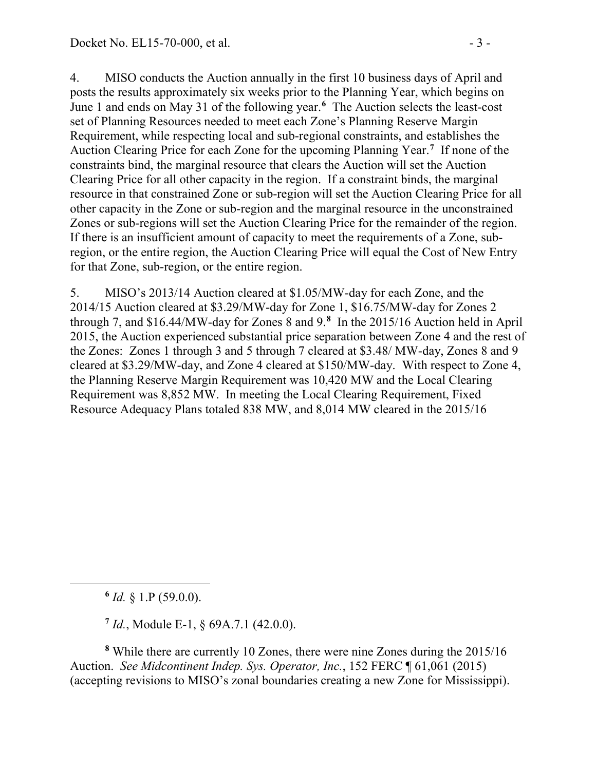4. MISO conducts the Auction annually in the first 10 business days of April and posts the results approximately six weeks prior to the Planning Year, which begins on June 1 and ends on May 31 of the following year.**[6](#page-2-0)** The Auction selects the least-cost set of Planning Resources needed to meet each Zone's Planning Reserve Margin Requirement, while respecting local and sub-regional constraints, and establishes the Auction Clearing Price for each Zone for the upcoming Planning Year.**[7](#page-2-1)** If none of the constraints bind, the marginal resource that clears the Auction will set the Auction Clearing Price for all other capacity in the region. If a constraint binds, the marginal resource in that constrained Zone or sub-region will set the Auction Clearing Price for all other capacity in the Zone or sub-region and the marginal resource in the unconstrained Zones or sub-regions will set the Auction Clearing Price for the remainder of the region. If there is an insufficient amount of capacity to meet the requirements of a Zone, subregion, or the entire region, the Auction Clearing Price will equal the Cost of New Entry for that Zone, sub-region, or the entire region.

5. MISO's 2013/14 Auction cleared at \$1.05/MW-day for each Zone, and the 2014/15 Auction cleared at \$3.29/MW-day for Zone 1, \$16.75/MW-day for Zones 2 through 7, and \$16.44/MW-day for Zones 8 and 9.**[8](#page-2-2)** In the 2015/16 Auction held in April 2015, the Auction experienced substantial price separation between Zone 4 and the rest of the Zones: Zones 1 through 3 and 5 through 7 cleared at \$3.48/ MW-day, Zones 8 and 9 cleared at \$3.29/MW-day, and Zone 4 cleared at \$150/MW-day. With respect to Zone 4, the Planning Reserve Margin Requirement was 10,420 MW and the Local Clearing Requirement was 8,852 MW. In meeting the Local Clearing Requirement, Fixed Resource Adequacy Plans totaled 838 MW, and 8,014 MW cleared in the 2015/16

**<sup>6</sup>** *Id.* § 1.P (59.0.0).

<span id="page-2-0"></span> $\overline{a}$ 

**<sup>7</sup>** *Id.*, Module E-1, § 69A.7.1 (42.0.0).

<span id="page-2-2"></span><span id="page-2-1"></span>**<sup>8</sup>** While there are currently 10 Zones, there were nine Zones during the 2015/16 Auction. *See Midcontinent Indep. Sys. Operator, Inc.*, 152 FERC ¶ 61,061 (2015) (accepting revisions to MISO's zonal boundaries creating a new Zone for Mississippi).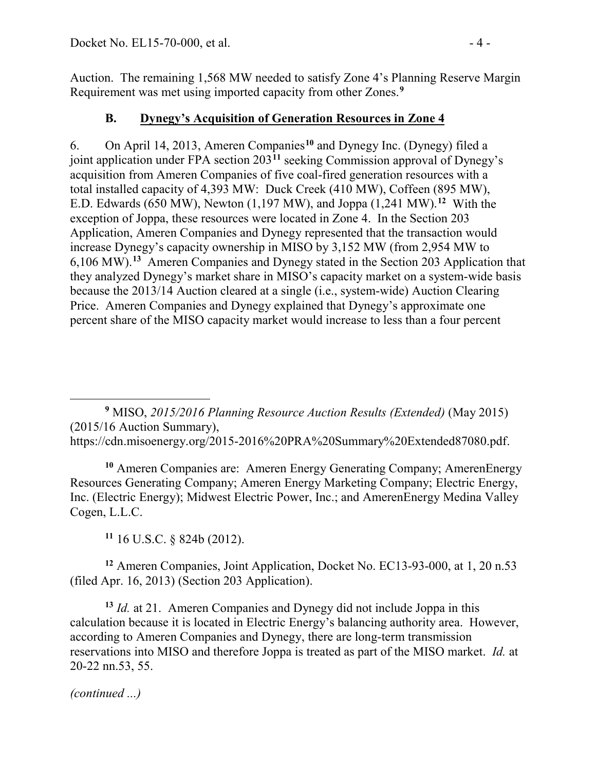Auction. The remaining 1,568 MW needed to satisfy Zone 4's Planning Reserve Margin Requirement was met using imported capacity from other Zones. **[9](#page-3-0)**

## **B. Dynegy's Acquisition of Generation Resources in Zone 4**

6. On April 14, 2013, Ameren Companies**[10](#page-3-1)** and Dynegy Inc. (Dynegy) filed a joint application under FPA section 203**[11](#page-3-2)** seeking Commission approval of Dynegy's acquisition from Ameren Companies of five coal-fired generation resources with a total installed capacity of 4,393 MW: Duck Creek (410 MW), Coffeen (895 MW), E.D. Edwards (650 MW), Newton (1,197 MW), and Joppa (1,241 MW).**[12](#page-3-3)** With the exception of Joppa, these resources were located in Zone 4. In the Section 203 Application, Ameren Companies and Dynegy represented that the transaction would increase Dynegy's capacity ownership in MISO by 3,152 MW (from 2,954 MW to 6,106 MW). **[13](#page-3-4)** Ameren Companies and Dynegy stated in the Section 203 Application that they analyzed Dynegy's market share in MISO's capacity market on a system-wide basis because the 2013/14 Auction cleared at a single (i.e., system-wide) Auction Clearing Price. Ameren Companies and Dynegy explained that Dynegy's approximate one percent share of the MISO capacity market would increase to less than a four percent

<span id="page-3-0"></span> $\overline{a}$ **<sup>9</sup>** MISO, *2015/2016 Planning Resource Auction Results (Extended)* (May 2015) (2015/16 Auction Summary), [https://cdn.misoenergy.org/2015-2016%20PRA%20Summary%20Extended87080.pdf.](https://cdn.misoenergy.org/2015-2016%20PRA%20Summary%20Extended87080.pdf)

<span id="page-3-1"></span>**<sup>10</sup>** Ameren Companies are: Ameren Energy Generating Company; AmerenEnergy Resources Generating Company; Ameren Energy Marketing Company; Electric Energy, Inc. (Electric Energy); Midwest Electric Power, Inc.; and AmerenEnergy Medina Valley Cogen, L.L.C.

**<sup>11</sup>** 16 U.S.C. § 824b (2012).

<span id="page-3-3"></span><span id="page-3-2"></span>**<sup>12</sup>** Ameren Companies, Joint Application, Docket No. EC13-93-000, at 1, 20 n.53 (filed Apr. 16, 2013) (Section 203 Application).

<span id="page-3-4"></span>**<sup>13</sup>** *Id.* at 21. Ameren Companies and Dynegy did not include Joppa in this calculation because it is located in Electric Energy's balancing authority area. However, according to Ameren Companies and Dynegy, there are long-term transmission reservations into MISO and therefore Joppa is treated as part of the MISO market. *Id.* at 20-22 nn.53, 55.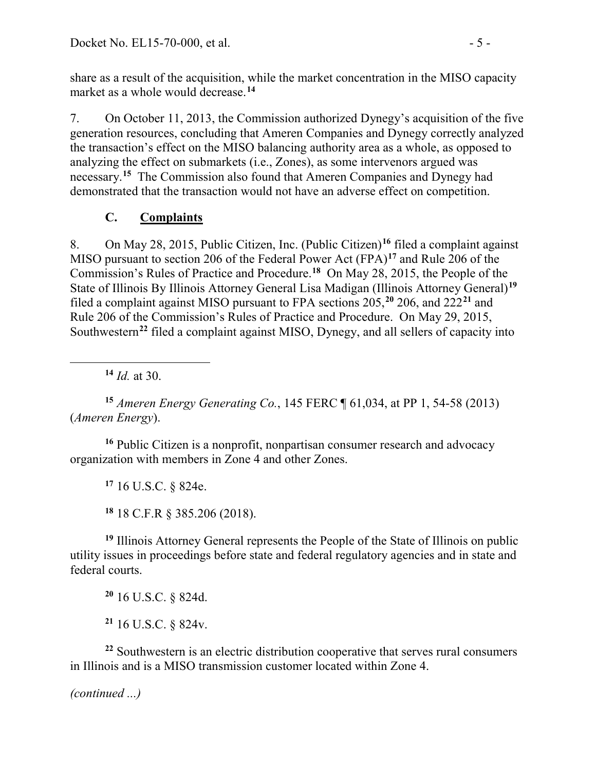share as a result of the acquisition, while the market concentration in the MISO capacity market as a whole would decrease.**[14](#page-4-0)**

7. On October 11, 2013, the Commission authorized Dynegy's acquisition of the five generation resources, concluding that Ameren Companies and Dynegy correctly analyzed the transaction's effect on the MISO balancing authority area as a whole, as opposed to analyzing the effect on submarkets (i.e., Zones), as some intervenors argued was necessary.**[15](#page-4-1)** The Commission also found that Ameren Companies and Dynegy had demonstrated that the transaction would not have an adverse effect on competition.

# **C. Complaints**

8. On May 28, 2015, Public Citizen, Inc. (Public Citizen)**[16](#page-4-2)** filed a complaint against MISO pursuant to section 206 of the Federal Power Act (FPA)**[17](#page-4-3)** and Rule 206 of the Commission's Rules of Practice and Procedure.**[18](#page-4-4)** On May 28, 2015, the People of the State of Illinois By Illinois Attorney General Lisa Madigan (Illinois Attorney General)**[19](#page-4-5)** filed a complaint against MISO pursuant to FPA sections 205,**[20](#page-4-6)** 206, and 222**[21](#page-4-7)** and Rule 206 of the Commission's Rules of Practice and Procedure. On May 29, 2015, Southwestern**[22](#page-4-8)** filed a complaint against MISO, Dynegy, and all sellers of capacity into

**<sup>14</sup>** *Id.* at 30.

<span id="page-4-0"></span> $\overline{a}$ 

<span id="page-4-1"></span>**<sup>15</sup>** *Ameren Energy Generating Co.*, 145 FERC ¶ 61,034, at PP 1, 54-58 (2013) (*Ameren Energy*).

<span id="page-4-3"></span><span id="page-4-2"></span>**<sup>16</sup>** Public Citizen is a nonprofit, nonpartisan consumer research and advocacy organization with members in Zone 4 and other Zones.

**<sup>17</sup>** 16 U.S.C. § 824e.

**<sup>18</sup>** 18 C.F.R § 385.206 (2018).

<span id="page-4-5"></span><span id="page-4-4"></span>**<sup>19</sup>** Illinois Attorney General represents the People of the State of Illinois on public utility issues in proceedings before state and federal regulatory agencies and in state and federal courts.

**<sup>20</sup>** 16 U.S.C. § 824d.

**<sup>21</sup>** 16 U.S.C. § 824v.

<span id="page-4-8"></span><span id="page-4-7"></span><span id="page-4-6"></span>**<sup>22</sup>** Southwestern is an electric distribution cooperative that serves rural consumers in Illinois and is a MISO transmission customer located within Zone 4.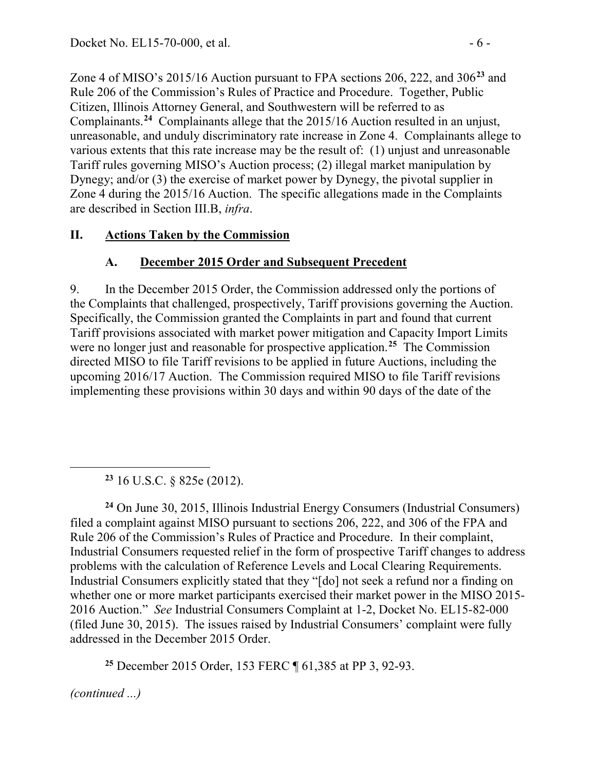Zone 4 of MISO's 2015/16 Auction pursuant to FPA sections 206, 222, and 306**[23](#page-5-0)** and Rule 206 of the Commission's Rules of Practice and Procedure. Together, Public Citizen, Illinois Attorney General, and Southwestern will be referred to as Complainants.**[24](#page-5-1)** Complainants allege that the 2015/16 Auction resulted in an unjust, unreasonable, and unduly discriminatory rate increase in Zone 4. Complainants allege to various extents that this rate increase may be the result of: (1) unjust and unreasonable Tariff rules governing MISO's Auction process; (2) illegal market manipulation by Dynegy; and/or (3) the exercise of market power by Dynegy, the pivotal supplier in Zone 4 during the 2015/16 Auction. The specific allegations made in the Complaints are described in Section III.B, *infra*.

### **II. Actions Taken by the Commission**

## **A. December 2015 Order and Subsequent Precedent**

9. In the December 2015 Order, the Commission addressed only the portions of the Complaints that challenged, prospectively, Tariff provisions governing the Auction. Specifically, the Commission granted the Complaints in part and found that current Tariff provisions associated with market power mitigation and Capacity Import Limits were no longer just and reasonable for prospective application.**[25](#page-5-2)** The Commission directed MISO to file Tariff revisions to be applied in future Auctions, including the upcoming 2016/17 Auction. The Commission required MISO to file Tariff revisions implementing these provisions within 30 days and within 90 days of the date of the

**<sup>23</sup>** 16 U.S.C. § 825e (2012).

<span id="page-5-1"></span><span id="page-5-0"></span>**<sup>24</sup>** On June 30, 2015, Illinois Industrial Energy Consumers (Industrial Consumers) filed a complaint against MISO pursuant to sections 206, 222, and 306 of the FPA and Rule 206 of the Commission's Rules of Practice and Procedure. In their complaint, Industrial Consumers requested relief in the form of prospective Tariff changes to address problems with the calculation of Reference Levels and Local Clearing Requirements. Industrial Consumers explicitly stated that they "[do] not seek a refund nor a finding on whether one or more market participants exercised their market power in the MISO 2015- 2016 Auction." *See* Industrial Consumers Complaint at 1-2, Docket No. EL15-82-000 (filed June 30, 2015). The issues raised by Industrial Consumers' complaint were fully addressed in the December 2015 Order.

**<sup>25</sup>** December 2015 Order, 153 FERC ¶ 61,385 at PP 3, 92-93.

<span id="page-5-2"></span>*(continued ...)*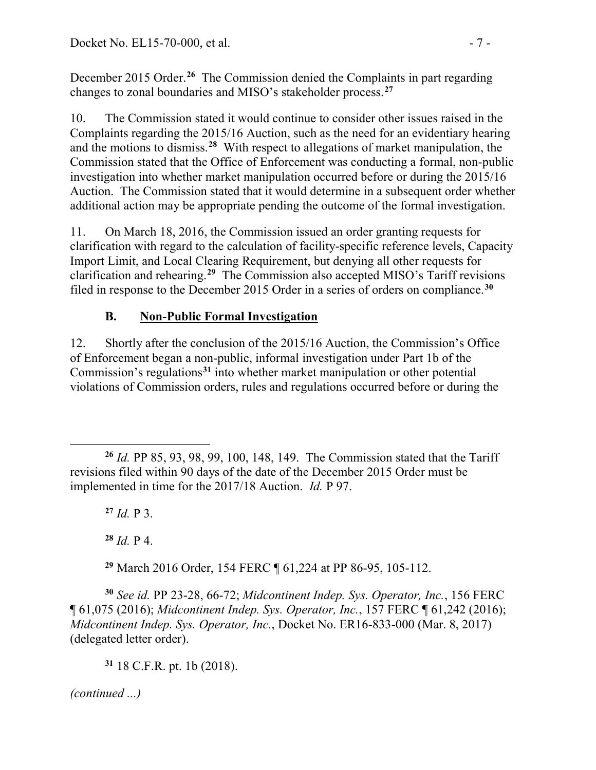December 2015 Order.**[26](#page-6-0)** The Commission denied the Complaints in part regarding changes to zonal boundaries and MISO's stakeholder process.**[27](#page-6-1)**

10. The Commission stated it would continue to consider other issues raised in the Complaints regarding the 2015/16 Auction, such as the need for an evidentiary hearing and the motions to dismiss.**[28](#page-6-2)** With respect to allegations of market manipulation, the Commission stated that the Office of Enforcement was conducting a formal, non-public investigation into whether market manipulation occurred before or during the 2015/16 Auction. The Commission stated that it would determine in a subsequent order whether additional action may be appropriate pending the outcome of the formal investigation.

11. On March 18, 2016, the Commission issued an order granting requests for clarification with regard to the calculation of facility-specific reference levels, Capacity Import Limit, and Local Clearing Requirement, but denying all other requests for clarification and rehearing. **[29](#page-6-3)** The Commission also accepted MISO's Tariff revisions filed in response to the December 2015 Order in a series of orders on compliance.**[30](#page-6-4)**

# **B. Non-Public Formal Investigation**

12. Shortly after the conclusion of the 2015/16 Auction, the Commission's Office of Enforcement began a non-public, informal investigation under Part 1b of the Commission's regulations**[31](#page-6-5)** into whether market manipulation or other potential violations of Commission orders, rules and regulations occurred before or during the

**<sup>27</sup>** *Id.* P 3.

**<sup>28</sup>** *Id.* P 4.

**<sup>29</sup>** March 2016 Order, 154 FERC ¶ 61,224 at PP 86-95, 105-112.

<span id="page-6-5"></span><span id="page-6-4"></span><span id="page-6-3"></span><span id="page-6-2"></span>**<sup>30</sup>** *See id.* PP 23-28, 66-72; *Midcontinent Indep. Sys. Operator, Inc.*, 156 FERC ¶ 61,075 (2016); *Midcontinent Indep. Sys. Operator, Inc.*, 157 FERC ¶ 61,242 (2016); *Midcontinent Indep. Sys. Operator, Inc.*, Docket No. ER16-833-000 (Mar. 8, 2017) (delegated letter order).

<span id="page-6-1"></span><span id="page-6-0"></span> $\overline{a}$ **<sup>26</sup>** *Id.* PP 85, 93, 98, 99, 100, 148, 149. The Commission stated that the Tariff revisions filed within 90 days of the date of the December 2015 Order must be implemented in time for the 2017/18 Auction. *Id.* P 97.

**<sup>31</sup>** 18 C.F.R. pt. 1b (2018).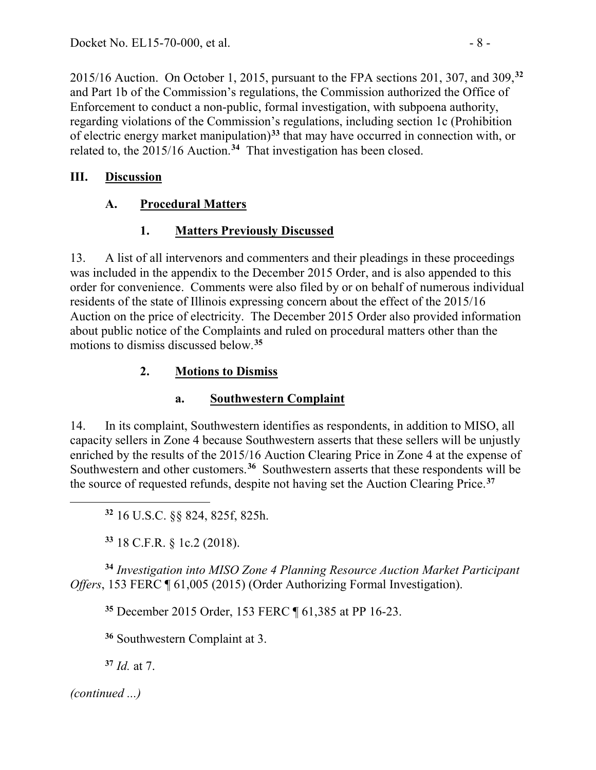2015/16 Auction. On October 1, 2015, pursuant to the FPA sections 201, 307, and 309,**[32](#page-7-0)** and Part 1b of the Commission's regulations, the Commission authorized the Office of Enforcement to conduct a non-public, formal investigation, with subpoena authority, regarding violations of the Commission's regulations, including section 1c (Prohibition of electric energy market manipulation)**[33](#page-7-1)** that may have occurred in connection with, or related to, the 2015/16 Auction.**[34](#page-7-2)** That investigation has been closed.

# **III. Discussion**

# **A. Procedural Matters**

# **1. Matters Previously Discussed**

13. A list of all intervenors and commenters and their pleadings in these proceedings was included in the appendix to the December 2015 Order, and is also appended to this order for convenience. Comments were also filed by or on behalf of numerous individual residents of the state of Illinois expressing concern about the effect of the 2015/16 Auction on the price of electricity. The December 2015 Order also provided information about public notice of the Complaints and ruled on procedural matters other than the motions to dismiss discussed below. **[35](#page-7-3)**

# **2. Motions to Dismiss**

# **a. Southwestern Complaint**

14. In its complaint, Southwestern identifies as respondents, in addition to MISO, all capacity sellers in Zone 4 because Southwestern asserts that these sellers will be unjustly enriched by the results of the 2015/16 Auction Clearing Price in Zone 4 at the expense of Southwestern and other customers.**[36](#page-7-4)** Southwestern asserts that these respondents will be the source of requested refunds, despite not having set the Auction Clearing Price.**[37](#page-7-5)**

**<sup>32</sup>** 16 U.S.C. §§ 824, 825f, 825h.

**<sup>33</sup>** 18 C.F.R. § 1c.2 (2018).

<span id="page-7-3"></span><span id="page-7-2"></span><span id="page-7-1"></span><span id="page-7-0"></span>**<sup>34</sup>** *Investigation into MISO Zone 4 Planning Resource Auction Market Participant Offers*, 153 FERC ¶ 61,005 (2015) (Order Authorizing Formal Investigation).

**<sup>35</sup>** December 2015 Order, 153 FERC ¶ 61,385 at PP 16-23.

**<sup>36</sup>** Southwestern Complaint at 3.

**<sup>37</sup>** *Id.* at 7.

<span id="page-7-5"></span><span id="page-7-4"></span>*(continued ...)*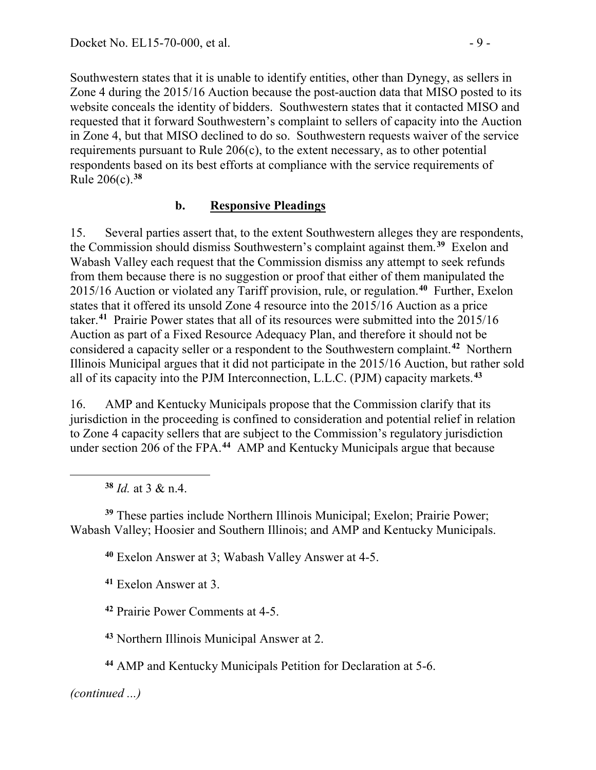Southwestern states that it is unable to identify entities, other than Dynegy, as sellers in Zone 4 during the 2015/16 Auction because the post-auction data that MISO posted to its website conceals the identity of bidders. Southwestern states that it contacted MISO and requested that it forward Southwestern's complaint to sellers of capacity into the Auction in Zone 4, but that MISO declined to do so. Southwestern requests waiver of the service requirements pursuant to Rule 206(c), to the extent necessary, as to other potential respondents based on its best efforts at compliance with the service requirements of Rule 206(c).**[38](#page-8-0)**

### **b. Responsive Pleadings**

15. Several parties assert that, to the extent Southwestern alleges they are respondents, the Commission should dismiss Southwestern's complaint against them.**[39](#page-8-1)** Exelon and Wabash Valley each request that the Commission dismiss any attempt to seek refunds from them because there is no suggestion or proof that either of them manipulated the 2015/16 Auction or violated any Tariff provision, rule, or regulation.**[40](#page-8-2)** Further, Exelon states that it offered its unsold Zone 4 resource into the 2015/16 Auction as a price taker.**[41](#page-8-3)** Prairie Power states that all of its resources were submitted into the 2015/16 Auction as part of a Fixed Resource Adequacy Plan, and therefore it should not be considered a capacity seller or a respondent to the Southwestern complaint.**[42](#page-8-4)** Northern Illinois Municipal argues that it did not participate in the 2015/16 Auction, but rather sold all of its capacity into the PJM Interconnection, L.L.C. (PJM) capacity markets.**[43](#page-8-5)**

16. AMP and Kentucky Municipals propose that the Commission clarify that its jurisdiction in the proceeding is confined to consideration and potential relief in relation to Zone 4 capacity sellers that are subject to the Commission's regulatory jurisdiction under section 206 of the FPA.**[44](#page-8-6)** AMP and Kentucky Municipals argue that because

**<sup>38</sup>** *Id.* at 3 & n.4.

<span id="page-8-0"></span> $\overline{a}$ 

<span id="page-8-3"></span><span id="page-8-2"></span><span id="page-8-1"></span>**<sup>39</sup>** These parties include Northern Illinois Municipal; Exelon; Prairie Power; Wabash Valley; Hoosier and Southern Illinois; and AMP and Kentucky Municipals.

**<sup>40</sup>** Exelon Answer at 3; Wabash Valley Answer at 4-5.

**<sup>41</sup>** Exelon Answer at 3.

<span id="page-8-4"></span>**<sup>42</sup>** Prairie Power Comments at 4-5.

<span id="page-8-5"></span>**<sup>43</sup>** Northern Illinois Municipal Answer at 2.

<span id="page-8-6"></span>**<sup>44</sup>** AMP and Kentucky Municipals Petition for Declaration at 5-6.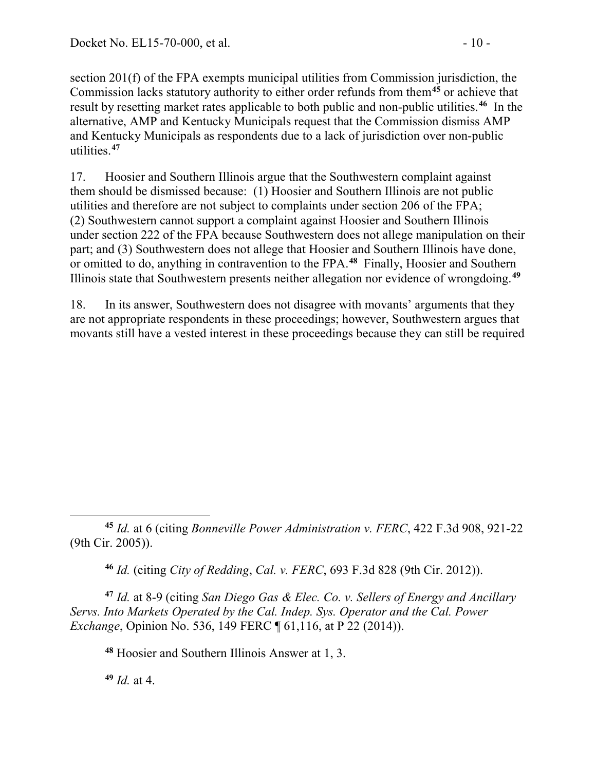section 201(f) of the FPA exempts municipal utilities from Commission jurisdiction, the Commission lacks statutory authority to either order refunds from them**[45](#page-9-0)** or achieve that result by resetting market rates applicable to both public and non-public utilities.**[46](#page-9-1)** In the alternative, AMP and Kentucky Municipals request that the Commission dismiss AMP and Kentucky Municipals as respondents due to a lack of jurisdiction over non-public utilities.**[47](#page-9-2)**

17. Hoosier and Southern Illinois argue that the Southwestern complaint against them should be dismissed because: (1) Hoosier and Southern Illinois are not public utilities and therefore are not subject to complaints under section 206 of the FPA; (2) Southwestern cannot support a complaint against Hoosier and Southern Illinois under section 222 of the FPA because Southwestern does not allege manipulation on their part; and (3) Southwestern does not allege that Hoosier and Southern Illinois have done, or omitted to do, anything in contravention to the FPA.**[48](#page-9-3)** Finally, Hoosier and Southern Illinois state that Southwestern presents neither allegation nor evidence of wrongdoing.**[49](#page-9-4)**

18. In its answer, Southwestern does not disagree with movants' arguments that they are not appropriate respondents in these proceedings; however, Southwestern argues that movants still have a vested interest in these proceedings because they can still be required

**<sup>46</sup>** *Id.* (citing *City of Redding*, *Cal. v. FERC*, 693 F.3d 828 (9th Cir. 2012)).

<span id="page-9-3"></span><span id="page-9-2"></span><span id="page-9-1"></span>**<sup>47</sup>** *Id.* at 8-9 (citing *San Diego Gas & Elec. Co. v. Sellers of Energy and Ancillary Servs. Into Markets Operated by the Cal. Indep. Sys. Operator and the Cal. Power Exchange*, Opinion No. 536, 149 FERC ¶ 61, 116, at P 22 (2014)).

**<sup>48</sup>** Hoosier and Southern Illinois Answer at 1, 3.

<span id="page-9-4"></span>**<sup>49</sup>** *Id.* at 4.

<span id="page-9-0"></span> $\overline{a}$ **<sup>45</sup>** *Id.* at 6 (citing *Bonneville Power Administration v. FERC*, 422 F.3d 908, 921-22 (9th Cir. 2005)).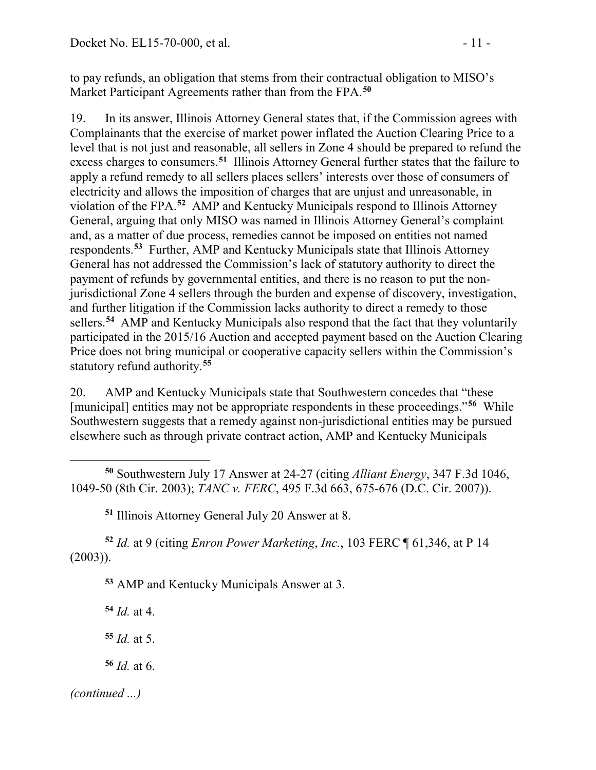to pay refunds, an obligation that stems from their contractual obligation to MISO's Market Participant Agreements rather than from the FPA.**[50](#page-10-0)**

19. In its answer, Illinois Attorney General states that, if the Commission agrees with Complainants that the exercise of market power inflated the Auction Clearing Price to a level that is not just and reasonable, all sellers in Zone 4 should be prepared to refund the excess charges to consumers.**[51](#page-10-1)** Illinois Attorney General further states that the failure to apply a refund remedy to all sellers places sellers' interests over those of consumers of electricity and allows the imposition of charges that are unjust and unreasonable, in violation of the FPA.**[52](#page-10-2)** AMP and Kentucky Municipals respond to Illinois Attorney General, arguing that only MISO was named in Illinois Attorney General's complaint and, as a matter of due process, remedies cannot be imposed on entities not named respondents.**[53](#page-10-3)** Further, AMP and Kentucky Municipals state that Illinois Attorney General has not addressed the Commission's lack of statutory authority to direct the payment of refunds by governmental entities, and there is no reason to put the nonjurisdictional Zone 4 sellers through the burden and expense of discovery, investigation, and further litigation if the Commission lacks authority to direct a remedy to those sellers.**[54](#page-10-4)** AMP and Kentucky Municipals also respond that the fact that they voluntarily participated in the 2015/16 Auction and accepted payment based on the Auction Clearing Price does not bring municipal or cooperative capacity sellers within the Commission's statutory refund authority.**[55](#page-10-5)**

20. AMP and Kentucky Municipals state that Southwestern concedes that "these [municipal] entities may not be appropriate respondents in these proceedings."**[56](#page-10-6)** While Southwestern suggests that a remedy against non-jurisdictional entities may be pursued elsewhere such as through private contract action, AMP and Kentucky Municipals

<span id="page-10-0"></span> $\overline{a}$ **<sup>50</sup>** Southwestern July 17 Answer at 24-27 (citing *Alliant Energy*, 347 F.3d 1046, 1049-50 (8th Cir. 2003); *TANC v. FERC*, 495 F.3d 663, 675-676 (D.C. Cir. 2007)).

**<sup>51</sup>** Illinois Attorney General July 20 Answer at 8.

<span id="page-10-4"></span><span id="page-10-3"></span><span id="page-10-2"></span><span id="page-10-1"></span>**<sup>52</sup>** *Id.* at 9 (citing *Enron Power Marketing*, *Inc.*, 103 FERC ¶ 61,346, at P 14 (2003)).

**<sup>53</sup>** AMP and Kentucky Municipals Answer at 3.

**<sup>54</sup>** *Id.* at 4.

<span id="page-10-5"></span>**<sup>55</sup>** *Id.* at 5.

<span id="page-10-6"></span>**<sup>56</sup>** *Id.* at 6.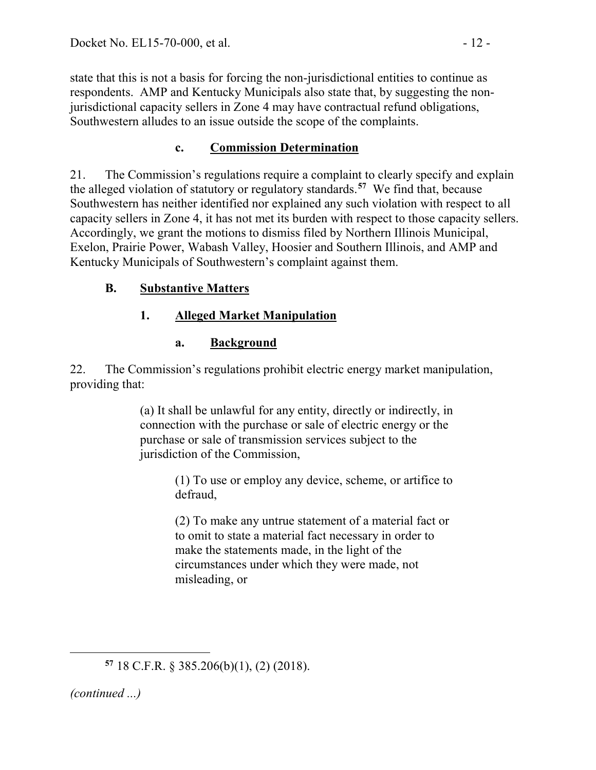state that this is not a basis for forcing the non-jurisdictional entities to continue as respondents. AMP and Kentucky Municipals also state that, by suggesting the nonjurisdictional capacity sellers in Zone 4 may have contractual refund obligations, Southwestern alludes to an issue outside the scope of the complaints.

# **c. Commission Determination**

21. The Commission's regulations require a complaint to clearly specify and explain the alleged violation of statutory or regulatory standards.**[57](#page-11-0)** We find that, because Southwestern has neither identified nor explained any such violation with respect to all capacity sellers in Zone 4, it has not met its burden with respect to those capacity sellers. Accordingly, we grant the motions to dismiss filed by Northern Illinois Municipal, Exelon, Prairie Power, Wabash Valley, Hoosier and Southern Illinois, and AMP and Kentucky Municipals of Southwestern's complaint against them.

# **B. Substantive Matters**

# **1. Alleged Market Manipulation**

# **a. Background**

22. The Commission's regulations prohibit electric energy market manipulation, providing that:

> (a) It shall be unlawful for any entity, directly or indirectly, in connection with the purchase or sale of electric energy or the purchase or sale of transmission services subject to the jurisdiction of the Commission,

> > (1) To use or employ any device, scheme, or artifice to defraud,

(2) To make any untrue statement of a material fact or to omit to state a material fact necessary in order to make the statements made, in the light of the circumstances under which they were made, not misleading, or

<span id="page-11-0"></span>*(continued ...)*

**<sup>57</sup>** 18 C.F.R. § 385.206(b)(1), (2) (2018).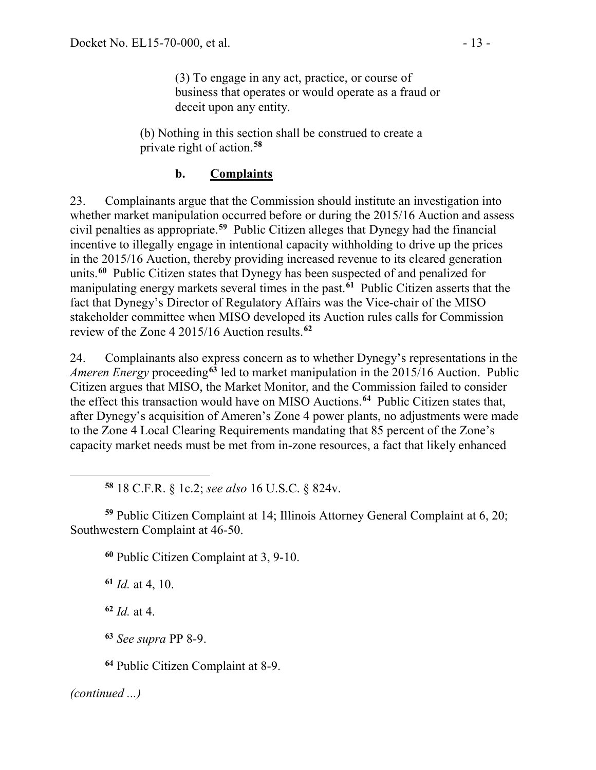(3) To engage in any act, practice, or course of business that operates or would operate as a fraud or deceit upon any entity.

(b) Nothing in this section shall be construed to create a private right of action.**[58](#page-12-0)**

#### **b. Complaints**

23. Complainants argue that the Commission should institute an investigation into whether market manipulation occurred before or during the 2015/16 Auction and assess civil penalties as appropriate. **[59](#page-12-1)** Public Citizen alleges that Dynegy had the financial incentive to illegally engage in intentional capacity withholding to drive up the prices in the 2015/16 Auction, thereby providing increased revenue to its cleared generation units.**[60](#page-12-2)** Public Citizen states that Dynegy has been suspected of and penalized for manipulating energy markets several times in the past. **[61](#page-12-3)** Public Citizen asserts that the fact that Dynegy's Director of Regulatory Affairs was the Vice-chair of the MISO stakeholder committee when MISO developed its Auction rules calls for Commission review of the Zone 4 2015/16 Auction results.**[62](#page-12-4)**

24. Complainants also express concern as to whether Dynegy's representations in the *Ameren Energy* proceeding**[63](#page-12-5)** led to market manipulation in the 2015/16 Auction. Public Citizen argues that MISO, the Market Monitor, and the Commission failed to consider the effect this transaction would have on MISO Auctions.**[64](#page-12-6)** Public Citizen states that, after Dynegy's acquisition of Ameren's Zone 4 power plants, no adjustments were made to the Zone 4 Local Clearing Requirements mandating that 85 percent of the Zone's capacity market needs must be met from in-zone resources, a fact that likely enhanced

**<sup>58</sup>** 18 C.F.R. § 1c.2; *see also* 16 U.S.C. § 824v.

<span id="page-12-3"></span><span id="page-12-2"></span><span id="page-12-1"></span><span id="page-12-0"></span>**<sup>59</sup>** Public Citizen Complaint at 14; Illinois Attorney General Complaint at 6, 20; Southwestern Complaint at 46-50.

**<sup>60</sup>** Public Citizen Complaint at 3, 9-10.

**<sup>61</sup>** *Id.* at 4, 10.

<span id="page-12-4"></span>**<sup>62</sup>** *Id.* at 4.

**<sup>63</sup>** *See supra* PP 8-9.

**<sup>64</sup>** Public Citizen Complaint at 8-9.

<span id="page-12-6"></span><span id="page-12-5"></span>*(continued ...)*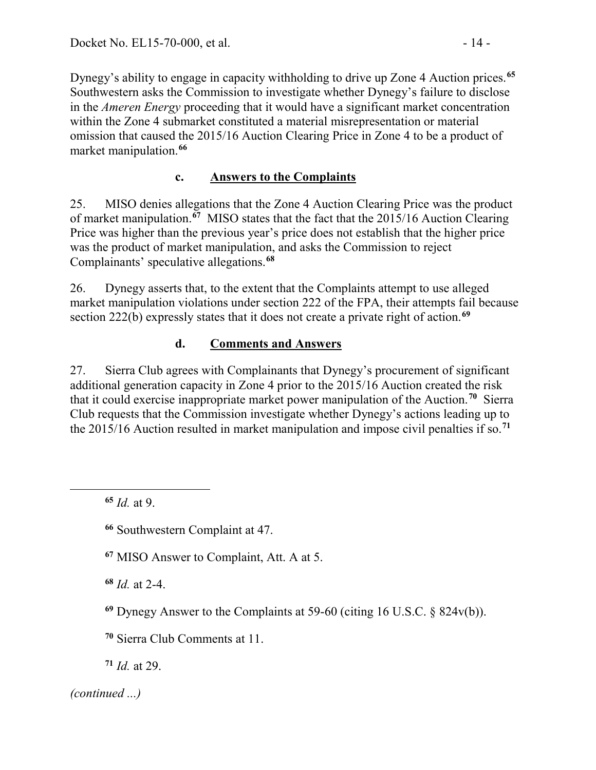Dynegy's ability to engage in capacity withholding to drive up Zone 4 Auction prices.**[65](#page-13-0)** Southwestern asks the Commission to investigate whether Dynegy's failure to disclose in the *Ameren Energy* proceeding that it would have a significant market concentration within the Zone 4 submarket constituted a material misrepresentation or material omission that caused the 2015/16 Auction Clearing Price in Zone 4 to be a product of market manipulation.**[66](#page-13-1)**

### **c. Answers to the Complaints**

25. MISO denies allegations that the Zone 4 Auction Clearing Price was the product of market manipulation.**[67](#page-13-2)** MISO states that the fact that the 2015/16 Auction Clearing Price was higher than the previous year's price does not establish that the higher price was the product of market manipulation, and asks the Commission to reject Complainants' speculative allegations.**[68](#page-13-3)**

26. Dynegy asserts that, to the extent that the Complaints attempt to use alleged market manipulation violations under section 222 of the FPA, their attempts fail because section 222(b) expressly states that it does not create a private right of action.**[69](#page-13-4)**

## **d. Comments and Answers**

27. Sierra Club agrees with Complainants that Dynegy's procurement of significant additional generation capacity in Zone 4 prior to the 2015/16 Auction created the risk that it could exercise inappropriate market power manipulation of the Auction.**[70](#page-13-5)** Sierra Club requests that the Commission investigate whether Dynegy's actions leading up to the 2015/16 Auction resulted in market manipulation and impose civil penalties if so.**[71](#page-13-6)**

**<sup>65</sup>** *Id.* at 9.

<span id="page-13-2"></span><span id="page-13-1"></span><span id="page-13-0"></span> $\overline{a}$ 

**<sup>66</sup>** Southwestern Complaint at 47.

**<sup>67</sup>** MISO Answer to Complaint, Att. A at 5.

<span id="page-13-3"></span>**<sup>68</sup>** *Id.* at 2-4.

<span id="page-13-4"></span>**<sup>69</sup>** Dynegy Answer to the Complaints at 59-60 (citing 16 U.S.C. § 824v(b)).

<span id="page-13-5"></span>**<sup>70</sup>** Sierra Club Comments at 11.

<span id="page-13-6"></span>**<sup>71</sup>** *Id.* at 29.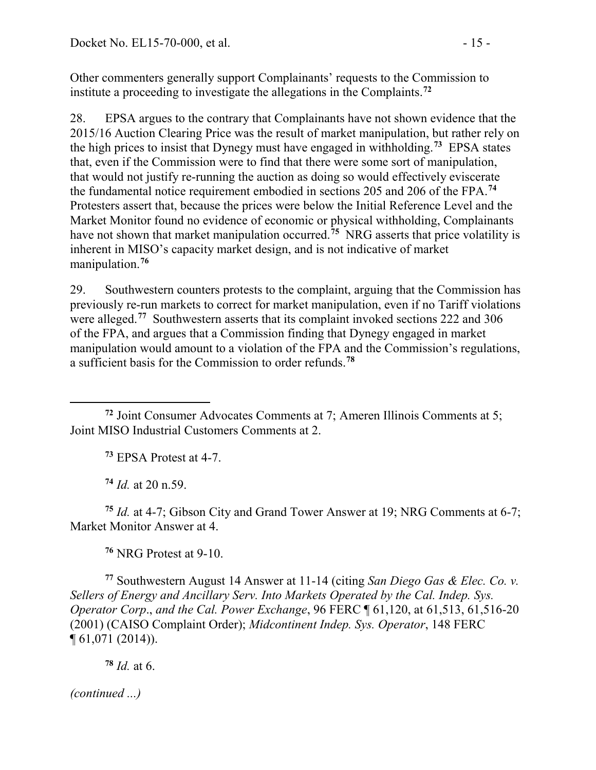Other commenters generally support Complainants' requests to the Commission to institute a proceeding to investigate the allegations in the Complaints.**[72](#page-14-0)**

28. EPSA argues to the contrary that Complainants have not shown evidence that the 2015/16 Auction Clearing Price was the result of market manipulation, but rather rely on the high prices to insist that Dynegy must have engaged in withholding. **[73](#page-14-1)** EPSA states that, even if the Commission were to find that there were some sort of manipulation, that would not justify re-running the auction as doing so would effectively eviscerate the fundamental notice requirement embodied in sections 205 and 206 of the FPA.**[74](#page-14-2)** Protesters assert that, because the prices were below the Initial Reference Level and the Market Monitor found no evidence of economic or physical withholding, Complainants have not shown that market manipulation occurred. **[75](#page-14-3)** NRG asserts that price volatility is inherent in MISO's capacity market design, and is not indicative of market manipulation.**[76](#page-14-4)**

29. Southwestern counters protests to the complaint, arguing that the Commission has previously re-run markets to correct for market manipulation, even if no Tariff violations were alleged.**[77](#page-14-5)** Southwestern asserts that its complaint invoked sections 222 and 306 of the FPA, and argues that a Commission finding that Dynegy engaged in market manipulation would amount to a violation of the FPA and the Commission's regulations, a sufficient basis for the Commission to order refunds.**[78](#page-14-6)**

**<sup>73</sup>** EPSA Protest at 4-7.

**<sup>74</sup>** *Id.* at 20 n.59.

<span id="page-14-3"></span><span id="page-14-2"></span>**<sup>75</sup>** *Id.* at 4-7; Gibson City and Grand Tower Answer at 19; NRG Comments at 6-7; Market Monitor Answer at 4.

**<sup>76</sup>** NRG Protest at 9-10.

<span id="page-14-5"></span><span id="page-14-4"></span>**<sup>77</sup>** Southwestern August 14 Answer at 11-14 (citing *San Diego Gas & Elec. Co. v. Sellers of Energy and Ancillary Serv. Into Markets Operated by the Cal. Indep. Sys. Operator Corp*., *and the Cal. Power Exchange*, 96 FERC ¶ 61,120, at 61,513, 61,516-20 (2001) (CAISO Complaint Order); *Midcontinent Indep. Sys. Operator*, 148 FERC ¶ 61,071 (2014)).

<span id="page-14-6"></span>**<sup>78</sup>** *Id.* at 6.

<span id="page-14-1"></span><span id="page-14-0"></span> $\overline{a}$ **<sup>72</sup>** Joint Consumer Advocates Comments at 7; Ameren Illinois Comments at 5; Joint MISO Industrial Customers Comments at 2.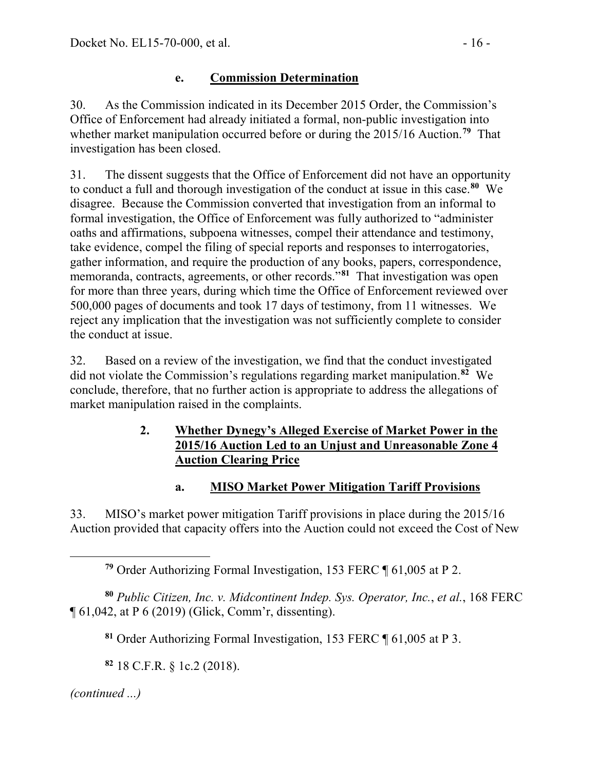# **e. Commission Determination**

30. As the Commission indicated in its December 2015 Order, the Commission's Office of Enforcement had already initiated a formal, non-public investigation into whether market manipulation occurred before or during the 2015/16 Auction.**[79](#page-15-0)** That investigation has been closed.

31. The dissent suggests that the Office of Enforcement did not have an opportunity to conduct a full and thorough investigation of the conduct at issue in this case.**[80](#page-15-1)** We disagree. Because the Commission converted that investigation from an informal to formal investigation, the Office of Enforcement was fully authorized to "administer oaths and affirmations, subpoena witnesses, compel their attendance and testimony, take evidence, compel the filing of special reports and responses to interrogatories, gather information, and require the production of any books, papers, correspondence, memoranda, contracts, agreements, or other records."**[81](#page-15-2)** That investigation was open for more than three years, during which time the Office of Enforcement reviewed over 500,000 pages of documents and took 17 days of testimony, from 11 witnesses. We reject any implication that the investigation was not sufficiently complete to consider the conduct at issue.

32. Based on a review of the investigation, we find that the conduct investigated did not violate the Commission's regulations regarding market manipulation.**[82](#page-15-3)** We conclude, therefore, that no further action is appropriate to address the allegations of market manipulation raised in the complaints.

### **2. Whether Dynegy's Alleged Exercise of Market Power in the 2015/16 Auction Led to an Unjust and Unreasonable Zone 4 Auction Clearing Price**

# **a. MISO Market Power Mitigation Tariff Provisions**

33. MISO's market power mitigation Tariff provisions in place during the 2015/16 Auction provided that capacity offers into the Auction could not exceed the Cost of New

**<sup>79</sup>** Order Authorizing Formal Investigation, 153 FERC ¶ 61,005 at P 2.

<span id="page-15-2"></span><span id="page-15-1"></span><span id="page-15-0"></span>**<sup>80</sup>** *Public Citizen, Inc. v. Midcontinent Indep. Sys. Operator, Inc.*, *et al.*, 168 FERC ¶ 61,042, at P 6 (2019) (Glick, Comm'r, dissenting).

**<sup>81</sup>** Order Authorizing Formal Investigation, 153 FERC ¶ 61,005 at P 3.

**<sup>82</sup>** 18 C.F.R. § 1c.2 (2018).

<span id="page-15-3"></span>*(continued ...)*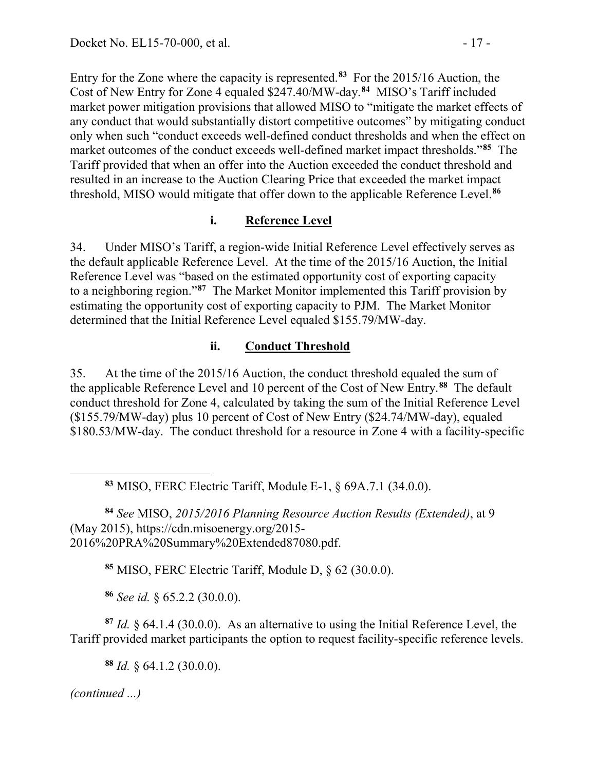Entry for the Zone where the capacity is represented.**[83](#page-16-0)** For the 2015/16 Auction, the Cost of New Entry for Zone 4 equaled \$247.40/MW-day.**[84](#page-16-1)** MISO's Tariff included market power mitigation provisions that allowed MISO to "mitigate the market effects of any conduct that would substantially distort competitive outcomes" by mitigating conduct only when such "conduct exceeds well-defined conduct thresholds and when the effect on market outcomes of the conduct exceeds well-defined market impact thresholds."**[85](#page-16-2)** The Tariff provided that when an offer into the Auction exceeded the conduct threshold and resulted in an increase to the Auction Clearing Price that exceeded the market impact threshold, MISO would mitigate that offer down to the applicable Reference Level.**[86](#page-16-3)**

# **i. Reference Level**

34. Under MISO's Tariff, a region-wide Initial Reference Level effectively serves as the default applicable Reference Level. At the time of the 2015/16 Auction, the Initial Reference Level was "based on the estimated opportunity cost of exporting capacity to a neighboring region."**[87](#page-16-4)** The Market Monitor implemented this Tariff provision by estimating the opportunity cost of exporting capacity to PJM. The Market Monitor determined that the Initial Reference Level equaled \$155.79/MW-day.

### **ii. Conduct Threshold**

35. At the time of the 2015/16 Auction, the conduct threshold equaled the sum of the applicable Reference Level and 10 percent of the Cost of New Entry.**[88](#page-16-5)** The default conduct threshold for Zone 4, calculated by taking the sum of the Initial Reference Level (\$155.79/MW-day) plus 10 percent of Cost of New Entry (\$24.74/MW-day), equaled \$180.53/MW-day. The conduct threshold for a resource in Zone 4 with a facility-specific

**<sup>83</sup>** MISO, FERC Electric Tariff, Module E-1, § 69A.7.1 (34.0.0).

<span id="page-16-1"></span><span id="page-16-0"></span>**<sup>84</sup>** *See* MISO, *2015/2016 Planning Resource Auction Results (Extended)*, at 9 (May 2015), https://cdn.misoenergy.org/2015- 2016%20PRA%20Summary%20Extended87080.pdf.

**<sup>85</sup>** MISO, FERC Electric Tariff, Module D, § 62 (30.0.0).

**<sup>86</sup>** *See id.* § 65.2.2 (30.0.0).

<span id="page-16-4"></span><span id="page-16-3"></span><span id="page-16-2"></span>**<sup>87</sup>** *Id.* § 64.1.4 (30.0.0). As an alternative to using the Initial Reference Level, the Tariff provided market participants the option to request facility-specific reference levels.

**<sup>88</sup>** *Id.* § 64.1.2 (30.0.0).

<span id="page-16-5"></span>*(continued ...)*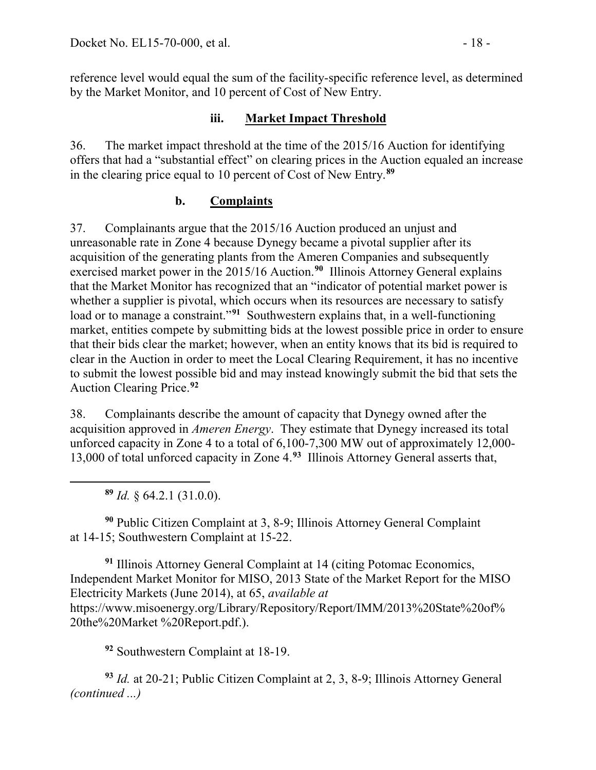reference level would equal the sum of the facility-specific reference level, as determined by the Market Monitor, and 10 percent of Cost of New Entry.

### **iii. Market Impact Threshold**

36. The market impact threshold at the time of the 2015/16 Auction for identifying offers that had a "substantial effect" on clearing prices in the Auction equaled an increase in the clearing price equal to 10 percent of Cost of New Entry.**[89](#page-17-0)**

## **b. Complaints**

37. Complainants argue that the 2015/16 Auction produced an unjust and unreasonable rate in Zone 4 because Dynegy became a pivotal supplier after its acquisition of the generating plants from the Ameren Companies and subsequently exercised market power in the 2015/16 Auction.**[90](#page-17-1)** Illinois Attorney General explains that the Market Monitor has recognized that an "indicator of potential market power is whether a supplier is pivotal, which occurs when its resources are necessary to satisfy load or to manage a constraint."<sup>[91](#page-17-2)</sup> Southwestern explains that, in a well-functioning market, entities compete by submitting bids at the lowest possible price in order to ensure that their bids clear the market; however, when an entity knows that its bid is required to clear in the Auction in order to meet the Local Clearing Requirement, it has no incentive to submit the lowest possible bid and may instead knowingly submit the bid that sets the Auction Clearing Price.**[92](#page-17-3)**

38. Complainants describe the amount of capacity that Dynegy owned after the acquisition approved in *Ameren Energy*. They estimate that Dynegy increased its total unforced capacity in Zone 4 to a total of 6,100-7,300 MW out of approximately 12,000- 13,000 of total unforced capacity in Zone 4. **[93](#page-17-4)** Illinois Attorney General asserts that,

**<sup>89</sup>** *Id.* § 64.2.1 (31.0.0).

<span id="page-17-0"></span> $\overline{a}$ 

<span id="page-17-1"></span>**<sup>90</sup>** Public Citizen Complaint at 3, 8-9; Illinois Attorney General Complaint at 14-15; Southwestern Complaint at 15-22.

<span id="page-17-2"></span>**<sup>91</sup>** Illinois Attorney General Complaint at 14 (citing Potomac Economics, Independent Market Monitor for MISO, 2013 State of the Market Report for the MISO Electricity Markets (June 2014), at 65, *available at* [https://www.misoenergy.org/Library/Repository/Report/IMM/2013%20State%20of%](https://www.misoenergy.org/Library/Repository/Report/IMM/2013%20State%20of%25%2020the%20Market)  [20the%20Market](https://www.misoenergy.org/Library/Repository/Report/IMM/2013%20State%20of%25%2020the%20Market) %20Report.pdf.).

**<sup>92</sup>** Southwestern Complaint at 18-19.

<span id="page-17-4"></span><span id="page-17-3"></span>**<sup>93</sup>** *Id.* at 20-21; Public Citizen Complaint at 2, 3, 8-9; Illinois Attorney General *(continued ...)*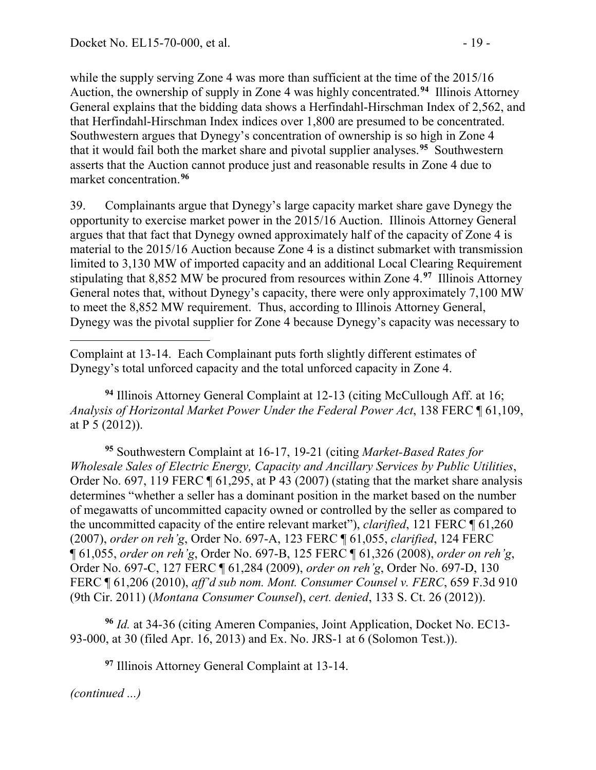while the supply serving Zone 4 was more than sufficient at the time of the 2015/16 Auction, the ownership of supply in Zone 4 was highly concentrated.**[94](#page-18-0)** Illinois Attorney General explains that the bidding data shows a Herfindahl-Hirschman Index of 2,562, and that Herfindahl-Hirschman Index indices over 1,800 are presumed to be concentrated. Southwestern argues that Dynegy's concentration of ownership is so high in Zone 4 that it would fail both the market share and pivotal supplier analyses.**[95](#page-18-1)** Southwestern asserts that the Auction cannot produce just and reasonable results in Zone 4 due to market concentration.**[96](#page-18-2)**

39. Complainants argue that Dynegy's large capacity market share gave Dynegy the opportunity to exercise market power in the 2015/16 Auction. Illinois Attorney General argues that that fact that Dynegy owned approximately half of the capacity of Zone 4 is material to the 2015/16 Auction because Zone 4 is a distinct submarket with transmission limited to 3,130 MW of imported capacity and an additional Local Clearing Requirement stipulating that 8,852 MW be procured from resources within Zone 4.**[97](#page-18-3)** Illinois Attorney General notes that, without Dynegy's capacity, there were only approximately 7,100 MW to meet the 8,852 MW requirement. Thus, according to Illinois Attorney General, Dynegy was the pivotal supplier for Zone 4 because Dynegy's capacity was necessary to

<span id="page-18-0"></span>**<sup>94</sup>** Illinois Attorney General Complaint at 12-13 (citing McCullough Aff. at 16; *Analysis of Horizontal Market Power Under the Federal Power Act*, 138 FERC ¶ 61,109, at P 5 (2012)).

<span id="page-18-1"></span>**<sup>95</sup>** Southwestern Complaint at 16-17, 19-21 (citing *Market-Based Rates for Wholesale Sales of Electric Energy, Capacity and Ancillary Services by Public Utilities*, Order No. 697, 119 FERC ¶ 61,295, at P 43 (2007) (stating that the market share analysis determines "whether a seller has a dominant position in the market based on the number of megawatts of uncommitted capacity owned or controlled by the seller as compared to the uncommitted capacity of the entire relevant market"), *clarified*, 121 FERC ¶ 61,260 (2007), *order on reh'g*, Order No. 697-A, 123 FERC ¶ 61,055, *clarified*, 124 FERC ¶ 61,055, *order on reh'g*, Order No. 697-B, 125 FERC ¶ 61,326 (2008), *order on reh'g*, Order No. 697-C, 127 FERC ¶ 61,284 (2009), *order on reh'g*, Order No. 697-D, 130 FERC ¶ 61,206 (2010), *aff'd sub nom. Mont. Consumer Counsel v. FERC*, 659 F.3d 910 (9th Cir. 2011) (*Montana Consumer Counsel*), *cert. denied*, 133 S. Ct. 26 (2012)).

<span id="page-18-3"></span><span id="page-18-2"></span>**<sup>96</sup>** *Id.* at 34-36 (citing Ameren Companies, Joint Application, Docket No. EC13- 93-000, at 30 (filed Apr. 16, 2013) and Ex. No. JRS-1 at 6 (Solomon Test.)).

**<sup>97</sup>** Illinois Attorney General Complaint at 13-14.

 $\overline{a}$ Complaint at 13-14. Each Complainant puts forth slightly different estimates of Dynegy's total unforced capacity and the total unforced capacity in Zone 4.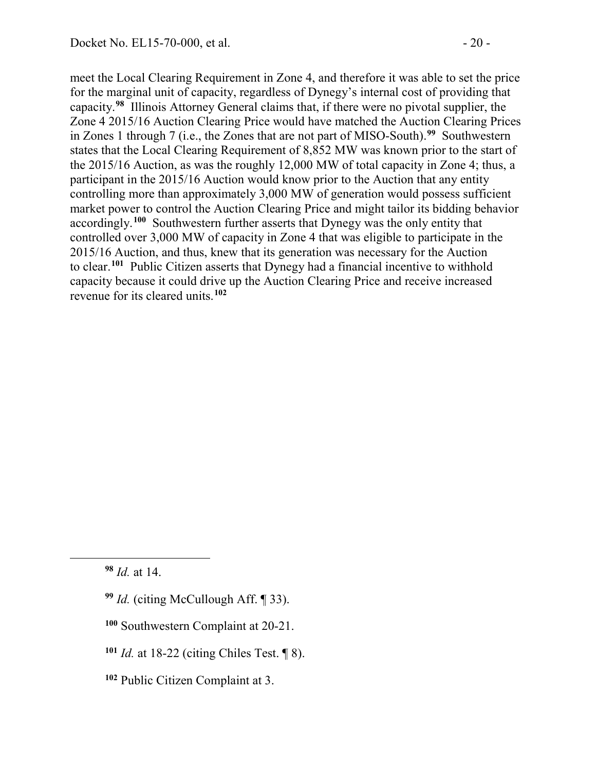meet the Local Clearing Requirement in Zone 4, and therefore it was able to set the price for the marginal unit of capacity, regardless of Dynegy's internal cost of providing that capacity.**[98](#page-19-0)** Illinois Attorney General claims that, if there were no pivotal supplier, the Zone 4 2015/16 Auction Clearing Price would have matched the Auction Clearing Prices in Zones 1 through 7 (i.e., the Zones that are not part of MISO-South).**[99](#page-19-1)** Southwestern states that the Local Clearing Requirement of 8,852 MW was known prior to the start of the 2015/16 Auction, as was the roughly 12,000 MW of total capacity in Zone 4; thus, a participant in the 2015/16 Auction would know prior to the Auction that any entity controlling more than approximately 3,000 MW of generation would possess sufficient market power to control the Auction Clearing Price and might tailor its bidding behavior accordingly.**[100](#page-19-2)** Southwestern further asserts that Dynegy was the only entity that controlled over 3,000 MW of capacity in Zone 4 that was eligible to participate in the 2015/16 Auction, and thus, knew that its generation was necessary for the Auction to clear. **[101](#page-19-3)** Public Citizen asserts that Dynegy had a financial incentive to withhold capacity because it could drive up the Auction Clearing Price and receive increased revenue for its cleared units.**[102](#page-19-4)**

<span id="page-19-0"></span>**<sup>98</sup>** *Id.* at 14.

- <span id="page-19-1"></span>**<sup>99</sup>** *Id.* (citing McCullough Aff. ¶ 33).
- <span id="page-19-2"></span>**<sup>100</sup>** Southwestern Complaint at 20-21.
- <span id="page-19-3"></span>**<sup>101</sup>** *Id.* at 18-22 (citing Chiles Test. ¶ 8).
- <span id="page-19-4"></span>**<sup>102</sup>** Public Citizen Complaint at 3.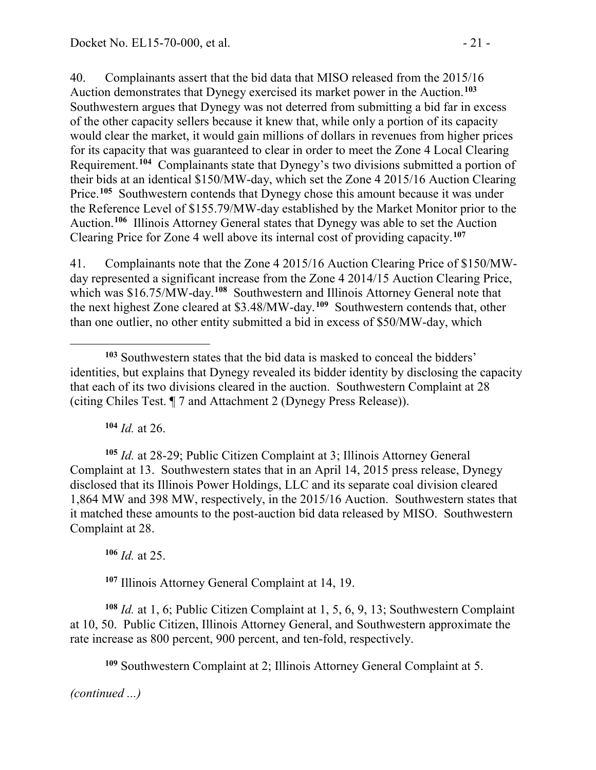40. Complainants assert that the bid data that MISO released from the 2015/16 Auction demonstrates that Dynegy exercised its market power in the Auction. **[103](#page-20-0)** Southwestern argues that Dynegy was not deterred from submitting a bid far in excess of the other capacity sellers because it knew that, while only a portion of its capacity would clear the market, it would gain millions of dollars in revenues from higher prices for its capacity that was guaranteed to clear in order to meet the Zone 4 Local Clearing Requirement. **[104](#page-20-1)** Complainants state that Dynegy's two divisions submitted a portion of their bids at an identical \$150/MW-day, which set the Zone 4 2015/16 Auction Clearing Price.**[105](#page-20-2)** Southwestern contends that Dynegy chose this amount because it was under the Reference Level of \$155.79/MW-day established by the Market Monitor prior to the Auction.**[106](#page-20-3)** Illinois Attorney General states that Dynegy was able to set the Auction Clearing Price for Zone 4 well above its internal cost of providing capacity.**[107](#page-20-4)**

41. Complainants note that the Zone 4 2015/16 Auction Clearing Price of \$150/MWday represented a significant increase from the Zone 4 2014/15 Auction Clearing Price, which was \$16.75/MW-day.<sup>[108](#page-20-5)</sup> Southwestern and Illinois Attorney General note that the next highest Zone cleared at \$3.48/MW-day.**[109](#page-20-6)** Southwestern contends that, other than one outlier, no other entity submitted a bid in excess of \$50/MW-day, which

**<sup>104</sup>** *Id.* at 26.

<span id="page-20-2"></span><span id="page-20-1"></span>**<sup>105</sup>** *Id.* at 28-29; Public Citizen Complaint at 3; Illinois Attorney General Complaint at 13. Southwestern states that in an April 14, 2015 press release, Dynegy disclosed that its Illinois Power Holdings, LLC and its separate coal division cleared 1,864 MW and 398 MW, respectively, in the 2015/16 Auction. Southwestern states that it matched these amounts to the post-auction bid data released by MISO. Southwestern Complaint at 28.

**<sup>106</sup>** *Id.* at 25.

**<sup>107</sup>** Illinois Attorney General Complaint at 14, 19.

<span id="page-20-6"></span><span id="page-20-5"></span><span id="page-20-4"></span><span id="page-20-3"></span>**<sup>108</sup>** *Id.* at 1, 6; Public Citizen Complaint at 1, 5, 6, 9, 13; Southwestern Complaint at 10, 50. Public Citizen, Illinois Attorney General, and Southwestern approximate the rate increase as 800 percent, 900 percent, and ten-fold, respectively.

**<sup>109</sup>** Southwestern Complaint at 2; Illinois Attorney General Complaint at 5.

<span id="page-20-0"></span> $\overline{a}$ **<sup>103</sup>** Southwestern states that the bid data is masked to conceal the bidders' identities, but explains that Dynegy revealed its bidder identity by disclosing the capacity that each of its two divisions cleared in the auction. Southwestern Complaint at 28 (citing Chiles Test. ¶ 7 and Attachment 2 (Dynegy Press Release)).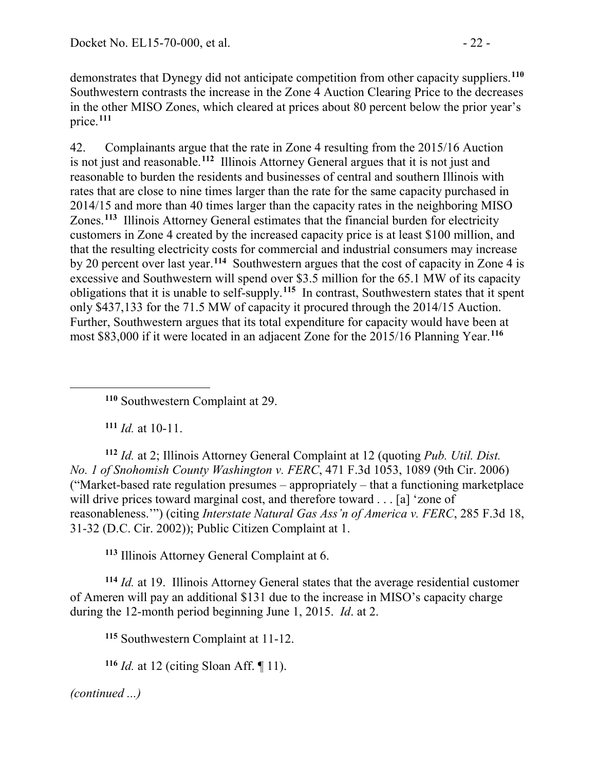demonstrates that Dynegy did not anticipate competition from other capacity suppliers.**[110](#page-21-0)** Southwestern contrasts the increase in the Zone 4 Auction Clearing Price to the decreases in the other MISO Zones, which cleared at prices about 80 percent below the prior year's price.**[111](#page-21-1)**

42. Complainants argue that the rate in Zone 4 resulting from the 2015/16 Auction is not just and reasonable.**[112](#page-21-2)** Illinois Attorney General argues that it is not just and reasonable to burden the residents and businesses of central and southern Illinois with rates that are close to nine times larger than the rate for the same capacity purchased in 2014/15 and more than 40 times larger than the capacity rates in the neighboring MISO Zones.**[113](#page-21-3)** Illinois Attorney General estimates that the financial burden for electricity customers in Zone 4 created by the increased capacity price is at least \$100 million, and that the resulting electricity costs for commercial and industrial consumers may increase by 20 percent over last year.**[114](#page-21-4)** Southwestern argues that the cost of capacity in Zone 4 is excessive and Southwestern will spend over \$3.5 million for the 65.1 MW of its capacity obligations that it is unable to self-supply.**[115](#page-21-5)** In contrast, Southwestern states that it spent only \$437,133 for the 71.5 MW of capacity it procured through the 2014/15 Auction. Further, Southwestern argues that its total expenditure for capacity would have been at most \$83,000 if it were located in an adjacent Zone for the 2015/16 Planning Year.**[116](#page-21-6)**

**<sup>110</sup>** Southwestern Complaint at 29.

**<sup>111</sup>** *Id.* at 10-11.

<span id="page-21-0"></span> $\overline{a}$ 

<span id="page-21-2"></span><span id="page-21-1"></span>**<sup>112</sup>** *Id.* at 2; Illinois Attorney General Complaint at 12 (quoting *Pub. Util. Dist. No. 1 of Snohomish County Washington v. FERC*, 471 F.3d 1053, 1089 (9th Cir. 2006) ("Market-based rate regulation presumes – appropriately – that a functioning marketplace will drive prices toward marginal cost, and therefore toward . . . [a] 'zone of reasonableness.'") (citing *Interstate Natural Gas Ass'n of America v. FERC*, 285 F.3d 18, 31-32 (D.C. Cir. 2002)); Public Citizen Complaint at 1.

**<sup>113</sup>** Illinois Attorney General Complaint at 6.

<span id="page-21-5"></span><span id="page-21-4"></span><span id="page-21-3"></span>**<sup>114</sup>** *Id.* at 19. Illinois Attorney General states that the average residential customer of Ameren will pay an additional \$131 due to the increase in MISO's capacity charge during the 12-month period beginning June 1, 2015. *Id*. at 2.

**<sup>115</sup>** Southwestern Complaint at 11-12.

<span id="page-21-6"></span>**<sup>116</sup>** *Id.* at 12 (citing Sloan Aff. ¶ 11).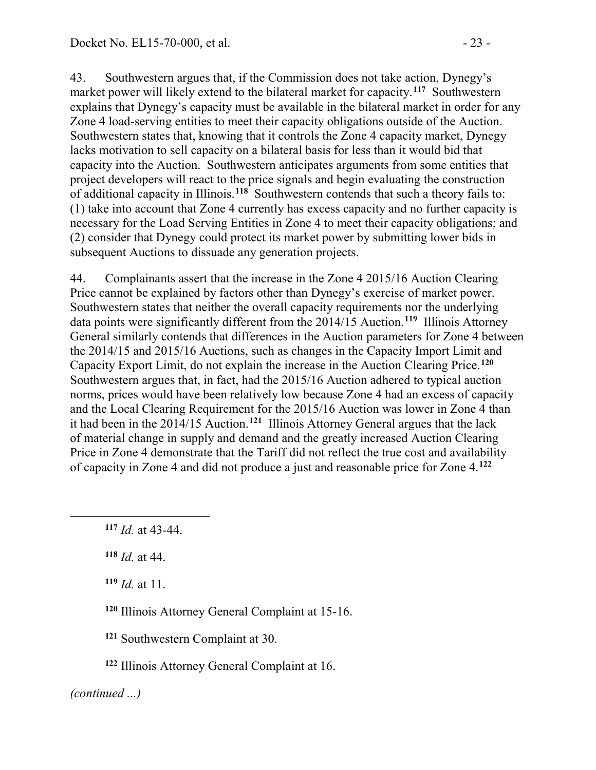43. Southwestern argues that, if the Commission does not take action, Dynegy's market power will likely extend to the bilateral market for capacity.**[117](#page-22-0)** Southwestern explains that Dynegy's capacity must be available in the bilateral market in order for any Zone 4 load-serving entities to meet their capacity obligations outside of the Auction. Southwestern states that, knowing that it controls the Zone 4 capacity market, Dynegy lacks motivation to sell capacity on a bilateral basis for less than it would bid that capacity into the Auction. Southwestern anticipates arguments from some entities that project developers will react to the price signals and begin evaluating the construction of additional capacity in Illinois.**[118](#page-22-1)** Southwestern contends that such a theory fails to: (1) take into account that Zone 4 currently has excess capacity and no further capacity is necessary for the Load Serving Entities in Zone 4 to meet their capacity obligations; and (2) consider that Dynegy could protect its market power by submitting lower bids in subsequent Auctions to dissuade any generation projects.

44. Complainants assert that the increase in the Zone 4 2015/16 Auction Clearing Price cannot be explained by factors other than Dynegy's exercise of market power. Southwestern states that neither the overall capacity requirements nor the underlying data points were significantly different from the 2014/15 Auction.**[119](#page-22-2)** Illinois Attorney General similarly contends that differences in the Auction parameters for Zone 4 between the 2014/15 and 2015/16 Auctions, such as changes in the Capacity Import Limit and Capacity Export Limit, do not explain the increase in the Auction Clearing Price.**[120](#page-22-3)** Southwestern argues that, in fact, had the 2015/16 Auction adhered to typical auction norms, prices would have been relatively low because Zone 4 had an excess of capacity and the Local Clearing Requirement for the 2015/16 Auction was lower in Zone 4 than it had been in the 2014/15 Auction. **[121](#page-22-4)** Illinois Attorney General argues that the lack of material change in supply and demand and the greatly increased Auction Clearing Price in Zone 4 demonstrate that the Tariff did not reflect the true cost and availability of capacity in Zone 4 and did not produce a just and reasonable price for Zone 4.**[122](#page-22-5)**

<span id="page-22-2"></span>**<sup>119</sup>** *Id.* at 11.

<span id="page-22-3"></span>**<sup>120</sup>** Illinois Attorney General Complaint at 15-16.

**<sup>121</sup>** Southwestern Complaint at 30.

**<sup>122</sup>** Illinois Attorney General Complaint at 16.

<span id="page-22-5"></span><span id="page-22-4"></span>*(continued ...)*

<span id="page-22-0"></span>**<sup>117</sup>** *Id.* at 43-44.

<span id="page-22-1"></span>**<sup>118</sup>** *Id.* at 44.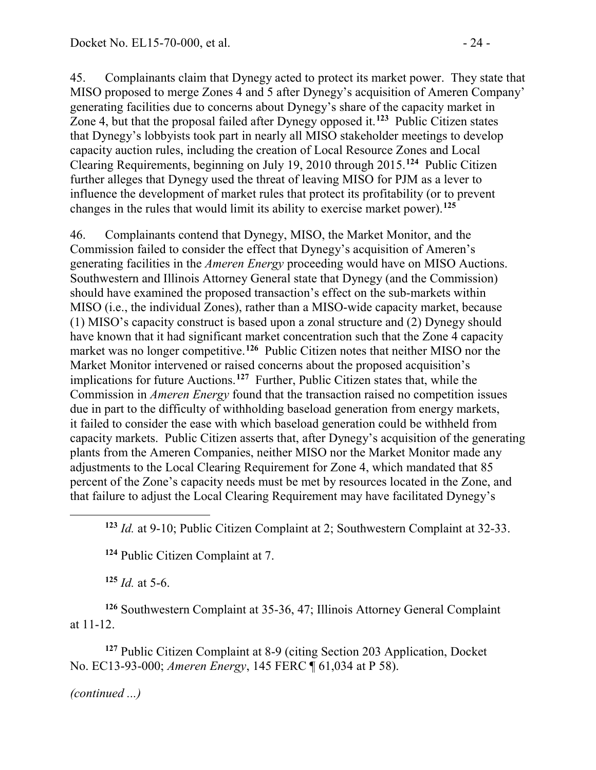45. Complainants claim that Dynegy acted to protect its market power. They state that MISO proposed to merge Zones 4 and 5 after Dynegy's acquisition of Ameren Company' generating facilities due to concerns about Dynegy's share of the capacity market in Zone 4, but that the proposal failed after Dynegy opposed it.**[123](#page-23-0)** Public Citizen states that Dynegy's lobbyists took part in nearly all MISO stakeholder meetings to develop capacity auction rules, including the creation of Local Resource Zones and Local Clearing Requirements, beginning on July 19, 2010 through 2015.**[124](#page-23-1)** Public Citizen further alleges that Dynegy used the threat of leaving MISO for PJM as a lever to influence the development of market rules that protect its profitability (or to prevent changes in the rules that would limit its ability to exercise market power).**[125](#page-23-2)**

46. Complainants contend that Dynegy, MISO, the Market Monitor, and the Commission failed to consider the effect that Dynegy's acquisition of Ameren's generating facilities in the *Ameren Energy* proceeding would have on MISO Auctions. Southwestern and Illinois Attorney General state that Dynegy (and the Commission) should have examined the proposed transaction's effect on the sub-markets within MISO (i.e., the individual Zones), rather than a MISO-wide capacity market, because (1) MISO's capacity construct is based upon a zonal structure and (2) Dynegy should have known that it had significant market concentration such that the Zone 4 capacity market was no longer competitive.<sup>[126](#page-23-3)</sup> Public Citizen notes that neither MISO nor the Market Monitor intervened or raised concerns about the proposed acquisition's implications for future Auctions. **[127](#page-23-4)** Further, Public Citizen states that, while the Commission in *Ameren Energy* found that the transaction raised no competition issues due in part to the difficulty of withholding baseload generation from energy markets, it failed to consider the ease with which baseload generation could be withheld from capacity markets. Public Citizen asserts that, after Dynegy's acquisition of the generating plants from the Ameren Companies, neither MISO nor the Market Monitor made any adjustments to the Local Clearing Requirement for Zone 4, which mandated that 85 percent of the Zone's capacity needs must be met by resources located in the Zone, and that failure to adjust the Local Clearing Requirement may have facilitated Dynegy's

**<sup>124</sup>** Public Citizen Complaint at 7.

**<sup>125</sup>** *Id.* at 5-6.

<span id="page-23-3"></span><span id="page-23-2"></span><span id="page-23-1"></span>**<sup>126</sup>** Southwestern Complaint at 35-36, 47; Illinois Attorney General Complaint at 11-12.

<span id="page-23-4"></span>**<sup>127</sup>** Public Citizen Complaint at 8-9 (citing Section 203 Application, Docket No. EC13-93-000; *Ameren Energy*, 145 FERC ¶ 61,034 at P 58).

*(continued ...)*

<span id="page-23-0"></span>**<sup>123</sup>** *Id.* at 9-10; Public Citizen Complaint at 2; Southwestern Complaint at 32-33.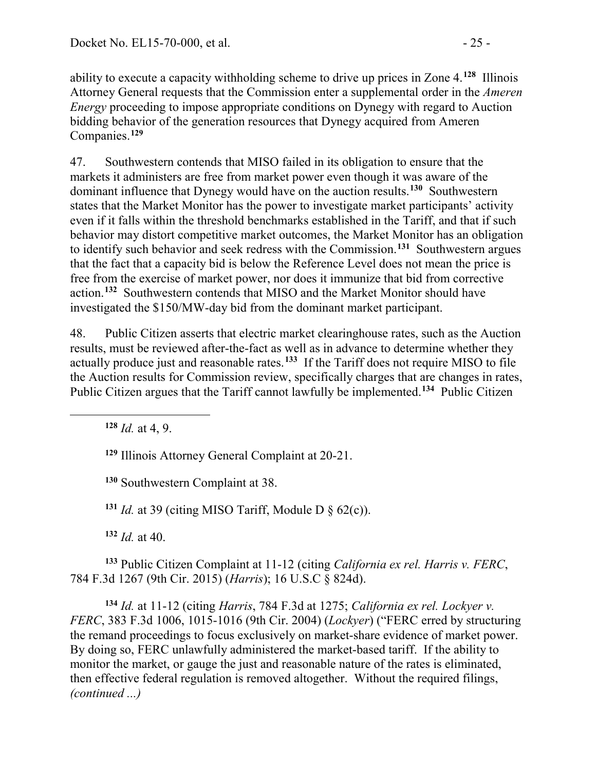ability to execute a capacity withholding scheme to drive up prices in Zone 4.**[128](#page-24-0)** Illinois Attorney General requests that the Commission enter a supplemental order in the *Ameren Energy* proceeding to impose appropriate conditions on Dynegy with regard to Auction bidding behavior of the generation resources that Dynegy acquired from Ameren Companies.**[129](#page-24-1)**

47. Southwestern contends that MISO failed in its obligation to ensure that the markets it administers are free from market power even though it was aware of the dominant influence that Dynegy would have on the auction results.**[130](#page-24-2)** Southwestern states that the Market Monitor has the power to investigate market participants' activity even if it falls within the threshold benchmarks established in the Tariff, and that if such behavior may distort competitive market outcomes, the Market Monitor has an obligation to identify such behavior and seek redress with the Commission.**[131](#page-24-3)** Southwestern argues that the fact that a capacity bid is below the Reference Level does not mean the price is free from the exercise of market power, nor does it immunize that bid from corrective action.**[132](#page-24-4)** Southwestern contends that MISO and the Market Monitor should have investigated the \$150/MW-day bid from the dominant market participant.

48. Public Citizen asserts that electric market clearinghouse rates, such as the Auction results, must be reviewed after-the-fact as well as in advance to determine whether they actually produce just and reasonable rates.**[133](#page-24-5)** If the Tariff does not require MISO to file the Auction results for Commission review, specifically charges that are changes in rates, Public Citizen argues that the Tariff cannot lawfully be implemented.**[134](#page-24-6)** Public Citizen

**<sup>128</sup>** *Id.* at 4, 9.

<span id="page-24-2"></span><span id="page-24-1"></span><span id="page-24-0"></span> $\overline{a}$ 

**<sup>129</sup>** Illinois Attorney General Complaint at 20-21.

**<sup>130</sup>** Southwestern Complaint at 38.

<sup>131</sup> *Id.* at 39 (citing MISO Tariff, Module D  $\S$  62(c)).

**<sup>132</sup>** *Id.* at 40.

<span id="page-24-5"></span><span id="page-24-4"></span><span id="page-24-3"></span>**<sup>133</sup>** Public Citizen Complaint at 11-12 (citing *California ex rel. Harris v. FERC*, 784 F.3d 1267 (9th Cir. 2015) (*Harris*); 16 U.S.C § 824d).

<span id="page-24-6"></span>**<sup>134</sup>** *Id.* at 11-12 (citing *Harris*, 784 F.3d at 1275; *California ex rel. Lockyer v. FERC*, 383 F.3d 1006, 1015-1016 (9th Cir. 2004) (*Lockyer*) ("FERC erred by structuring the remand proceedings to focus exclusively on market-share evidence of market power. By doing so, FERC unlawfully administered the market-based tariff. If the ability to monitor the market, or gauge the just and reasonable nature of the rates is eliminated, then effective federal regulation is removed altogether. Without the required filings, *(continued ...)*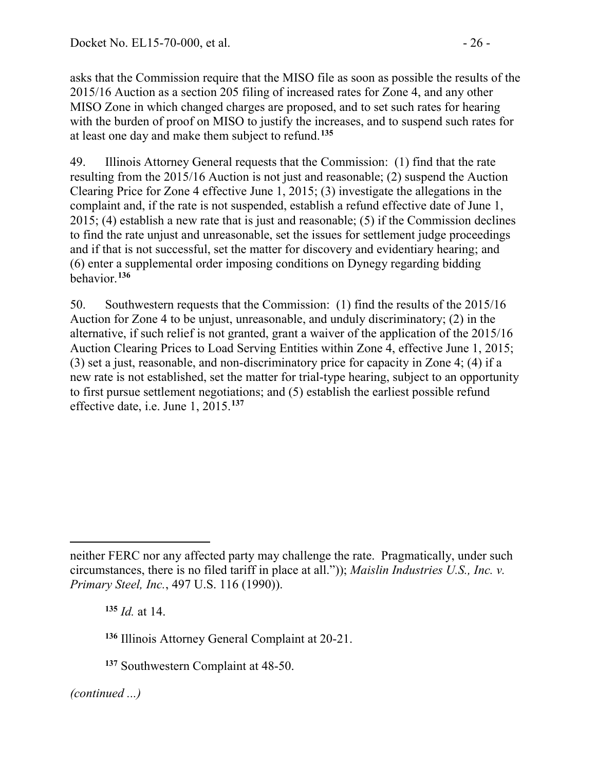asks that the Commission require that the MISO file as soon as possible the results of the 2015/16 Auction as a section 205 filing of increased rates for Zone 4, and any other MISO Zone in which changed charges are proposed, and to set such rates for hearing with the burden of proof on MISO to justify the increases, and to suspend such rates for at least one day and make them subject to refund.**[135](#page-25-0)**

49. Illinois Attorney General requests that the Commission: (1) find that the rate resulting from the 2015/16 Auction is not just and reasonable; (2) suspend the Auction Clearing Price for Zone 4 effective June 1, 2015; (3) investigate the allegations in the complaint and, if the rate is not suspended, establish a refund effective date of June 1, 2015; (4) establish a new rate that is just and reasonable; (5) if the Commission declines to find the rate unjust and unreasonable, set the issues for settlement judge proceedings and if that is not successful, set the matter for discovery and evidentiary hearing; and (6) enter a supplemental order imposing conditions on Dynegy regarding bidding behavior.**[136](#page-25-1)**

50. Southwestern requests that the Commission: (1) find the results of the 2015/16 Auction for Zone 4 to be unjust, unreasonable, and unduly discriminatory; (2) in the alternative, if such relief is not granted, grant a waiver of the application of the 2015/16 Auction Clearing Prices to Load Serving Entities within Zone 4, effective June 1, 2015; (3) set a just, reasonable, and non-discriminatory price for capacity in Zone 4; (4) if a new rate is not established, set the matter for trial-type hearing, subject to an opportunity to first pursue settlement negotiations; and (5) establish the earliest possible refund effective date, i.e. June 1, 2015. **[137](#page-25-2)**

**<sup>135</sup>** *Id.* at 14.

<span id="page-25-1"></span>**<sup>136</sup>** Illinois Attorney General Complaint at 20-21.

<span id="page-25-2"></span>**<sup>137</sup>** Southwestern Complaint at 48-50.

<span id="page-25-0"></span> $\overline{a}$ neither FERC nor any affected party may challenge the rate. Pragmatically, under such circumstances, there is no filed tariff in place at all.")); *Maislin Industries U.S., Inc. v. Primary Steel, Inc.*, 497 U.S. 116 (1990)).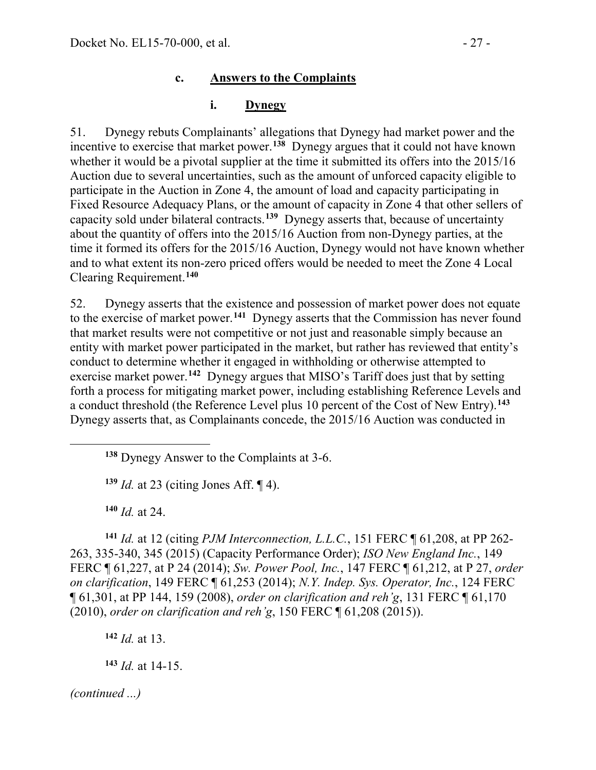#### **i. Dynegy**

51. Dynegy rebuts Complainants' allegations that Dynegy had market power and the incentive to exercise that market power.**[138](#page-26-0)** Dynegy argues that it could not have known whether it would be a pivotal supplier at the time it submitted its offers into the 2015/16 Auction due to several uncertainties, such as the amount of unforced capacity eligible to participate in the Auction in Zone 4, the amount of load and capacity participating in Fixed Resource Adequacy Plans, or the amount of capacity in Zone 4 that other sellers of capacity sold under bilateral contracts.**[139](#page-26-1)** Dynegy asserts that, because of uncertainty about the quantity of offers into the 2015/16 Auction from non-Dynegy parties, at the time it formed its offers for the 2015/16 Auction, Dynegy would not have known whether and to what extent its non-zero priced offers would be needed to meet the Zone 4 Local Clearing Requirement. **[140](#page-26-2)**

52. Dynegy asserts that the existence and possession of market power does not equate to the exercise of market power. **[141](#page-26-3)** Dynegy asserts that the Commission has never found that market results were not competitive or not just and reasonable simply because an entity with market power participated in the market, but rather has reviewed that entity's conduct to determine whether it engaged in withholding or otherwise attempted to exercise market power.<sup>[142](#page-26-4)</sup> Dynegy argues that MISO's Tariff does just that by setting forth a process for mitigating market power, including establishing Reference Levels and a conduct threshold (the Reference Level plus 10 percent of the Cost of New Entry). **[143](#page-26-5)** Dynegy asserts that, as Complainants concede, the 2015/16 Auction was conducted in

**<sup>139</sup>** *Id.* at 23 (citing Jones Aff. ¶ 4).

**<sup>140</sup>** *Id.* at 24.

<span id="page-26-1"></span><span id="page-26-0"></span> $\overline{a}$ 

<span id="page-26-3"></span><span id="page-26-2"></span>**<sup>141</sup>** *Id.* at 12 (citing *PJM Interconnection, L.L.C.*, 151 FERC ¶ 61,208, at PP 262- 263, 335-340, 345 (2015) (Capacity Performance Order); *ISO New England Inc.*, 149 FERC ¶ 61,227, at P 24 (2014); *Sw. Power Pool, Inc.*, 147 FERC ¶ 61,212, at P 27, *order on clarification*, 149 FERC ¶ 61,253 (2014); *N.Y. Indep. Sys. Operator, Inc.*, 124 FERC ¶ 61,301, at PP 144, 159 (2008), *order on clarification and reh'g*, 131 FERC ¶ 61,170 (2010), *order on clarification and reh'g*, 150 FERC ¶ 61,208 (2015)).

<span id="page-26-4"></span>**<sup>142</sup>** *Id.* at 13.

<span id="page-26-5"></span>**<sup>143</sup>** *Id.* at 14-15.

**<sup>138</sup>** Dynegy Answer to the Complaints at 3-6.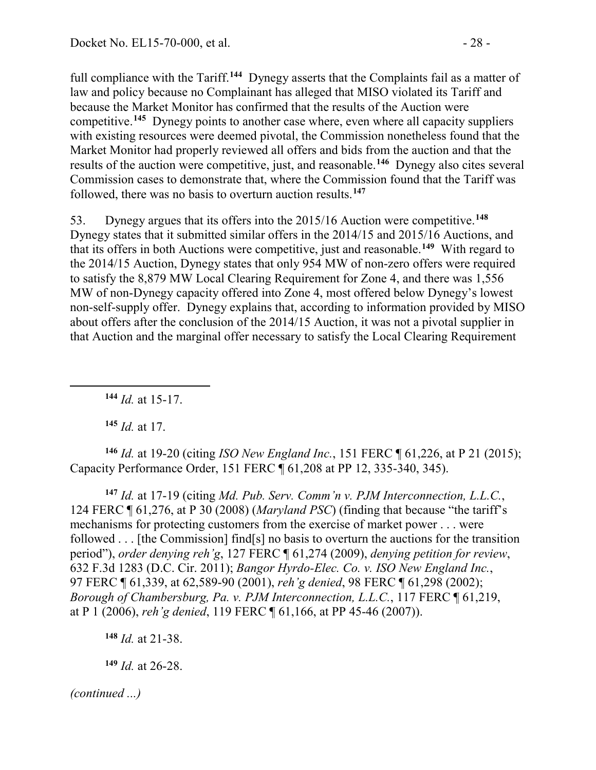full compliance with the Tariff. **[144](#page-27-0)** Dynegy asserts that the Complaints fail as a matter of law and policy because no Complainant has alleged that MISO violated its Tariff and because the Market Monitor has confirmed that the results of the Auction were competitive.**[145](#page-27-1)** Dynegy points to another case where, even where all capacity suppliers with existing resources were deemed pivotal, the Commission nonetheless found that the Market Monitor had properly reviewed all offers and bids from the auction and that the results of the auction were competitive, just, and reasonable.**[146](#page-27-2)** Dynegy also cites several Commission cases to demonstrate that, where the Commission found that the Tariff was followed, there was no basis to overturn auction results.**[147](#page-27-3)**

53. Dynegy argues that its offers into the 2015/16 Auction were competitive.**[148](#page-27-4)** Dynegy states that it submitted similar offers in the 2014/15 and 2015/16 Auctions, and that its offers in both Auctions were competitive, just and reasonable.**[149](#page-27-5)** With regard to the 2014/15 Auction, Dynegy states that only 954 MW of non-zero offers were required to satisfy the 8,879 MW Local Clearing Requirement for Zone 4, and there was 1,556 MW of non-Dynegy capacity offered into Zone 4, most offered below Dynegy's lowest non-self-supply offer. Dynegy explains that, according to information provided by MISO about offers after the conclusion of the 2014/15 Auction, it was not a pivotal supplier in that Auction and the marginal offer necessary to satisfy the Local Clearing Requirement

**<sup>144</sup>** *Id.* at 15-17.

**<sup>145</sup>** *Id.* at 17.

<span id="page-27-0"></span> $\overline{a}$ 

<span id="page-27-2"></span><span id="page-27-1"></span>**<sup>146</sup>** *Id.* at 19-20 (citing *ISO New England Inc.*, 151 FERC ¶ 61,226, at P 21 (2015); Capacity Performance Order, 151 FERC ¶ 61,208 at PP 12, 335-340, 345).

<span id="page-27-3"></span>**<sup>147</sup>** *Id.* at 17-19 (citing *Md. Pub. Serv. Comm'n v. PJM Interconnection, L.L.C.*, 124 FERC ¶ 61,276, at P 30 (2008) (*Maryland PSC*) (finding that because "the tariff's mechanisms for protecting customers from the exercise of market power . . . were followed . . . [the Commission] find[s] no basis to overturn the auctions for the transition period"), *order denying reh'g*, 127 FERC ¶ 61,274 (2009), *denying petition for review*, 632 F.3d 1283 (D.C. Cir. 2011); *Bangor Hyrdo-Elec. Co. v. ISO New England Inc.*, 97 FERC ¶ 61,339, at 62,589-90 (2001), *reh'g denied*, 98 FERC ¶ 61,298 (2002); *Borough of Chambersburg, Pa. v. PJM Interconnection, L.L.C.*, 117 FERC ¶ 61,219, at P 1 (2006), *reh'g denied*, 119 FERC ¶ 61,166, at PP 45-46 (2007)).

<span id="page-27-4"></span>**<sup>148</sup>** *Id.* at 21-38.

<span id="page-27-5"></span>**<sup>149</sup>** *Id.* at 26-28.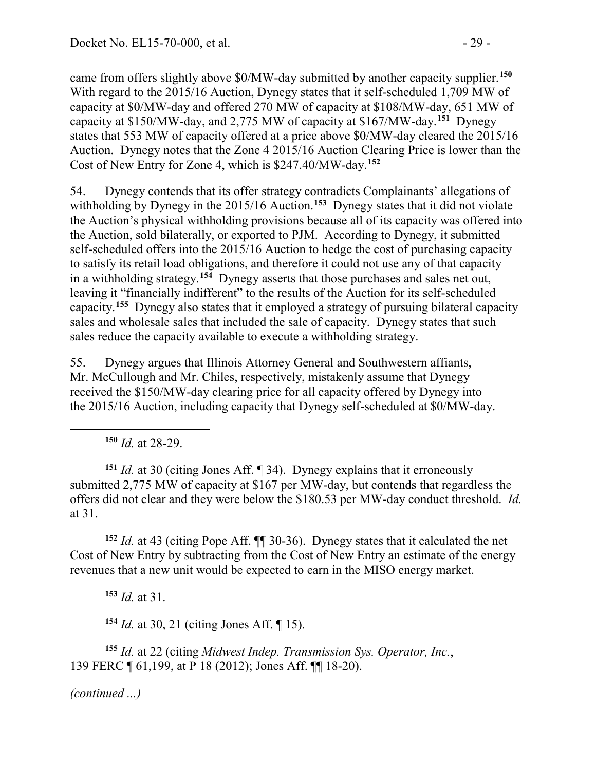came from offers slightly above \$0/MW-day submitted by another capacity supplier. **[150](#page-28-0)** With regard to the 2015/16 Auction, Dynegy states that it self-scheduled 1,709 MW of capacity at \$0/MW-day and offered 270 MW of capacity at \$108/MW-day, 651 MW of capacity at \$150/MW-day, and 2,775 MW of capacity at \$167/MW-day.**[151](#page-28-1)** Dynegy states that 553 MW of capacity offered at a price above \$0/MW-day cleared the 2015/16 Auction. Dynegy notes that the Zone 4 2015/16 Auction Clearing Price is lower than the Cost of New Entry for Zone 4, which is \$247.40/MW-day.**[152](#page-28-2)**

54. Dynegy contends that its offer strategy contradicts Complainants' allegations of withholding by Dynegy in the 2015/16 Auction.**[153](#page-28-3)** Dynegy states that it did not violate the Auction's physical withholding provisions because all of its capacity was offered into the Auction, sold bilaterally, or exported to PJM. According to Dynegy, it submitted self-scheduled offers into the 2015/16 Auction to hedge the cost of purchasing capacity to satisfy its retail load obligations, and therefore it could not use any of that capacity in a withholding strategy.**[154](#page-28-4)** Dynegy asserts that those purchases and sales net out, leaving it "financially indifferent" to the results of the Auction for its self-scheduled capacity.**[155](#page-28-5)** Dynegy also states that it employed a strategy of pursuing bilateral capacity sales and wholesale sales that included the sale of capacity. Dynegy states that such sales reduce the capacity available to execute a withholding strategy.

55. Dynegy argues that Illinois Attorney General and Southwestern affiants, Mr. McCullough and Mr. Chiles, respectively, mistakenly assume that Dynegy received the \$150/MW-day clearing price for all capacity offered by Dynegy into the 2015/16 Auction, including capacity that Dynegy self-scheduled at \$0/MW-day.

**<sup>150</sup>** *Id.* at 28-29.

<span id="page-28-0"></span> $\overline{a}$ 

<span id="page-28-1"></span>**<sup>151</sup>** *Id.* at 30 (citing Jones Aff. ¶ 34). Dynegy explains that it erroneously submitted 2,775 MW of capacity at \$167 per MW-day, but contends that regardless the offers did not clear and they were below the \$180.53 per MW-day conduct threshold. *Id.* at 31.

<span id="page-28-3"></span><span id="page-28-2"></span>**<sup>152</sup>** *Id.* at 43 (citing Pope Aff. ¶¶ 30-36). Dynegy states that it calculated the net Cost of New Entry by subtracting from the Cost of New Entry an estimate of the energy revenues that a new unit would be expected to earn in the MISO energy market.

**<sup>153</sup>** *Id.* at 31.

**<sup>154</sup>** *Id.* at 30, 21 (citing Jones Aff. ¶ 15).

<span id="page-28-5"></span><span id="page-28-4"></span>**<sup>155</sup>** *Id.* at 22 (citing *Midwest Indep. Transmission Sys. Operator, Inc.*, 139 FERC ¶ 61,199, at P 18 (2012); Jones Aff. ¶¶ 18-20).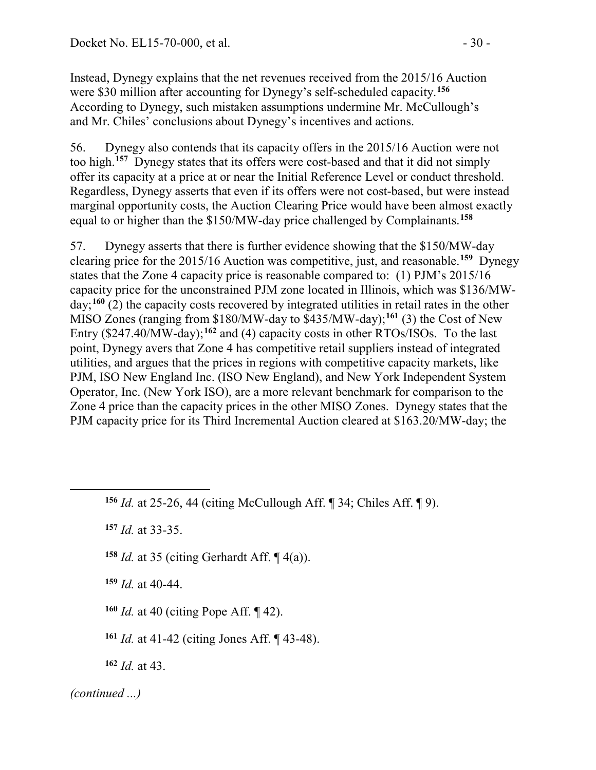Instead, Dynegy explains that the net revenues received from the 2015/16 Auction were \$30 million after accounting for Dynegy's self-scheduled capacity.**[156](#page-29-0)** According to Dynegy, such mistaken assumptions undermine Mr. McCullough's and Mr. Chiles' conclusions about Dynegy's incentives and actions.

56. Dynegy also contends that its capacity offers in the 2015/16 Auction were not too high.**[157](#page-29-1)** Dynegy states that its offers were cost-based and that it did not simply offer its capacity at a price at or near the Initial Reference Level or conduct threshold. Regardless, Dynegy asserts that even if its offers were not cost-based, but were instead marginal opportunity costs, the Auction Clearing Price would have been almost exactly equal to or higher than the \$150/MW-day price challenged by Complainants.**[158](#page-29-2)**

57. Dynegy asserts that there is further evidence showing that the \$150/MW-day clearing price for the 2015/16 Auction was competitive, just, and reasonable.**[159](#page-29-3)** Dynegy states that the Zone 4 capacity price is reasonable compared to: (1) PJM's 2015/16 capacity price for the unconstrained PJM zone located in Illinois, which was \$136/MWday;**[160](#page-29-4)** (2) the capacity costs recovered by integrated utilities in retail rates in the other MISO Zones (ranging from \$180/MW-day to \$435/MW-day);**[161](#page-29-5)** (3) the Cost of New Entry (\$247.40/MW-day);**[162](#page-29-6)** and (4) capacity costs in other RTOs/ISOs. To the last point, Dynegy avers that Zone 4 has competitive retail suppliers instead of integrated utilities, and argues that the prices in regions with competitive capacity markets, like PJM, ISO New England Inc. (ISO New England), and New York Independent System Operator, Inc. (New York ISO), are a more relevant benchmark for comparison to the Zone 4 price than the capacity prices in the other MISO Zones. Dynegy states that the PJM capacity price for its Third Incremental Auction cleared at \$163.20/MW-day; the

<span id="page-29-1"></span>**<sup>157</sup>** *Id.* at 33-35.

<span id="page-29-2"></span>**<sup>158</sup>** *Id.* at 35 (citing Gerhardt Aff. ¶ 4(a)).

<span id="page-29-3"></span>**<sup>159</sup>** *Id.* at 40-44.

<span id="page-29-4"></span>**<sup>160</sup>** *Id.* at 40 (citing Pope Aff. ¶ 42).

**<sup>161</sup>** *Id.* at 41-42 (citing Jones Aff. ¶ 43-48).

**<sup>162</sup>** *Id.* at 43.

<span id="page-29-6"></span><span id="page-29-5"></span>*(continued ...)*

<span id="page-29-0"></span>**<sup>156</sup>** *Id.* at 25-26, 44 (citing McCullough Aff. ¶ 34; Chiles Aff. ¶ 9).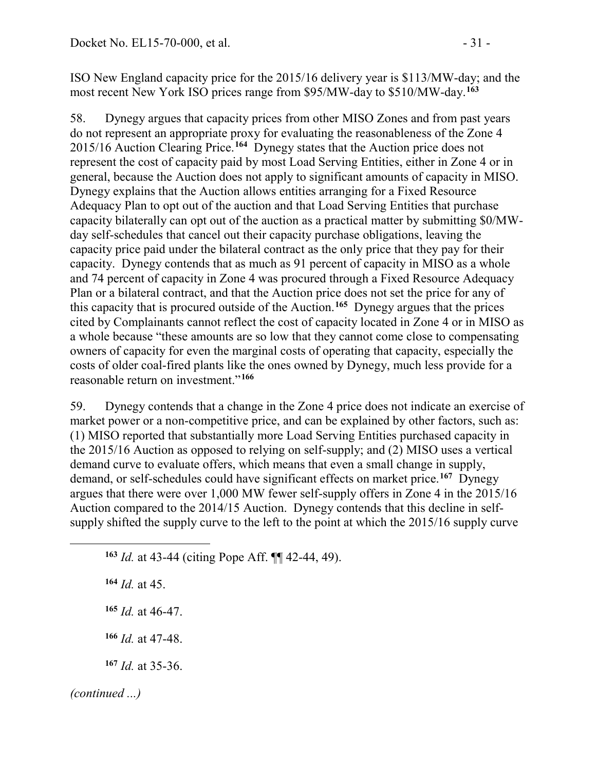ISO New England capacity price for the 2015/16 delivery year is \$113/MW-day; and the most recent New York ISO prices range from \$95/MW-day to \$510/MW-day.**[163](#page-30-0)**

58. Dynegy argues that capacity prices from other MISO Zones and from past years do not represent an appropriate proxy for evaluating the reasonableness of the Zone 4 2015/16 Auction Clearing Price.**[164](#page-30-1)** Dynegy states that the Auction price does not represent the cost of capacity paid by most Load Serving Entities, either in Zone 4 or in general, because the Auction does not apply to significant amounts of capacity in MISO. Dynegy explains that the Auction allows entities arranging for a Fixed Resource Adequacy Plan to opt out of the auction and that Load Serving Entities that purchase capacity bilaterally can opt out of the auction as a practical matter by submitting \$0/MWday self-schedules that cancel out their capacity purchase obligations, leaving the capacity price paid under the bilateral contract as the only price that they pay for their capacity. Dynegy contends that as much as 91 percent of capacity in MISO as a whole and 74 percent of capacity in Zone 4 was procured through a Fixed Resource Adequacy Plan or a bilateral contract, and that the Auction price does not set the price for any of this capacity that is procured outside of the Auction.**[165](#page-30-2)** Dynegy argues that the prices cited by Complainants cannot reflect the cost of capacity located in Zone 4 or in MISO as a whole because "these amounts are so low that they cannot come close to compensating owners of capacity for even the marginal costs of operating that capacity, especially the costs of older coal-fired plants like the ones owned by Dynegy, much less provide for a reasonable return on investment."**[166](#page-30-3)**

59. Dynegy contends that a change in the Zone 4 price does not indicate an exercise of market power or a non-competitive price, and can be explained by other factors, such as: (1) MISO reported that substantially more Load Serving Entities purchased capacity in the 2015/16 Auction as opposed to relying on self-supply; and (2) MISO uses a vertical demand curve to evaluate offers, which means that even a small change in supply, demand, or self-schedules could have significant effects on market price. **[167](#page-30-4)** Dynegy argues that there were over 1,000 MW fewer self-supply offers in Zone 4 in the 2015/16 Auction compared to the 2014/15 Auction. Dynegy contends that this decline in selfsupply shifted the supply curve to the left to the point at which the 2015/16 supply curve

<span id="page-30-0"></span>**<sup>163</sup>** *Id.* at 43-44 (citing Pope Aff. ¶¶ 42-44, 49).

<span id="page-30-1"></span>**<sup>164</sup>** *Id.* at 45.

<span id="page-30-2"></span>**<sup>165</sup>** *Id.* at 46-47.

**<sup>166</sup>** *Id.* at 47-48.

**<sup>167</sup>** *Id.* at 35-36.

<span id="page-30-4"></span><span id="page-30-3"></span>*(continued ...)*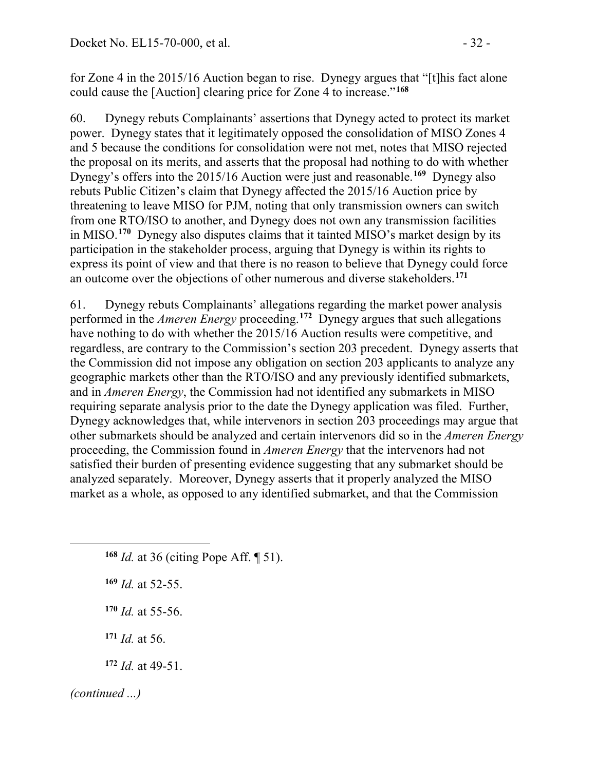for Zone 4 in the 2015/16 Auction began to rise. Dynegy argues that "[t]his fact alone could cause the [Auction] clearing price for Zone 4 to increase."**[168](#page-31-0)**

60. Dynegy rebuts Complainants' assertions that Dynegy acted to protect its market power. Dynegy states that it legitimately opposed the consolidation of MISO Zones 4 and 5 because the conditions for consolidation were not met, notes that MISO rejected the proposal on its merits, and asserts that the proposal had nothing to do with whether Dynegy's offers into the 2015/16 Auction were just and reasonable.**[169](#page-31-1)** Dynegy also rebuts Public Citizen's claim that Dynegy affected the 2015/16 Auction price by threatening to leave MISO for PJM, noting that only transmission owners can switch from one RTO/ISO to another, and Dynegy does not own any transmission facilities in MISO.**[170](#page-31-2)** Dynegy also disputes claims that it tainted MISO's market design by its participation in the stakeholder process, arguing that Dynegy is within its rights to express its point of view and that there is no reason to believe that Dynegy could force an outcome over the objections of other numerous and diverse stakeholders.**[171](#page-31-3)**

61. Dynegy rebuts Complainants' allegations regarding the market power analysis performed in the *Ameren Energy* proceeding.**[172](#page-31-4)** Dynegy argues that such allegations have nothing to do with whether the 2015/16 Auction results were competitive, and regardless, are contrary to the Commission's section 203 precedent. Dynegy asserts that the Commission did not impose any obligation on section 203 applicants to analyze any geographic markets other than the RTO/ISO and any previously identified submarkets, and in *Ameren Energy*, the Commission had not identified any submarkets in MISO requiring separate analysis prior to the date the Dynegy application was filed. Further, Dynegy acknowledges that, while intervenors in section 203 proceedings may argue that other submarkets should be analyzed and certain intervenors did so in the *Ameren Energy* proceeding, the Commission found in *Ameren Energy* that the intervenors had not satisfied their burden of presenting evidence suggesting that any submarket should be analyzed separately. Moreover, Dynegy asserts that it properly analyzed the MISO market as a whole, as opposed to any identified submarket, and that the Commission

- <span id="page-31-0"></span>**<sup>168</sup>** *Id.* at 36 (citing Pope Aff. ¶ 51).
- <span id="page-31-1"></span>**<sup>169</sup>** *Id.* at 52-55.
- <span id="page-31-2"></span>**<sup>170</sup>** *Id.* at 55-56.
- **<sup>171</sup>** *Id.* at 56.
- **<sup>172</sup>** *Id.* at 49-51.
- <span id="page-31-4"></span><span id="page-31-3"></span>*(continued ...)*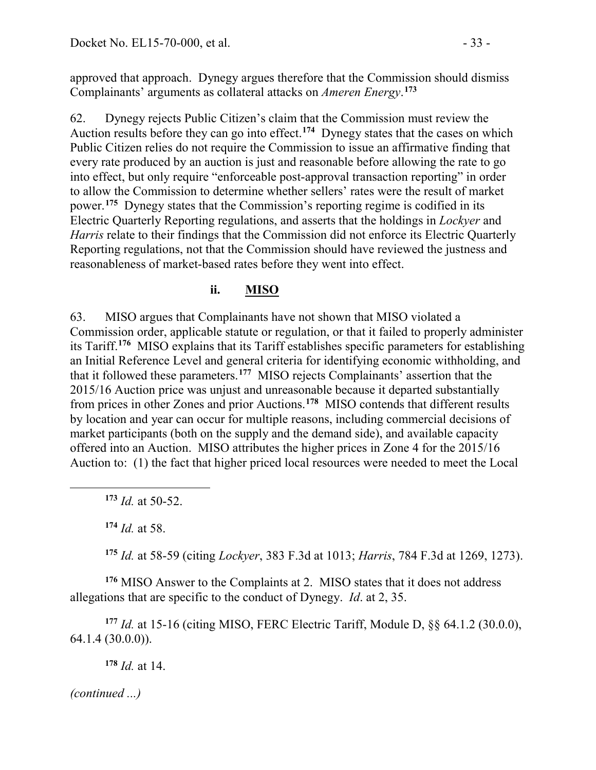approved that approach. Dynegy argues therefore that the Commission should dismiss Complainants' arguments as collateral attacks on *Ameren Energy*. **[173](#page-32-0)**

62. Dynegy rejects Public Citizen's claim that the Commission must review the Auction results before they can go into effect.**[174](#page-32-1)** Dynegy states that the cases on which Public Citizen relies do not require the Commission to issue an affirmative finding that every rate produced by an auction is just and reasonable before allowing the rate to go into effect, but only require "enforceable post-approval transaction reporting" in order to allow the Commission to determine whether sellers' rates were the result of market power.**[175](#page-32-2)** Dynegy states that the Commission's reporting regime is codified in its Electric Quarterly Reporting regulations, and asserts that the holdings in *Lockyer* and *Harris* relate to their findings that the Commission did not enforce its Electric Quarterly Reporting regulations, not that the Commission should have reviewed the justness and reasonableness of market-based rates before they went into effect.

#### **ii. MISO**

63. MISO argues that Complainants have not shown that MISO violated a Commission order, applicable statute or regulation, or that it failed to properly administer its Tariff.**[176](#page-32-3)** MISO explains that its Tariff establishes specific parameters for establishing an Initial Reference Level and general criteria for identifying economic withholding, and that it followed these parameters.**[177](#page-32-4)** MISO rejects Complainants' assertion that the 2015/16 Auction price was unjust and unreasonable because it departed substantially from prices in other Zones and prior Auctions.**[178](#page-32-5)** MISO contends that different results by location and year can occur for multiple reasons, including commercial decisions of market participants (both on the supply and the demand side), and available capacity offered into an Auction. MISO attributes the higher prices in Zone 4 for the 2015/16 Auction to: (1) the fact that higher priced local resources were needed to meet the Local

**<sup>173</sup>** *Id.* at 50-52.

**<sup>174</sup>** *Id.* at 58.

<span id="page-32-1"></span><span id="page-32-0"></span> $\overline{a}$ 

**<sup>175</sup>** *Id.* at 58-59 (citing *Lockyer*, 383 F.3d at 1013; *Harris*, 784 F.3d at 1269, 1273).

<span id="page-32-3"></span><span id="page-32-2"></span>**<sup>176</sup>** MISO Answer to the Complaints at 2. MISO states that it does not address allegations that are specific to the conduct of Dynegy. *Id*. at 2, 35.

<span id="page-32-5"></span><span id="page-32-4"></span>**<sup>177</sup>** *Id.* at 15-16 (citing MISO, FERC Electric Tariff, Module D, §§ 64.1.2 (30.0.0), 64.1.4 (30.0.0)).

**<sup>178</sup>** *Id.* at 14.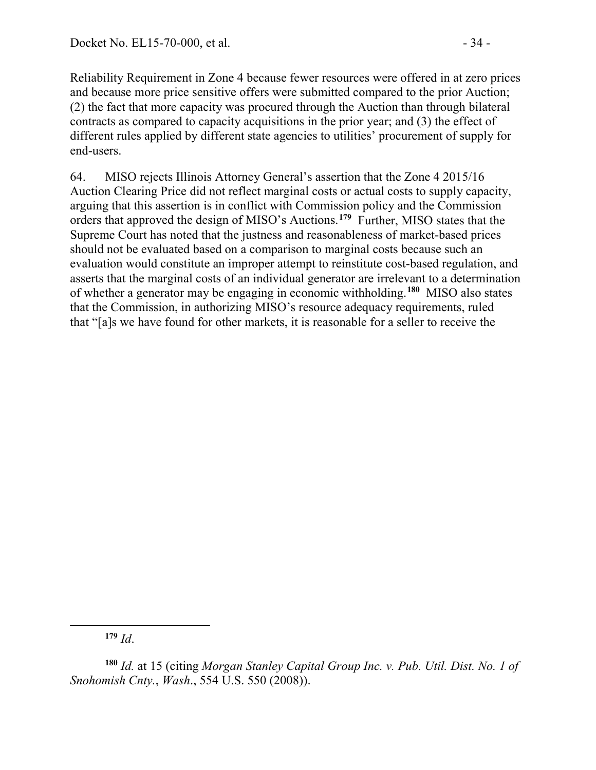Reliability Requirement in Zone 4 because fewer resources were offered in at zero prices and because more price sensitive offers were submitted compared to the prior Auction; (2) the fact that more capacity was procured through the Auction than through bilateral contracts as compared to capacity acquisitions in the prior year; and (3) the effect of different rules applied by different state agencies to utilities' procurement of supply for end-users.

64. MISO rejects Illinois Attorney General's assertion that the Zone 4 2015/16 Auction Clearing Price did not reflect marginal costs or actual costs to supply capacity, arguing that this assertion is in conflict with Commission policy and the Commission orders that approved the design of MISO's Auctions.**[179](#page-33-0)** Further, MISO states that the Supreme Court has noted that the justness and reasonableness of market-based prices should not be evaluated based on a comparison to marginal costs because such an evaluation would constitute an improper attempt to reinstitute cost-based regulation, and asserts that the marginal costs of an individual generator are irrelevant to a determination of whether a generator may be engaging in economic withholding. **[180](#page-33-1)** MISO also states that the Commission, in authorizing MISO's resource adequacy requirements, ruled that "[a]s we have found for other markets, it is reasonable for a seller to receive the

**<sup>179</sup>** *Id*.

<span id="page-33-1"></span><span id="page-33-0"></span>**<sup>180</sup>** *Id.* at 15 (citing *Morgan Stanley Capital Group Inc. v. Pub. Util. Dist. No. 1 of Snohomish Cnty.*, *Wash*., 554 U.S. 550 (2008)).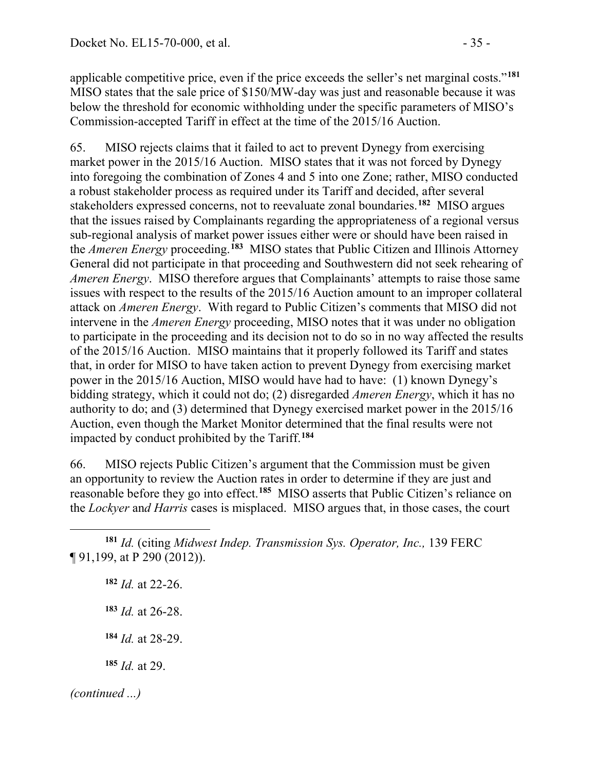applicable competitive price, even if the price exceeds the seller's net marginal costs."**[181](#page-34-0)** MISO states that the sale price of \$150/MW-day was just and reasonable because it was below the threshold for economic withholding under the specific parameters of MISO's Commission-accepted Tariff in effect at the time of the 2015/16 Auction.

65. MISO rejects claims that it failed to act to prevent Dynegy from exercising market power in the 2015/16 Auction. MISO states that it was not forced by Dynegy into foregoing the combination of Zones 4 and 5 into one Zone; rather, MISO conducted a robust stakeholder process as required under its Tariff and decided, after several stakeholders expressed concerns, not to reevaluate zonal boundaries.**[182](#page-34-1)** MISO argues that the issues raised by Complainants regarding the appropriateness of a regional versus sub-regional analysis of market power issues either were or should have been raised in the *Ameren Energy* proceeding.**[183](#page-34-2)** MISO states that Public Citizen and Illinois Attorney General did not participate in that proceeding and Southwestern did not seek rehearing of *Ameren Energy*. MISO therefore argues that Complainants' attempts to raise those same issues with respect to the results of the 2015/16 Auction amount to an improper collateral attack on *Ameren Energy*. With regard to Public Citizen's comments that MISO did not intervene in the *Ameren Energy* proceeding, MISO notes that it was under no obligation to participate in the proceeding and its decision not to do so in no way affected the results of the 2015/16 Auction. MISO maintains that it properly followed its Tariff and states that, in order for MISO to have taken action to prevent Dynegy from exercising market power in the 2015/16 Auction, MISO would have had to have: (1) known Dynegy's bidding strategy, which it could not do; (2) disregarded *Ameren Energy*, which it has no authority to do; and (3) determined that Dynegy exercised market power in the 2015/16 Auction, even though the Market Monitor determined that the final results were not impacted by conduct prohibited by the Tariff.**[184](#page-34-3)**

66. MISO rejects Public Citizen's argument that the Commission must be given an opportunity to review the Auction rates in order to determine if they are just and reasonable before they go into effect.**[185](#page-34-4)** MISO asserts that Public Citizen's reliance on the *Lockyer* an*d Harris* cases is misplaced. MISO argues that, in those cases, the court

 *Id.* at 22-26. *Id.* at 26-28. *Id.* at 28-29. *Id.* at 29.

<span id="page-34-4"></span><span id="page-34-3"></span>

<span id="page-34-2"></span><span id="page-34-1"></span><span id="page-34-0"></span> $\overline{a}$ **<sup>181</sup>** *Id.* (citing *Midwest Indep. Transmission Sys. Operator, Inc.,* 139 FERC ¶ 91,199, at P 290 (2012)).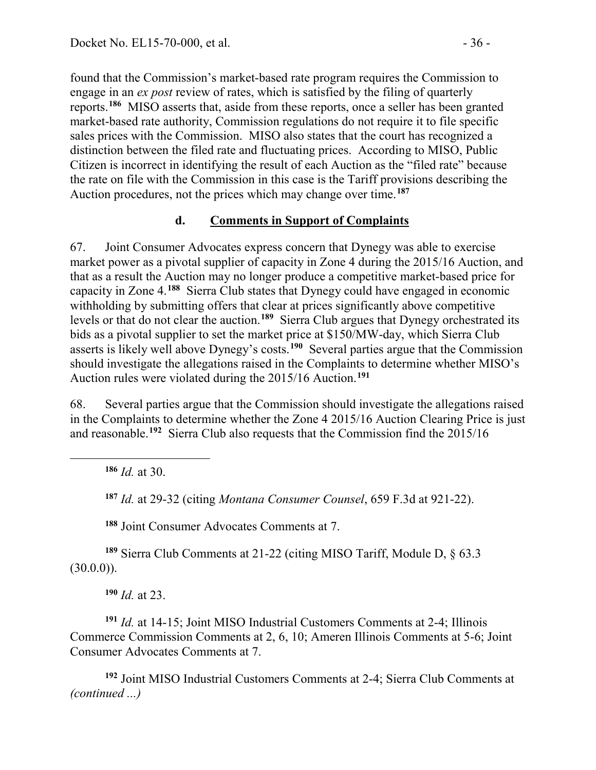found that the Commission's market-based rate program requires the Commission to engage in an *ex post* review of rates, which is satisfied by the filing of quarterly reports.**[186](#page-35-0)** MISO asserts that, aside from these reports, once a seller has been granted market-based rate authority, Commission regulations do not require it to file specific sales prices with the Commission. MISO also states that the court has recognized a distinction between the filed rate and fluctuating prices. According to MISO, Public Citizen is incorrect in identifying the result of each Auction as the "filed rate" because the rate on file with the Commission in this case is the Tariff provisions describing the Auction procedures, not the prices which may change over time.**[187](#page-35-1)**

#### **d. Comments in Support of Complaints**

67. Joint Consumer Advocates express concern that Dynegy was able to exercise market power as a pivotal supplier of capacity in Zone 4 during the 2015/16 Auction, and that as a result the Auction may no longer produce a competitive market-based price for capacity in Zone 4.**[188](#page-35-2)** Sierra Club states that Dynegy could have engaged in economic withholding by submitting offers that clear at prices significantly above competitive levels or that do not clear the auction.**[189](#page-35-3)** Sierra Club argues that Dynegy orchestrated its bids as a pivotal supplier to set the market price at \$150/MW-day, which Sierra Club asserts is likely well above Dynegy's costs.**[190](#page-35-4)** Several parties argue that the Commission should investigate the allegations raised in the Complaints to determine whether MISO's Auction rules were violated during the 2015/16 Auction.**[191](#page-35-5)**

68. Several parties argue that the Commission should investigate the allegations raised in the Complaints to determine whether the Zone 4 2015/16 Auction Clearing Price is just and reasonable.**[192](#page-35-6)** Sierra Club also requests that the Commission find the 2015/16

**<sup>186</sup>** *Id.* at 30.

<span id="page-35-1"></span><span id="page-35-0"></span> $\overline{a}$ 

**<sup>187</sup>** *Id.* at 29-32 (citing *Montana Consumer Counsel*, 659 F.3d at 921-22).

**<sup>188</sup>** Joint Consumer Advocates Comments at 7.

<span id="page-35-3"></span><span id="page-35-2"></span>**<sup>189</sup>** Sierra Club Comments at 21-22 (citing MISO Tariff, Module D, § 63.3  $(30.0.0)$ ).

**<sup>190</sup>** *Id.* at 23.

<span id="page-35-5"></span><span id="page-35-4"></span>**<sup>191</sup>** *Id.* at 14-15; Joint MISO Industrial Customers Comments at 2-4; Illinois Commerce Commission Comments at 2, 6, 10; Ameren Illinois Comments at 5-6; Joint Consumer Advocates Comments at 7.

<span id="page-35-6"></span>**<sup>192</sup>** Joint MISO Industrial Customers Comments at 2-4; Sierra Club Comments at *(continued ...)*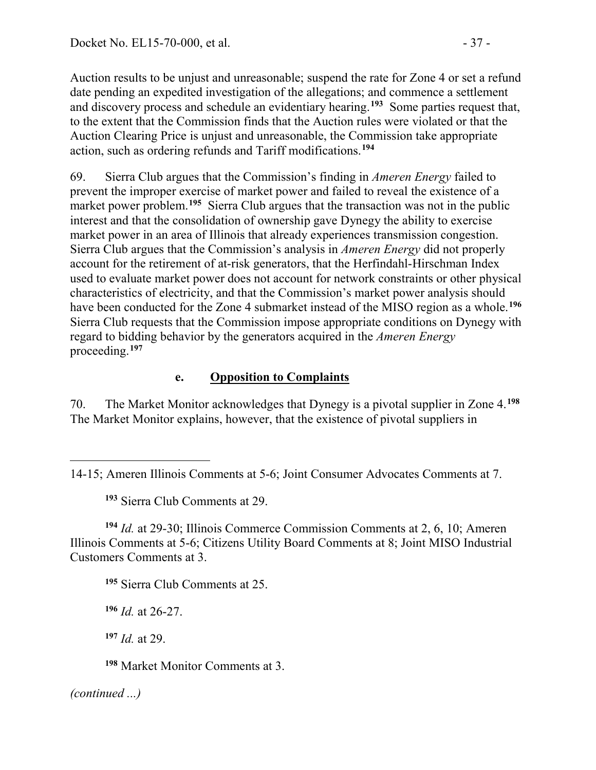Auction results to be unjust and unreasonable; suspend the rate for Zone 4 or set a refund date pending an expedited investigation of the allegations; and commence a settlement and discovery process and schedule an evidentiary hearing.**[193](#page-36-0)** Some parties request that, to the extent that the Commission finds that the Auction rules were violated or that the Auction Clearing Price is unjust and unreasonable, the Commission take appropriate action, such as ordering refunds and Tariff modifications.**[194](#page-36-1)**

69. Sierra Club argues that the Commission's finding in *Ameren Energy* failed to prevent the improper exercise of market power and failed to reveal the existence of a market power problem.<sup>[195](#page-36-2)</sup> Sierra Club argues that the transaction was not in the public interest and that the consolidation of ownership gave Dynegy the ability to exercise market power in an area of Illinois that already experiences transmission congestion. Sierra Club argues that the Commission's analysis in *Ameren Energy* did not properly account for the retirement of at-risk generators, that the Herfindahl-Hirschman Index used to evaluate market power does not account for network constraints or other physical characteristics of electricity, and that the Commission's market power analysis should have been conducted for the Zone 4 submarket instead of the MISO region as a whole.**[196](#page-36-3)** Sierra Club requests that the Commission impose appropriate conditions on Dynegy with regard to bidding behavior by the generators acquired in the *Ameren Energy*  proceeding.**[197](#page-36-4)**

### **e. Opposition to Complaints**

70. The Market Monitor acknowledges that Dynegy is a pivotal supplier in Zone 4.**[198](#page-36-5)** The Market Monitor explains, however, that the existence of pivotal suppliers in

**<sup>195</sup>** Sierra Club Comments at 25.

<span id="page-36-3"></span>**<sup>196</sup>** *Id.* at 26-27.

**<sup>197</sup>** *Id.* at 29.

**<sup>198</sup>** Market Monitor Comments at 3.

<span id="page-36-5"></span><span id="page-36-4"></span>*(continued ...)*

<span id="page-36-0"></span><sup>14-15;</sup> Ameren Illinois Comments at 5-6; Joint Consumer Advocates Comments at 7.

**<sup>193</sup>** Sierra Club Comments at 29.

<span id="page-36-2"></span><span id="page-36-1"></span>**<sup>194</sup>** *Id.* at 29-30; Illinois Commerce Commission Comments at 2, 6, 10; Ameren Illinois Comments at 5-6; Citizens Utility Board Comments at 8; Joint MISO Industrial Customers Comments at 3.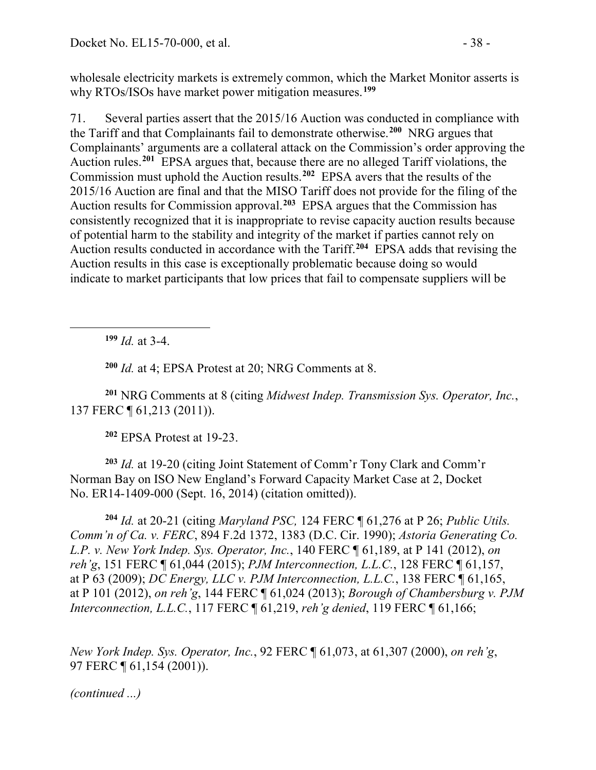wholesale electricity markets is extremely common, which the Market Monitor asserts is why RTOs/ISOs have market power mitigation measures.**[199](#page-37-0)**

71. Several parties assert that the 2015/16 Auction was conducted in compliance with the Tariff and that Complainants fail to demonstrate otherwise.**[200](#page-37-1)** NRG argues that Complainants' arguments are a collateral attack on the Commission's order approving the Auction rules.**[201](#page-37-2)** EPSA argues that, because there are no alleged Tariff violations, the Commission must uphold the Auction results.**[202](#page-37-3)** EPSA avers that the results of the 2015/16 Auction are final and that the MISO Tariff does not provide for the filing of the Auction results for Commission approval.**[203](#page-37-4)** EPSA argues that the Commission has consistently recognized that it is inappropriate to revise capacity auction results because of potential harm to the stability and integrity of the market if parties cannot rely on Auction results conducted in accordance with the Tariff.**[204](#page-37-5)** EPSA adds that revising the Auction results in this case is exceptionally problematic because doing so would indicate to market participants that low prices that fail to compensate suppliers will be

**<sup>199</sup>** *Id.* at 3-4.

<span id="page-37-0"></span> $\overline{a}$ 

**<sup>200</sup>** *Id.* at 4; EPSA Protest at 20; NRG Comments at 8.

<span id="page-37-2"></span><span id="page-37-1"></span>**<sup>201</sup>** NRG Comments at 8 (citing *Midwest Indep. Transmission Sys. Operator, Inc.*, 137 FERC ¶ 61,213 (2011)).

**<sup>202</sup>** EPSA Protest at 19-23.

<span id="page-37-4"></span><span id="page-37-3"></span>**<sup>203</sup>** *Id.* at 19-20 (citing Joint Statement of Comm'r Tony Clark and Comm'r Norman Bay on ISO New England's Forward Capacity Market Case at 2, Docket No. ER14-1409-000 (Sept. 16, 2014) (citation omitted)).

<span id="page-37-5"></span>**<sup>204</sup>** *Id.* at 20-21 (citing *Maryland PSC,* 124 FERC ¶ 61,276 at P 26; *Public Utils. Comm'n of Ca. v. FERC*, 894 F.2d 1372, 1383 (D.C. Cir. 1990); *Astoria Generating Co. L.P. v. New York Indep. Sys. Operator, Inc.*, 140 FERC ¶ 61,189, at P 141 (2012), *on reh'g*, 151 FERC ¶ 61,044 (2015); *PJM Interconnection, L.L.C.*, 128 FERC ¶ 61,157, at P 63 (2009); *DC Energy, LLC v. PJM Interconnection, L.L.C.*, 138 FERC ¶ 61,165, at P 101 (2012), *on reh'g*, 144 FERC ¶ 61,024 (2013); *Borough of Chambersburg v. PJM Interconnection, L.L.C.*, 117 FERC ¶ 61,219, *reh'g denied*, 119 FERC ¶ 61,166;

*New York Indep. Sys. Operator, Inc.*, 92 FERC ¶ 61,073, at 61,307 (2000), *on reh'g*, 97 FERC ¶ 61,154 (2001)).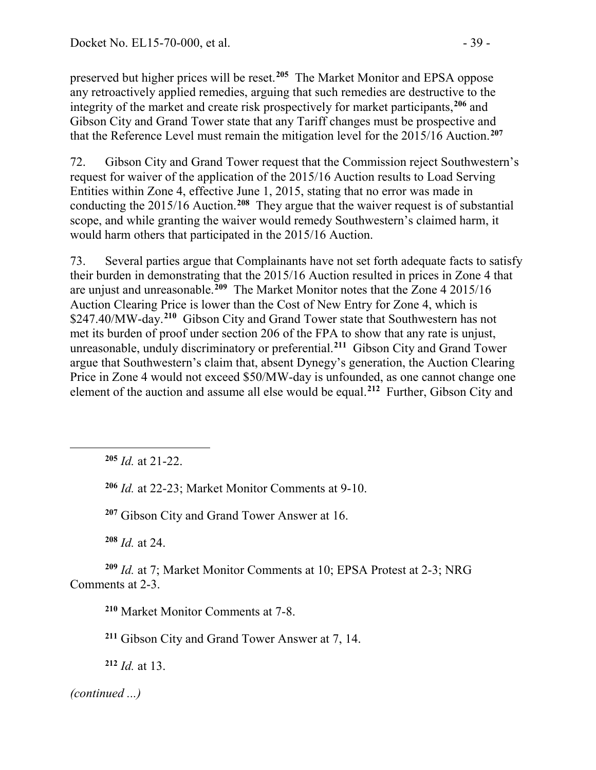preserved but higher prices will be reset.**[205](#page-38-0)** The Market Monitor and EPSA oppose any retroactively applied remedies, arguing that such remedies are destructive to the integrity of the market and create risk prospectively for market participants,**[206](#page-38-1)** and Gibson City and Grand Tower state that any Tariff changes must be prospective and that the Reference Level must remain the mitigation level for the 2015/16 Auction.**[207](#page-38-2)**

72. Gibson City and Grand Tower request that the Commission reject Southwestern's request for waiver of the application of the 2015/16 Auction results to Load Serving Entities within Zone 4, effective June 1, 2015, stating that no error was made in conducting the 2015/16 Auction. **[208](#page-38-3)** They argue that the waiver request is of substantial scope, and while granting the waiver would remedy Southwestern's claimed harm, it would harm others that participated in the 2015/16 Auction.

73. Several parties argue that Complainants have not set forth adequate facts to satisfy their burden in demonstrating that the 2015/16 Auction resulted in prices in Zone 4 that are unjust and unreasonable.**[209](#page-38-4)** The Market Monitor notes that the Zone 4 2015/16 Auction Clearing Price is lower than the Cost of New Entry for Zone 4, which is \$247.40/MW-day.**[210](#page-38-5)** Gibson City and Grand Tower state that Southwestern has not met its burden of proof under section 206 of the FPA to show that any rate is unjust, unreasonable, unduly discriminatory or preferential.**[211](#page-38-6)** Gibson City and Grand Tower argue that Southwestern's claim that, absent Dynegy's generation, the Auction Clearing Price in Zone 4 would not exceed \$50/MW-day is unfounded, as one cannot change one element of the auction and assume all else would be equal.**[212](#page-38-7)** Further, Gibson City and

**<sup>205</sup>** *Id.* at 21-22.

<span id="page-38-1"></span><span id="page-38-0"></span> $\overline{a}$ 

**<sup>206</sup>** *Id.* at 22-23; Market Monitor Comments at 9-10.

**<sup>207</sup>** Gibson City and Grand Tower Answer at 16.

**<sup>208</sup>** *Id.* at 24.

<span id="page-38-6"></span><span id="page-38-5"></span><span id="page-38-4"></span><span id="page-38-3"></span><span id="page-38-2"></span>**<sup>209</sup>** *Id.* at 7; Market Monitor Comments at 10; EPSA Protest at 2-3; NRG Comments at 2-3.

**<sup>210</sup>** Market Monitor Comments at 7-8.

**<sup>211</sup>** Gibson City and Grand Tower Answer at 7, 14.

<span id="page-38-7"></span>**<sup>212</sup>** *Id.* at 13.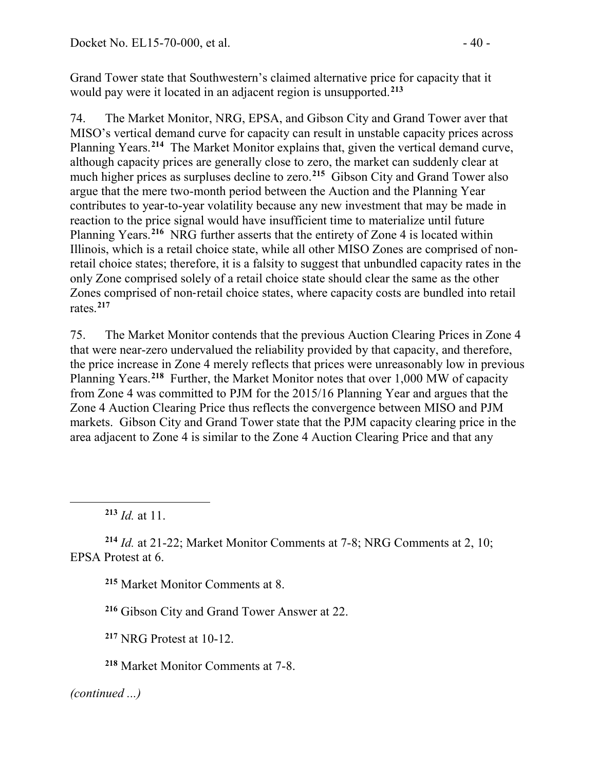Grand Tower state that Southwestern's claimed alternative price for capacity that it would pay were it located in an adjacent region is unsupported.**[213](#page-39-0)**

74. The Market Monitor, NRG, EPSA, and Gibson City and Grand Tower aver that MISO's vertical demand curve for capacity can result in unstable capacity prices across Planning Years.**[214](#page-39-1)** The Market Monitor explains that, given the vertical demand curve, although capacity prices are generally close to zero, the market can suddenly clear at much higher prices as surpluses decline to zero.**[215](#page-39-2)** Gibson City and Grand Tower also argue that the mere two-month period between the Auction and the Planning Year contributes to year-to-year volatility because any new investment that may be made in reaction to the price signal would have insufficient time to materialize until future Planning Years.**[216](#page-39-3)** NRG further asserts that the entirety of Zone 4 is located within Illinois, which is a retail choice state, while all other MISO Zones are comprised of nonretail choice states; therefore, it is a falsity to suggest that unbundled capacity rates in the only Zone comprised solely of a retail choice state should clear the same as the other Zones comprised of non‐retail choice states, where capacity costs are bundled into retail rates. **[217](#page-39-4)**

75. The Market Monitor contends that the previous Auction Clearing Prices in Zone 4 that were near-zero undervalued the reliability provided by that capacity, and therefore, the price increase in Zone 4 merely reflects that prices were unreasonably low in previous Planning Years.**[218](#page-39-5)** Further, the Market Monitor notes that over 1,000 MW of capacity from Zone 4 was committed to PJM for the 2015/16 Planning Year and argues that the Zone 4 Auction Clearing Price thus reflects the convergence between MISO and PJM markets. Gibson City and Grand Tower state that the PJM capacity clearing price in the area adjacent to Zone 4 is similar to the Zone 4 Auction Clearing Price and that any

<span id="page-39-0"></span> $\overline{a}$ 

<span id="page-39-3"></span><span id="page-39-2"></span><span id="page-39-1"></span>**<sup>214</sup>** *Id.* at 21-22; Market Monitor Comments at 7-8; NRG Comments at 2, 10; EPSA Protest at 6.

**<sup>215</sup>** Market Monitor Comments at 8.

**<sup>216</sup>** Gibson City and Grand Tower Answer at 22.

<span id="page-39-4"></span>**<sup>217</sup>** NRG Protest at 10-12.

<span id="page-39-5"></span>**<sup>218</sup>** Market Monitor Comments at 7-8.

**<sup>213</sup>** *Id.* at 11.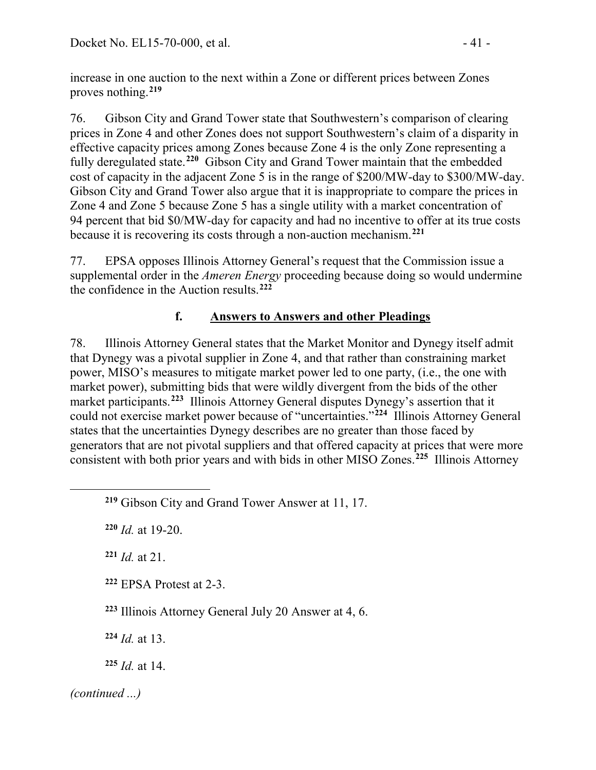increase in one auction to the next within a Zone or different prices between Zones proves nothing.**[219](#page-40-0)**

76. Gibson City and Grand Tower state that Southwestern's comparison of clearing prices in Zone 4 and other Zones does not support Southwestern's claim of a disparity in effective capacity prices among Zones because Zone 4 is the only Zone representing a fully deregulated state.**[220](#page-40-1)** Gibson City and Grand Tower maintain that the embedded cost of capacity in the adjacent Zone 5 is in the range of \$200/MW-day to \$300/MW-day. Gibson City and Grand Tower also argue that it is inappropriate to compare the prices in Zone 4 and Zone 5 because Zone 5 has a single utility with a market concentration of 94 percent that bid \$0/MW-day for capacity and had no incentive to offer at its true costs because it is recovering its costs through a non-auction mechanism.**[221](#page-40-2)**

77. EPSA opposes Illinois Attorney General's request that the Commission issue a supplemental order in the *Ameren Energy* proceeding because doing so would undermine the confidence in the Auction results.**[222](#page-40-3)**

# **f. Answers to Answers and other Pleadings**

78. Illinois Attorney General states that the Market Monitor and Dynegy itself admit that Dynegy was a pivotal supplier in Zone 4, and that rather than constraining market power, MISO's measures to mitigate market power led to one party, (i.e., the one with market power), submitting bids that were wildly divergent from the bids of the other market participants.**[223](#page-40-4)** Illinois Attorney General disputes Dynegy's assertion that it could not exercise market power because of "uncertainties."**[224](#page-40-5)** Illinois Attorney General states that the uncertainties Dynegy describes are no greater than those faced by generators that are not pivotal suppliers and that offered capacity at prices that were more consistent with both prior years and with bids in other MISO Zones.**[225](#page-40-6)** Illinois Attorney

<span id="page-40-1"></span>**<sup>220</sup>** *Id.* at 19-20.

<span id="page-40-2"></span>**<sup>221</sup>** *Id.* at 21.

<span id="page-40-3"></span>**<sup>222</sup>** EPSA Protest at 2-3.

<span id="page-40-4"></span>**<sup>223</sup>** Illinois Attorney General July 20 Answer at 4, 6.

**<sup>224</sup>** *Id.* at 13.

**<sup>225</sup>** *Id.* at 14.

<span id="page-40-6"></span><span id="page-40-5"></span>*(continued ...)*

<span id="page-40-0"></span>**<sup>219</sup>** Gibson City and Grand Tower Answer at 11, 17.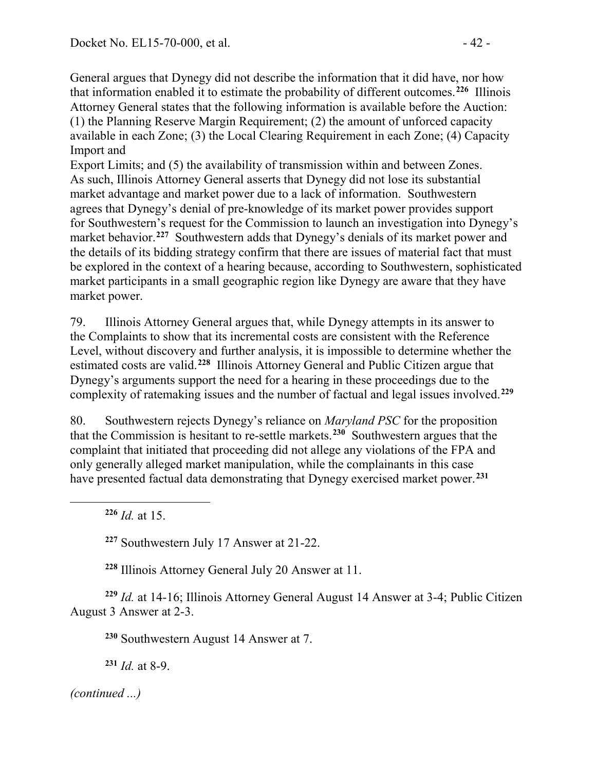General argues that Dynegy did not describe the information that it did have, nor how that information enabled it to estimate the probability of different outcomes. **[226](#page-41-0)** Illinois Attorney General states that the following information is available before the Auction: (1) the Planning Reserve Margin Requirement; (2) the amount of unforced capacity available in each Zone; (3) the Local Clearing Requirement in each Zone; (4) Capacity Import and

Export Limits; and (5) the availability of transmission within and between Zones. As such, Illinois Attorney General asserts that Dynegy did not lose its substantial market advantage and market power due to a lack of information. Southwestern agrees that Dynegy's denial of pre-knowledge of its market power provides support for Southwestern's request for the Commission to launch an investigation into Dynegy's market behavior.**[227](#page-41-1)** Southwestern adds that Dynegy's denials of its market power and the details of its bidding strategy confirm that there are issues of material fact that must be explored in the context of a hearing because, according to Southwestern, sophisticated market participants in a small geographic region like Dynegy are aware that they have market power.

79. Illinois Attorney General argues that, while Dynegy attempts in its answer to the Complaints to show that its incremental costs are consistent with the Reference Level, without discovery and further analysis, it is impossible to determine whether the estimated costs are valid.**[228](#page-41-2)** Illinois Attorney General and Public Citizen argue that Dynegy's arguments support the need for a hearing in these proceedings due to the complexity of ratemaking issues and the number of factual and legal issues involved.**[229](#page-41-3)**

80. Southwestern rejects Dynegy's reliance on *Maryland PSC* for the proposition that the Commission is hesitant to re-settle markets.**[230](#page-41-4)** Southwestern argues that the complaint that initiated that proceeding did not allege any violations of the FPA and only generally alleged market manipulation, while the complainants in this case have presented factual data demonstrating that Dynegy exercised market power.**[231](#page-41-5)**

**<sup>226</sup>** *Id.* at 15.

<span id="page-41-1"></span><span id="page-41-0"></span> $\overline{a}$ 

**<sup>227</sup>** Southwestern July 17 Answer at 21-22.

**<sup>228</sup>** Illinois Attorney General July 20 Answer at 11.

<span id="page-41-5"></span><span id="page-41-4"></span><span id="page-41-3"></span><span id="page-41-2"></span>**<sup>229</sup>** *Id.* at 14-16; Illinois Attorney General August 14 Answer at 3-4; Public Citizen August 3 Answer at 2-3.

**<sup>230</sup>** Southwestern August 14 Answer at 7.

**<sup>231</sup>** *Id.* at 8-9.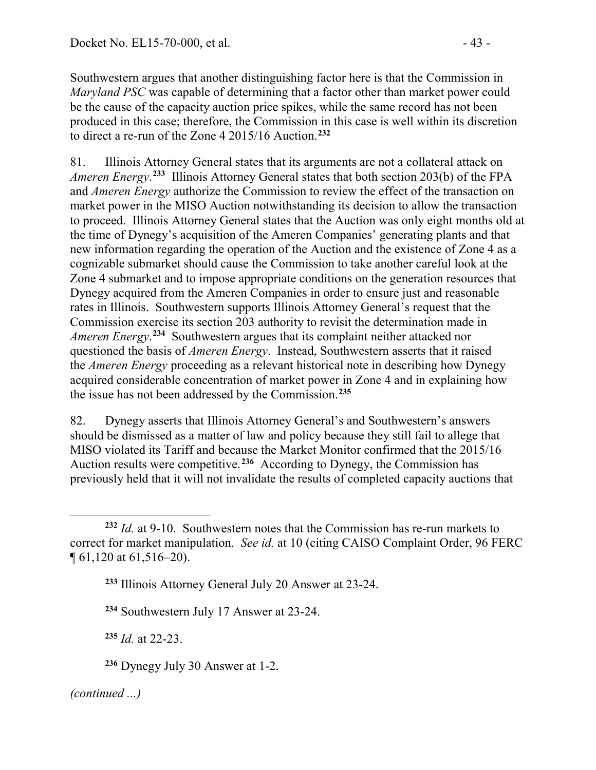Southwestern argues that another distinguishing factor here is that the Commission in *Maryland PSC* was capable of determining that a factor other than market power could be the cause of the capacity auction price spikes, while the same record has not been produced in this case; therefore, the Commission in this case is well within its discretion to direct a re-run of the Zone 4 2015/16 Auction.**[232](#page-42-0)**

81. Illinois Attorney General states that its arguments are not a collateral attack on *Ameren Energy*. **[233](#page-42-1)** Illinois Attorney General states that both section 203(b) of the FPA and *Ameren Energy* authorize the Commission to review the effect of the transaction on market power in the MISO Auction notwithstanding its decision to allow the transaction to proceed. Illinois Attorney General states that the Auction was only eight months old at the time of Dynegy's acquisition of the Ameren Companies' generating plants and that new information regarding the operation of the Auction and the existence of Zone 4 as a cognizable submarket should cause the Commission to take another careful look at the Zone 4 submarket and to impose appropriate conditions on the generation resources that Dynegy acquired from the Ameren Companies in order to ensure just and reasonable rates in Illinois. Southwestern supports Illinois Attorney General's request that the Commission exercise its section 203 authority to revisit the determination made in *Ameren Energy*. **[234](#page-42-2)** Southwestern argues that its complaint neither attacked nor questioned the basis of *Ameren Energy*. Instead, Southwestern asserts that it raised the *Ameren Energy* proceeding as a relevant historical note in describing how Dynegy acquired considerable concentration of market power in Zone 4 and in explaining how the issue has not been addressed by the Commission.**[235](#page-42-3)**

82. Dynegy asserts that Illinois Attorney General's and Southwestern's answers should be dismissed as a matter of law and policy because they still fail to allege that MISO violated its Tariff and because the Market Monitor confirmed that the 2015/16 Auction results were competitive.**[236](#page-42-4)** According to Dynegy, the Commission has previously held that it will not invalidate the results of completed capacity auctions that

<span id="page-42-2"></span>**<sup>234</sup>** Southwestern July 17 Answer at 23-24.

<span id="page-42-3"></span>**<sup>235</sup>** *Id.* at 22-23.

<span id="page-42-4"></span>**<sup>236</sup>** Dynegy July 30 Answer at 1-2.

<span id="page-42-1"></span><span id="page-42-0"></span> $\overline{a}$ **<sup>232</sup>** *Id.* at 9-10. Southwestern notes that the Commission has re-run markets to correct for market manipulation. *See id.* at 10 (citing CAISO Complaint Order, 96 FERC ¶ 61,120 at 61,516–20).

**<sup>233</sup>** Illinois Attorney General July 20 Answer at 23-24.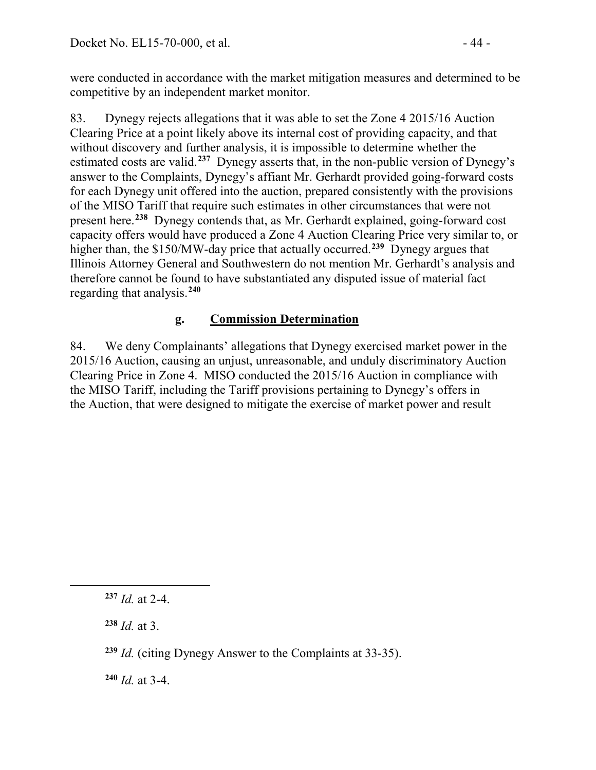were conducted in accordance with the market mitigation measures and determined to be competitive by an independent market monitor.

83. Dynegy rejects allegations that it was able to set the Zone 4 2015/16 Auction Clearing Price at a point likely above its internal cost of providing capacity, and that without discovery and further analysis, it is impossible to determine whether the estimated costs are valid.**[237](#page-43-0)** Dynegy asserts that, in the non-public version of Dynegy's answer to the Complaints, Dynegy's affiant Mr. Gerhardt provided going-forward costs for each Dynegy unit offered into the auction, prepared consistently with the provisions of the MISO Tariff that require such estimates in other circumstances that were not present here.**[238](#page-43-1)** Dynegy contends that, as Mr. Gerhardt explained, going-forward cost capacity offers would have produced a Zone 4 Auction Clearing Price very similar to, or higher than, the \$150/MW-day price that actually occurred. **[239](#page-43-2)** Dynegy argues that Illinois Attorney General and Southwestern do not mention Mr. Gerhardt's analysis and therefore cannot be found to have substantiated any disputed issue of material fact regarding that analysis.**[240](#page-43-3)**

# **g. Commission Determination**

84. We deny Complainants' allegations that Dynegy exercised market power in the 2015/16 Auction, causing an unjust, unreasonable, and unduly discriminatory Auction Clearing Price in Zone 4. MISO conducted the 2015/16 Auction in compliance with the MISO Tariff, including the Tariff provisions pertaining to Dynegy's offers in the Auction, that were designed to mitigate the exercise of market power and result

**<sup>238</sup>** *Id.* at 3.

<span id="page-43-2"></span><span id="page-43-1"></span><span id="page-43-0"></span> $\overline{a}$ 

<span id="page-43-3"></span>**<sup>240</sup>** *Id.* at 3-4.

**<sup>237</sup>** *Id.* at 2-4.

**<sup>239</sup>** *Id.* (citing Dynegy Answer to the Complaints at 33-35).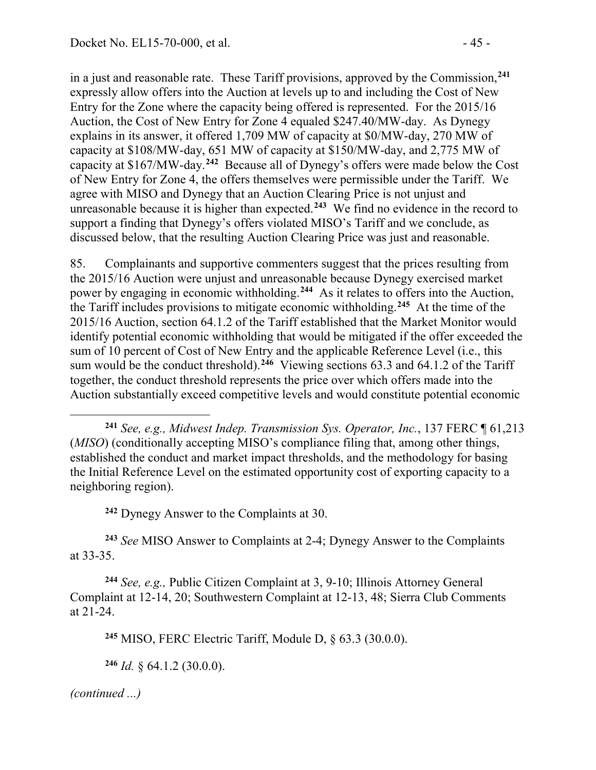in a just and reasonable rate. These Tariff provisions, approved by the Commission,**[241](#page-44-0)** expressly allow offers into the Auction at levels up to and including the Cost of New Entry for the Zone where the capacity being offered is represented. For the 2015/16 Auction, the Cost of New Entry for Zone 4 equaled \$247.40/MW-day. As Dynegy explains in its answer, it offered 1,709 MW of capacity at \$0/MW-day, 270 MW of capacity at \$108/MW-day, 651 MW of capacity at \$150/MW-day, and 2,775 MW of capacity at \$167/MW-day.**[242](#page-44-1)** Because all of Dynegy's offers were made below the Cost of New Entry for Zone 4, the offers themselves were permissible under the Tariff. We agree with MISO and Dynegy that an Auction Clearing Price is not unjust and unreasonable because it is higher than expected.**[243](#page-44-2)** We find no evidence in the record to support a finding that Dynegy's offers violated MISO's Tariff and we conclude, as discussed below, that the resulting Auction Clearing Price was just and reasonable.

85. Complainants and supportive commenters suggest that the prices resulting from the 2015/16 Auction were unjust and unreasonable because Dynegy exercised market power by engaging in economic withholding. **[244](#page-44-3)** As it relates to offers into the Auction, the Tariff includes provisions to mitigate economic withholding. **[245](#page-44-4)** At the time of the 2015/16 Auction, section 64.1.2 of the Tariff established that the Market Monitor would identify potential economic withholding that would be mitigated if the offer exceeded the sum of 10 percent of Cost of New Entry and the applicable Reference Level (i.e., this sum would be the conduct threshold).<sup>[246](#page-44-5)</sup> Viewing sections 63.3 and 64.1.2 of the Tariff together, the conduct threshold represents the price over which offers made into the Auction substantially exceed competitive levels and would constitute potential economic

**<sup>242</sup>** Dynegy Answer to the Complaints at 30.

<span id="page-44-2"></span><span id="page-44-1"></span>**<sup>243</sup>** *See* MISO Answer to Complaints at 2-4; Dynegy Answer to the Complaints at 33-35.

<span id="page-44-4"></span><span id="page-44-3"></span>**<sup>244</sup>** *See, e.g.,* Public Citizen Complaint at 3, 9-10; Illinois Attorney General Complaint at 12-14, 20; Southwestern Complaint at 12-13, 48; Sierra Club Comments at 21-24.

**<sup>245</sup>** MISO, FERC Electric Tariff, Module D, § 63.3 (30.0.0).

<span id="page-44-5"></span>**<sup>246</sup>** *Id.* § 64.1.2 (30.0.0).

<span id="page-44-0"></span> $\overline{a}$ **<sup>241</sup>** *See, e.g., Midwest Indep. Transmission Sys. Operator, Inc.*, 137 FERC ¶ 61,213 (*MISO*) (conditionally accepting MISO's compliance filing that, among other things, established the conduct and market impact thresholds, and the methodology for basing the Initial Reference Level on the estimated opportunity cost of exporting capacity to a neighboring region).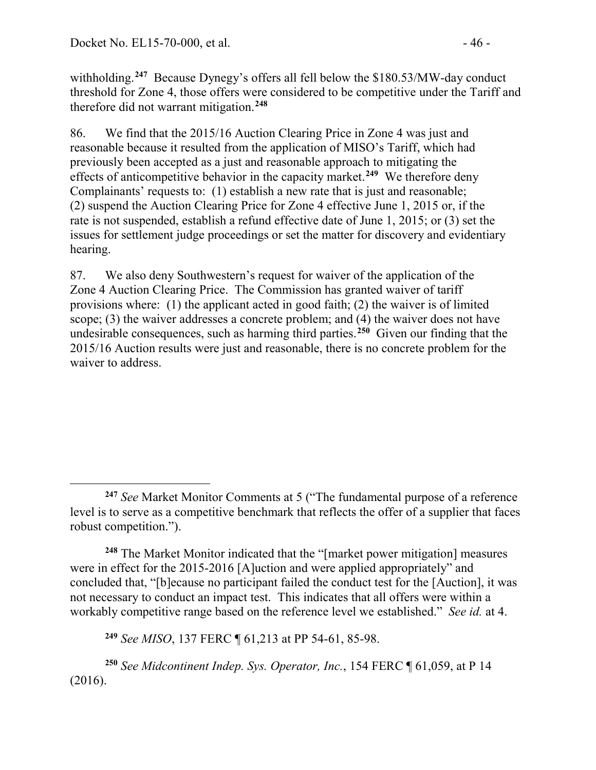withholding. **[247](#page-45-0)** Because Dynegy's offers all fell below the \$180.53/MW-day conduct threshold for Zone 4, those offers were considered to be competitive under the Tariff and therefore did not warrant mitigation. **[248](#page-45-1)**

86. We find that the 2015/16 Auction Clearing Price in Zone 4 was just and reasonable because it resulted from the application of MISO's Tariff, which had previously been accepted as a just and reasonable approach to mitigating the effects of anticompetitive behavior in the capacity market. **[249](#page-45-2)** We therefore deny Complainants' requests to: (1) establish a new rate that is just and reasonable; (2) suspend the Auction Clearing Price for Zone 4 effective June 1, 2015 or, if the rate is not suspended, establish a refund effective date of June 1, 2015; or (3) set the issues for settlement judge proceedings or set the matter for discovery and evidentiary hearing.

87. We also deny Southwestern's request for waiver of the application of the Zone 4 Auction Clearing Price. The Commission has granted waiver of tariff provisions where: (1) the applicant acted in good faith; (2) the waiver is of limited scope; (3) the waiver addresses a concrete problem; and (4) the waiver does not have undesirable consequences, such as harming third parties.**[250](#page-45-3)** Given our finding that the 2015/16 Auction results were just and reasonable, there is no concrete problem for the waiver to address.

<span id="page-45-1"></span>**<sup>248</sup>** The Market Monitor indicated that the "[market power mitigation] measures were in effect for the 2015-2016 [A]uction and were applied appropriately" and concluded that, "[b]ecause no participant failed the conduct test for the [Auction], it was not necessary to conduct an impact test. This indicates that all offers were within a workably competitive range based on the reference level we established." *See id.* at 4.

**<sup>249</sup>** *See MISO*, 137 FERC ¶ 61,213 at PP 54-61, 85-98.

<span id="page-45-3"></span><span id="page-45-2"></span>**<sup>250</sup>** *See Midcontinent Indep. Sys. Operator, Inc.*, 154 FERC ¶ 61,059, at P 14 (2016).

<span id="page-45-0"></span> $\overline{a}$ **<sup>247</sup>** *See* Market Monitor Comments at 5 ("The fundamental purpose of a reference level is to serve as a competitive benchmark that reflects the offer of a supplier that faces robust competition.").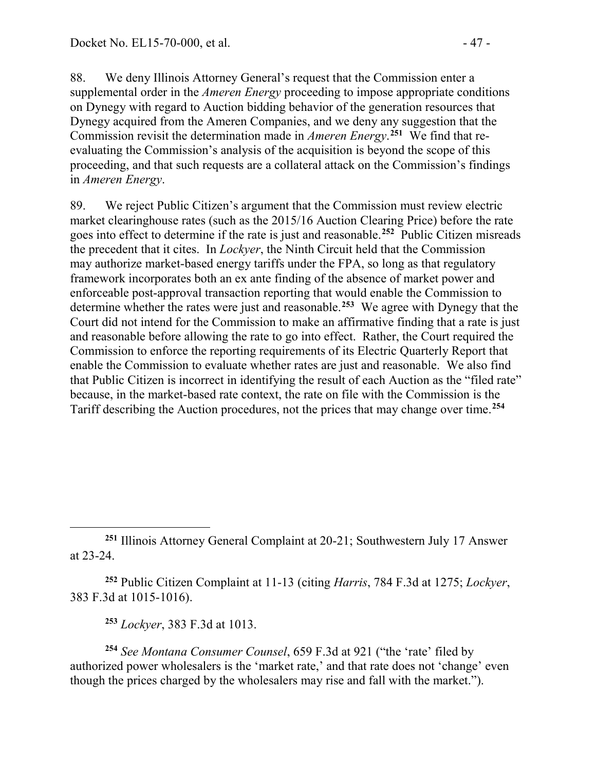88. We deny Illinois Attorney General's request that the Commission enter a supplemental order in the *Ameren Energy* proceeding to impose appropriate conditions on Dynegy with regard to Auction bidding behavior of the generation resources that Dynegy acquired from the Ameren Companies, and we deny any suggestion that the Commission revisit the determination made in *Ameren Energy*. **[251](#page-46-0)** We find that reevaluating the Commission's analysis of the acquisition is beyond the scope of this proceeding, and that such requests are a collateral attack on the Commission's findings in *Ameren Energy*.

89. We reject Public Citizen's argument that the Commission must review electric market clearinghouse rates (such as the 2015/16 Auction Clearing Price) before the rate goes into effect to determine if the rate is just and reasonable. **[252](#page-46-1)** Public Citizen misreads the precedent that it cites. In *Lockyer*, the Ninth Circuit held that the Commission may authorize market-based energy tariffs under the FPA, so long as that regulatory framework incorporates both an ex ante finding of the absence of market power and enforceable post-approval transaction reporting that would enable the Commission to determine whether the rates were just and reasonable. **[253](#page-46-2)** We agree with Dynegy that the Court did not intend for the Commission to make an affirmative finding that a rate is just and reasonable before allowing the rate to go into effect. Rather, the Court required the Commission to enforce the reporting requirements of its Electric Quarterly Report that enable the Commission to evaluate whether rates are just and reasonable. We also find that Public Citizen is incorrect in identifying the result of each Auction as the "filed rate" because, in the market-based rate context, the rate on file with the Commission is the Tariff describing the Auction procedures, not the prices that may change over time.**[254](#page-46-3)**

<span id="page-46-1"></span>**<sup>252</sup>** Public Citizen Complaint at 11-13 (citing *Harris*, 784 F.3d at 1275; *Lockyer*, 383 F.3d at 1015-1016).

**<sup>253</sup>** *Lockyer*, 383 F.3d at 1013.

 $\overline{a}$ 

<span id="page-46-3"></span><span id="page-46-2"></span>**<sup>254</sup>** *See Montana Consumer Counsel*, 659 F.3d at 921 ("the 'rate' filed by authorized power wholesalers is the 'market rate,' and that rate does not 'change' even though the prices charged by the wholesalers may rise and fall with the market.").

<span id="page-46-0"></span>**<sup>251</sup>** Illinois Attorney General Complaint at 20-21; Southwestern July 17 Answer at 23-24.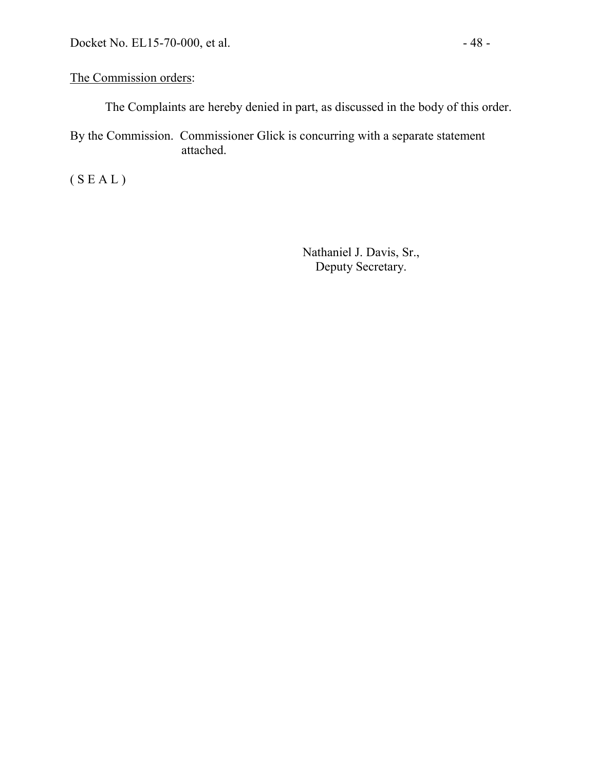#### The Commission orders:

The Complaints are hereby denied in part, as discussed in the body of this order.

By the Commission. Commissioner Glick is concurring with a separate statement attached.

( S E A L )

Nathaniel J. Davis, Sr., Deputy Secretary.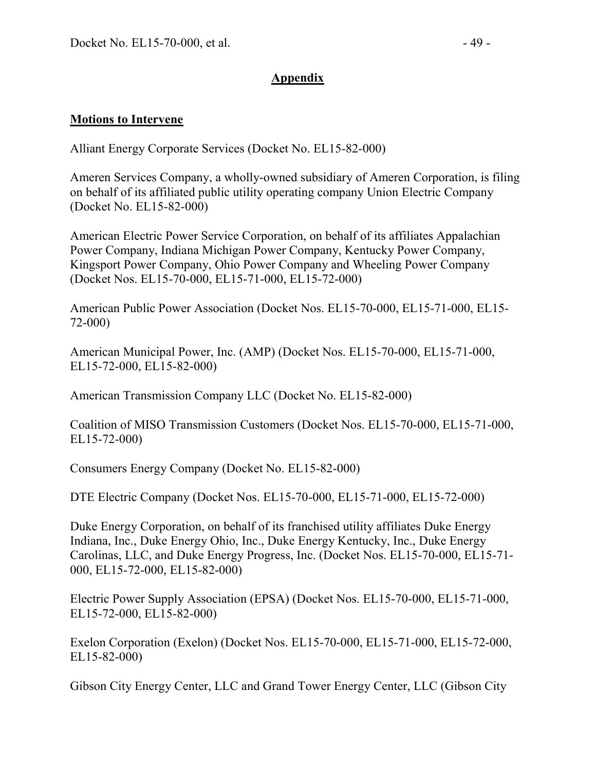#### **Appendix**

#### **Motions to Intervene**

Alliant Energy Corporate Services (Docket No. EL15-82-000)

Ameren Services Company, a wholly-owned subsidiary of Ameren Corporation, is filing on behalf of its affiliated public utility operating company Union Electric Company (Docket No. EL15-82-000)

American Electric Power Service Corporation, on behalf of its affiliates Appalachian Power Company, Indiana Michigan Power Company, Kentucky Power Company, Kingsport Power Company, Ohio Power Company and Wheeling Power Company (Docket Nos. EL15-70-000, EL15-71-000, EL15-72-000)

American Public Power Association (Docket Nos. EL15-70-000, EL15-71-000, EL15- 72-000)

American Municipal Power, Inc. (AMP) (Docket Nos. EL15-70-000, EL15-71-000, EL15-72-000, EL15-82-000)

American Transmission Company LLC (Docket No. EL15-82-000)

Coalition of MISO Transmission Customers (Docket Nos. EL15-70-000, EL15-71-000, EL15-72-000)

Consumers Energy Company (Docket No. EL15-82-000)

DTE Electric Company (Docket Nos. EL15-70-000, EL15-71-000, EL15-72-000)

Duke Energy Corporation, on behalf of its franchised utility affiliates Duke Energy Indiana, Inc., Duke Energy Ohio, Inc., Duke Energy Kentucky, Inc., Duke Energy Carolinas, LLC, and Duke Energy Progress, Inc. (Docket Nos. EL15-70-000, EL15-71- 000, EL15-72-000, EL15-82-000)

Electric Power Supply Association (EPSA) (Docket Nos. EL15-70-000, EL15-71-000, EL15-72-000, EL15-82-000)

Exelon Corporation (Exelon) (Docket Nos. EL15-70-000, EL15-71-000, EL15-72-000, EL15-82-000)

Gibson City Energy Center, LLC and Grand Tower Energy Center, LLC (Gibson City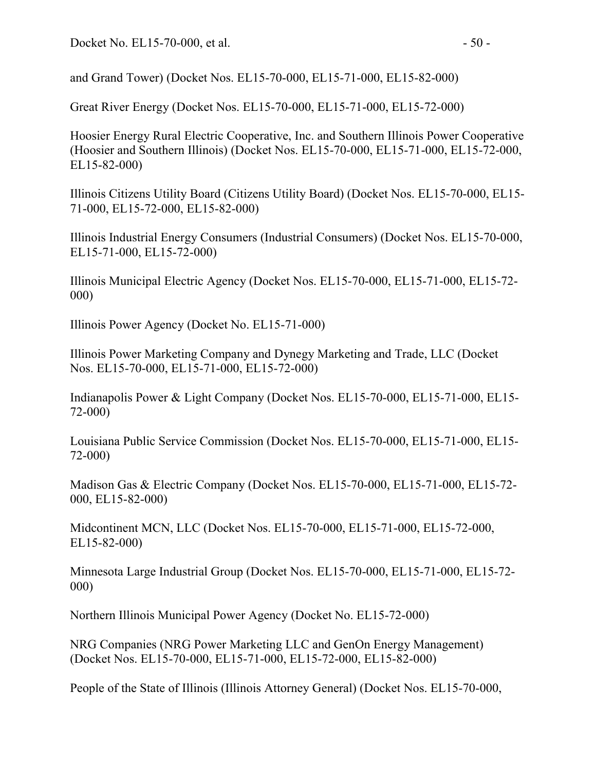and Grand Tower) (Docket Nos. EL15-70-000, EL15-71-000, EL15-82-000)

Great River Energy (Docket Nos. EL15-70-000, EL15-71-000, EL15-72-000)

Hoosier Energy Rural Electric Cooperative, Inc. and Southern Illinois Power Cooperative (Hoosier and Southern Illinois) (Docket Nos. EL15-70-000, EL15-71-000, EL15-72-000, EL15-82-000)

Illinois Citizens Utility Board (Citizens Utility Board) (Docket Nos. EL15-70-000, EL15- 71-000, EL15-72-000, EL15-82-000)

Illinois Industrial Energy Consumers (Industrial Consumers) (Docket Nos. EL15-70-000, EL15-71-000, EL15-72-000)

Illinois Municipal Electric Agency (Docket Nos. EL15-70-000, EL15-71-000, EL15-72- 000)

Illinois Power Agency (Docket No. EL15-71-000)

Illinois Power Marketing Company and Dynegy Marketing and Trade, LLC (Docket Nos. EL15-70-000, EL15-71-000, EL15-72-000)

Indianapolis Power & Light Company (Docket Nos. EL15-70-000, EL15-71-000, EL15- 72-000)

Louisiana Public Service Commission (Docket Nos. EL15-70-000, EL15-71-000, EL15- 72-000)

Madison Gas & Electric Company (Docket Nos. EL15-70-000, EL15-71-000, EL15-72- 000, EL15-82-000)

Midcontinent MCN, LLC (Docket Nos. EL15-70-000, EL15-71-000, EL15-72-000, EL15-82-000)

Minnesota Large Industrial Group (Docket Nos. EL15-70-000, EL15-71-000, EL15-72- 000)

Northern Illinois Municipal Power Agency (Docket No. EL15-72-000)

NRG Companies (NRG Power Marketing LLC and GenOn Energy Management) (Docket Nos. EL15-70-000, EL15-71-000, EL15-72-000, EL15-82-000)

People of the State of Illinois (Illinois Attorney General) (Docket Nos. EL15-70-000,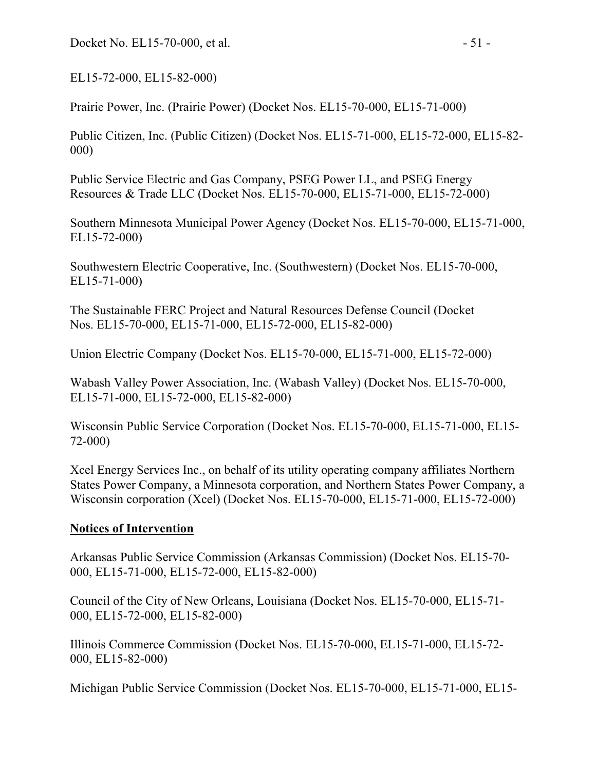Docket No. EL15-70-000, et al. - 51 -

EL15-72-000, EL15-82-000)

Prairie Power, Inc. (Prairie Power) (Docket Nos. EL15-70-000, EL15-71-000)

Public Citizen, Inc. (Public Citizen) (Docket Nos. EL15-71-000, EL15-72-000, EL15-82- 000)

Public Service Electric and Gas Company, PSEG Power LL, and PSEG Energy Resources & Trade LLC (Docket Nos. EL15-70-000, EL15-71-000, EL15-72-000)

Southern Minnesota Municipal Power Agency (Docket Nos. EL15-70-000, EL15-71-000, EL15-72-000)

Southwestern Electric Cooperative, Inc. (Southwestern) (Docket Nos. EL15-70-000, EL15-71-000)

The Sustainable FERC Project and Natural Resources Defense Council (Docket Nos. EL15-70-000, EL15-71-000, EL15-72-000, EL15-82-000)

Union Electric Company (Docket Nos. EL15-70-000, EL15-71-000, EL15-72-000)

Wabash Valley Power Association, Inc. (Wabash Valley) (Docket Nos. EL15-70-000, EL15-71-000, EL15-72-000, EL15-82-000)

Wisconsin Public Service Corporation (Docket Nos. EL15-70-000, EL15-71-000, EL15- 72-000)

Xcel Energy Services Inc., on behalf of its utility operating company affiliates Northern States Power Company, a Minnesota corporation, and Northern States Power Company, a Wisconsin corporation (Xcel) (Docket Nos. EL15-70-000, EL15-71-000, EL15-72-000)

#### **Notices of Intervention**

Arkansas Public Service Commission (Arkansas Commission) (Docket Nos. EL15-70- 000, EL15-71-000, EL15-72-000, EL15-82-000)

Council of the City of New Orleans, Louisiana (Docket Nos. EL15-70-000, EL15-71- 000, EL15-72-000, EL15-82-000)

Illinois Commerce Commission (Docket Nos. EL15-70-000, EL15-71-000, EL15-72- 000, EL15-82-000)

Michigan Public Service Commission (Docket Nos. EL15-70-000, EL15-71-000, EL15-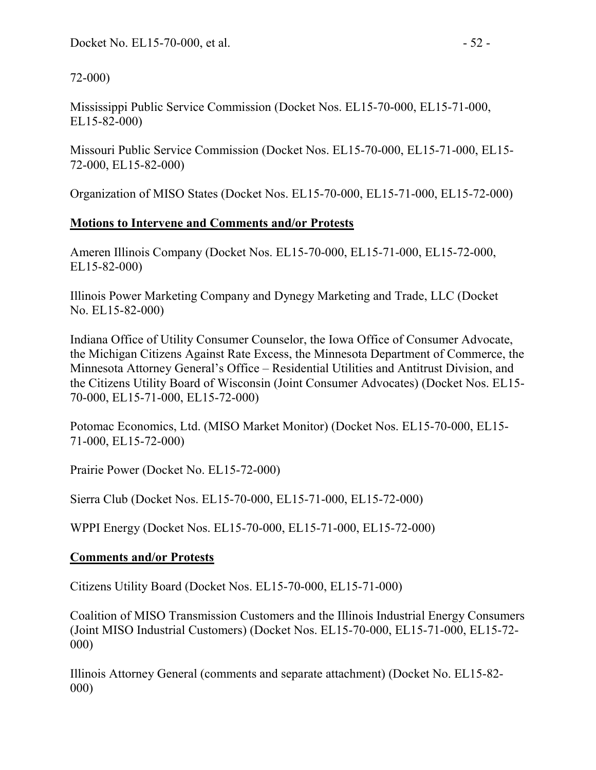72-000)

Mississippi Public Service Commission (Docket Nos. EL15-70-000, EL15-71-000, EL15-82-000)

Missouri Public Service Commission (Docket Nos. EL15-70-000, EL15-71-000, EL15- 72-000, EL15-82-000)

Organization of MISO States (Docket Nos. EL15-70-000, EL15-71-000, EL15-72-000)

### **Motions to Intervene and Comments and/or Protests**

Ameren Illinois Company (Docket Nos. EL15-70-000, EL15-71-000, EL15-72-000, EL15-82-000)

Illinois Power Marketing Company and Dynegy Marketing and Trade, LLC (Docket No. EL15-82-000)

Indiana Office of Utility Consumer Counselor, the Iowa Office of Consumer Advocate, the Michigan Citizens Against Rate Excess, the Minnesota Department of Commerce, the Minnesota Attorney General's Office – Residential Utilities and Antitrust Division, and the Citizens Utility Board of Wisconsin (Joint Consumer Advocates) (Docket Nos. EL15- 70-000, EL15-71-000, EL15-72-000)

Potomac Economics, Ltd. (MISO Market Monitor) (Docket Nos. EL15-70-000, EL15- 71-000, EL15-72-000)

Prairie Power (Docket No. EL15-72-000)

Sierra Club (Docket Nos. EL15-70-000, EL15-71-000, EL15-72-000)

WPPI Energy (Docket Nos. EL15-70-000, EL15-71-000, EL15-72-000)

## **Comments and/or Protests**

Citizens Utility Board (Docket Nos. EL15-70-000, EL15-71-000)

Coalition of MISO Transmission Customers and the Illinois Industrial Energy Consumers (Joint MISO Industrial Customers) (Docket Nos. EL15-70-000, EL15-71-000, EL15-72- 000)

Illinois Attorney General (comments and separate attachment) (Docket No. EL15-82- 000)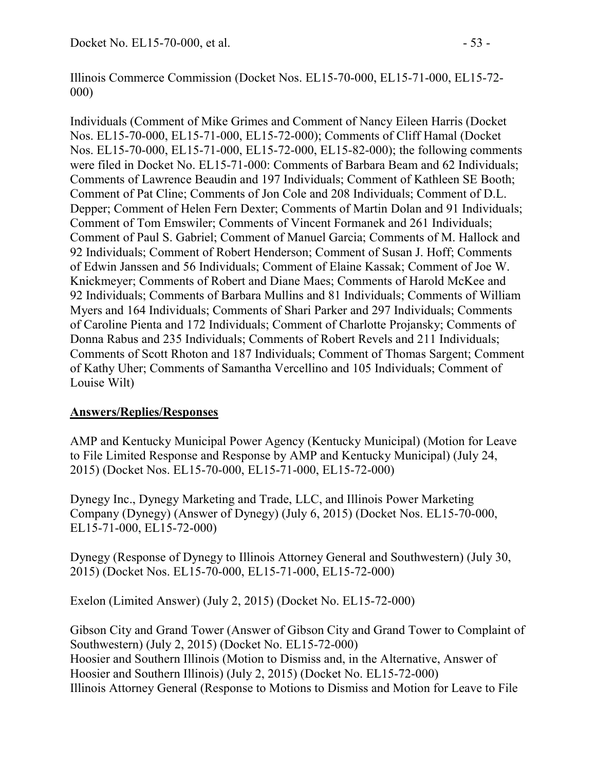Illinois Commerce Commission (Docket Nos. EL15-70-000, EL15-71-000, EL15-72- 000)

Individuals (Comment of Mike Grimes and Comment of Nancy Eileen Harris (Docket Nos. EL15-70-000, EL15-71-000, EL15-72-000); Comments of Cliff Hamal (Docket Nos. EL15-70-000, EL15-71-000, EL15-72-000, EL15-82-000); the following comments were filed in Docket No. EL15-71-000: Comments of Barbara Beam and 62 Individuals; Comments of Lawrence Beaudin and 197 Individuals; Comment of Kathleen SE Booth; Comment of Pat Cline; Comments of Jon Cole and 208 Individuals; Comment of D.L. Depper; Comment of Helen Fern Dexter; Comments of Martin Dolan and 91 Individuals; Comment of Tom Emswiler; Comments of Vincent Formanek and 261 Individuals; Comment of Paul S. Gabriel; Comment of Manuel Garcia; Comments of M. Hallock and 92 Individuals; Comment of Robert Henderson; Comment of Susan J. Hoff; Comments of Edwin Janssen and 56 Individuals; Comment of Elaine Kassak; Comment of Joe W. Knickmeyer; Comments of Robert and Diane Maes; Comments of Harold McKee and 92 Individuals; Comments of Barbara Mullins and 81 Individuals; Comments of William Myers and 164 Individuals; Comments of Shari Parker and 297 Individuals; Comments of Caroline Pienta and 172 Individuals; Comment of Charlotte Projansky; Comments of Donna Rabus and 235 Individuals; Comments of Robert Revels and 211 Individuals; Comments of Scott Rhoton and 187 Individuals; Comment of Thomas Sargent; Comment of Kathy Uher; Comments of Samantha Vercellino and 105 Individuals; Comment of Louise Wilt)

## **Answers/Replies/Responses**

AMP and Kentucky Municipal Power Agency (Kentucky Municipal) (Motion for Leave to File Limited Response and Response by AMP and Kentucky Municipal) (July 24, 2015) (Docket Nos. EL15-70-000, EL15-71-000, EL15-72-000)

Dynegy Inc., Dynegy Marketing and Trade, LLC, and Illinois Power Marketing Company (Dynegy) (Answer of Dynegy) (July 6, 2015) (Docket Nos. EL15-70-000, EL15-71-000, EL15-72-000)

Dynegy (Response of Dynegy to Illinois Attorney General and Southwestern) (July 30, 2015) (Docket Nos. EL15-70-000, EL15-71-000, EL15-72-000)

Exelon (Limited Answer) (July 2, 2015) (Docket No. EL15-72-000)

Gibson City and Grand Tower (Answer of Gibson City and Grand Tower to Complaint of Southwestern) (July 2, 2015) (Docket No. EL15-72-000) Hoosier and Southern Illinois (Motion to Dismiss and, in the Alternative, Answer of Hoosier and Southern Illinois) (July 2, 2015) (Docket No. EL15-72-000) Illinois Attorney General (Response to Motions to Dismiss and Motion for Leave to File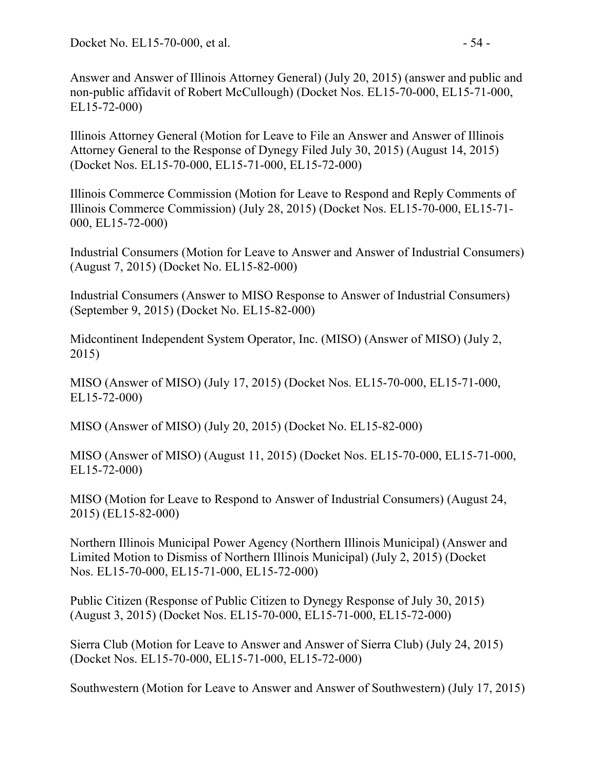Answer and Answer of Illinois Attorney General) (July 20, 2015) (answer and public and non-public affidavit of Robert McCullough) (Docket Nos. EL15-70-000, EL15-71-000, EL15-72-000)

Illinois Attorney General (Motion for Leave to File an Answer and Answer of Illinois Attorney General to the Response of Dynegy Filed July 30, 2015) (August 14, 2015) (Docket Nos. EL15-70-000, EL15-71-000, EL15-72-000)

Illinois Commerce Commission (Motion for Leave to Respond and Reply Comments of Illinois Commerce Commission) (July 28, 2015) (Docket Nos. EL15-70-000, EL15-71- 000, EL15-72-000)

Industrial Consumers (Motion for Leave to Answer and Answer of Industrial Consumers) (August 7, 2015) (Docket No. EL15-82-000)

Industrial Consumers (Answer to MISO Response to Answer of Industrial Consumers) (September 9, 2015) (Docket No. EL15-82-000)

Midcontinent Independent System Operator, Inc. (MISO) (Answer of MISO) (July 2, 2015)

MISO (Answer of MISO) (July 17, 2015) (Docket Nos. EL15-70-000, EL15-71-000, EL15-72-000)

MISO (Answer of MISO) (July 20, 2015) (Docket No. EL15-82-000)

MISO (Answer of MISO) (August 11, 2015) (Docket Nos. EL15-70-000, EL15-71-000, EL15-72-000)

MISO (Motion for Leave to Respond to Answer of Industrial Consumers) (August 24, 2015) (EL15-82-000)

Northern Illinois Municipal Power Agency (Northern Illinois Municipal) (Answer and Limited Motion to Dismiss of Northern Illinois Municipal) (July 2, 2015) (Docket Nos. EL15-70-000, EL15-71-000, EL15-72-000)

Public Citizen (Response of Public Citizen to Dynegy Response of July 30, 2015) (August 3, 2015) (Docket Nos. EL15-70-000, EL15-71-000, EL15-72-000)

Sierra Club (Motion for Leave to Answer and Answer of Sierra Club) (July 24, 2015) (Docket Nos. EL15-70-000, EL15-71-000, EL15-72-000)

Southwestern (Motion for Leave to Answer and Answer of Southwestern) (July 17, 2015)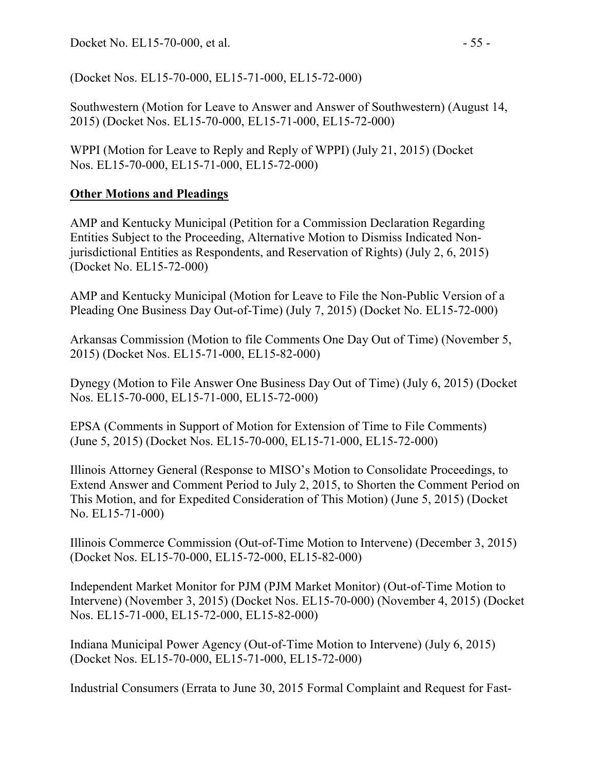(Docket Nos. EL15-70-000, EL15-71-000, EL15-72-000)

Southwestern (Motion for Leave to Answer and Answer of Southwestern) (August 14, 2015) (Docket Nos. EL15-70-000, EL15-71-000, EL15-72-000)

WPPI (Motion for Leave to Reply and Reply of WPPI) (July 21, 2015) (Docket Nos. EL15-70-000, EL15-71-000, EL15-72-000)

### **Other Motions and Pleadings**

AMP and Kentucky Municipal (Petition for a Commission Declaration Regarding Entities Subject to the Proceeding, Alternative Motion to Dismiss Indicated Nonjurisdictional Entities as Respondents, and Reservation of Rights) (July 2, 6, 2015) (Docket No. EL15-72-000)

AMP and Kentucky Municipal (Motion for Leave to File the Non-Public Version of a Pleading One Business Day Out-of-Time) (July 7, 2015) (Docket No. EL15-72-000)

Arkansas Commission (Motion to file Comments One Day Out of Time) (November 5, 2015) (Docket Nos. EL15-71-000, EL15-82-000)

Dynegy (Motion to File Answer One Business Day Out of Time) (July 6, 2015) (Docket Nos. EL15-70-000, EL15-71-000, EL15-72-000)

EPSA (Comments in Support of Motion for Extension of Time to File Comments) (June 5, 2015) (Docket Nos. EL15-70-000, EL15-71-000, EL15-72-000)

Illinois Attorney General (Response to MISO's Motion to Consolidate Proceedings, to Extend Answer and Comment Period to July 2, 2015, to Shorten the Comment Period on This Motion, and for Expedited Consideration of This Motion) (June 5, 2015) (Docket No. EL15-71-000)

Illinois Commerce Commission (Out-of-Time Motion to Intervene) (December 3, 2015) (Docket Nos. EL15-70-000, EL15-72-000, EL15-82-000)

Independent Market Monitor for PJM (PJM Market Monitor) (Out-of-Time Motion to Intervene) (November 3, 2015) (Docket Nos. EL15-70-000) (November 4, 2015) (Docket Nos. EL15-71-000, EL15-72-000, EL15-82-000)

Indiana Municipal Power Agency (Out-of-Time Motion to Intervene) (July 6, 2015) (Docket Nos. EL15-70-000, EL15-71-000, EL15-72-000)

Industrial Consumers (Errata to June 30, 2015 Formal Complaint and Request for Fast-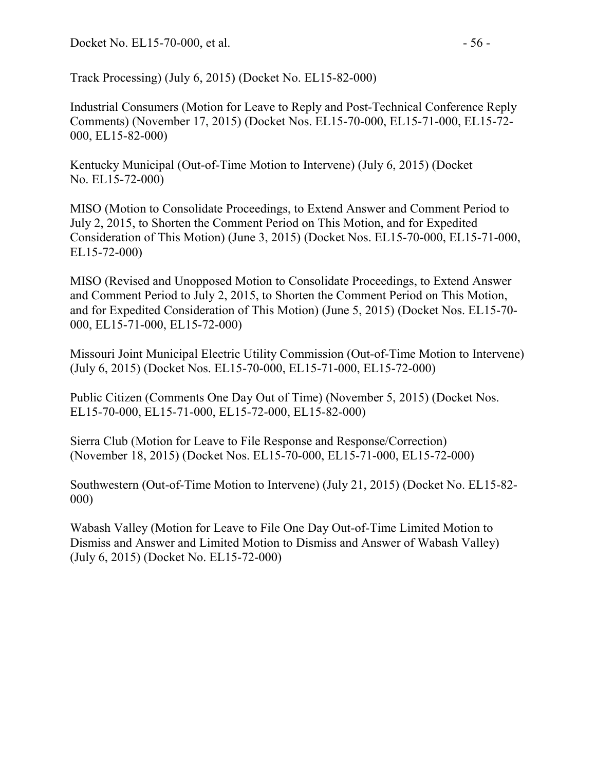Track Processing) (July 6, 2015) (Docket No. EL15-82-000)

Industrial Consumers (Motion for Leave to Reply and Post-Technical Conference Reply Comments) (November 17, 2015) (Docket Nos. EL15-70-000, EL15-71-000, EL15-72- 000, EL15-82-000)

Kentucky Municipal (Out-of-Time Motion to Intervene) (July 6, 2015) (Docket No. EL15-72-000)

MISO (Motion to Consolidate Proceedings, to Extend Answer and Comment Period to July 2, 2015, to Shorten the Comment Period on This Motion, and for Expedited Consideration of This Motion) (June 3, 2015) (Docket Nos. EL15-70-000, EL15-71-000, EL15-72-000)

MISO (Revised and Unopposed Motion to Consolidate Proceedings, to Extend Answer and Comment Period to July 2, 2015, to Shorten the Comment Period on This Motion, and for Expedited Consideration of This Motion) (June 5, 2015) (Docket Nos. EL15-70- 000, EL15-71-000, EL15-72-000)

Missouri Joint Municipal Electric Utility Commission (Out-of-Time Motion to Intervene) (July 6, 2015) (Docket Nos. EL15-70-000, EL15-71-000, EL15-72-000)

Public Citizen (Comments One Day Out of Time) (November 5, 2015) (Docket Nos. EL15-70-000, EL15-71-000, EL15-72-000, EL15-82-000)

Sierra Club (Motion for Leave to File Response and Response/Correction) (November 18, 2015) (Docket Nos. EL15-70-000, EL15-71-000, EL15-72-000)

Southwestern (Out-of-Time Motion to Intervene) (July 21, 2015) (Docket No. EL15-82- 000)

Wabash Valley (Motion for Leave to File One Day Out-of-Time Limited Motion to Dismiss and Answer and Limited Motion to Dismiss and Answer of Wabash Valley) (July 6, 2015) (Docket No. EL15-72-000)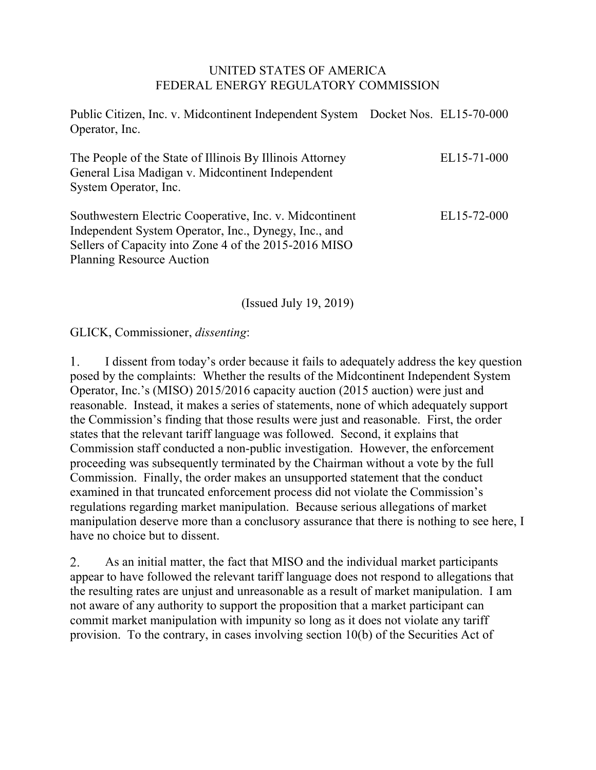#### UNITED STATES OF AMERICA FEDERAL ENERGY REGULATORY COMMISSION

Public Citizen, Inc. v. Midcontinent Independent System Docket Nos. EL15-70-000 Operator, Inc. The People of the State of Illinois By Illinois Attorney General Lisa Madigan v. Midcontinent Independent System Operator, Inc. Southwestern Electric Cooperative, Inc. v. Midcontinent Independent System Operator, Inc., Dynegy, Inc., and Sellers of Capacity into Zone 4 of the 2015-2016 MISO Planning Resource Auction EL15-71-000 EL15-72-000

(Issued July 19, 2019)

GLICK, Commissioner, *dissenting*:

I dissent from today's order because it fails to adequately address the key question 1. posed by the complaints: Whether the results of the Midcontinent Independent System Operator, Inc.'s (MISO) 2015/2016 capacity auction (2015 auction) were just and reasonable. Instead, it makes a series of statements, none of which adequately support the Commission's finding that those results were just and reasonable. First, the order states that the relevant tariff language was followed. Second, it explains that Commission staff conducted a non-public investigation. However, the enforcement proceeding was subsequently terminated by the Chairman without a vote by the full Commission. Finally, the order makes an unsupported statement that the conduct examined in that truncated enforcement process did not violate the Commission's regulations regarding market manipulation. Because serious allegations of market manipulation deserve more than a conclusory assurance that there is nothing to see here, I have no choice but to dissent.

2. As an initial matter, the fact that MISO and the individual market participants appear to have followed the relevant tariff language does not respond to allegations that the resulting rates are unjust and unreasonable as a result of market manipulation. I am not aware of any authority to support the proposition that a market participant can commit market manipulation with impunity so long as it does not violate any tariff provision. To the contrary, in cases involving section 10(b) of the Securities Act of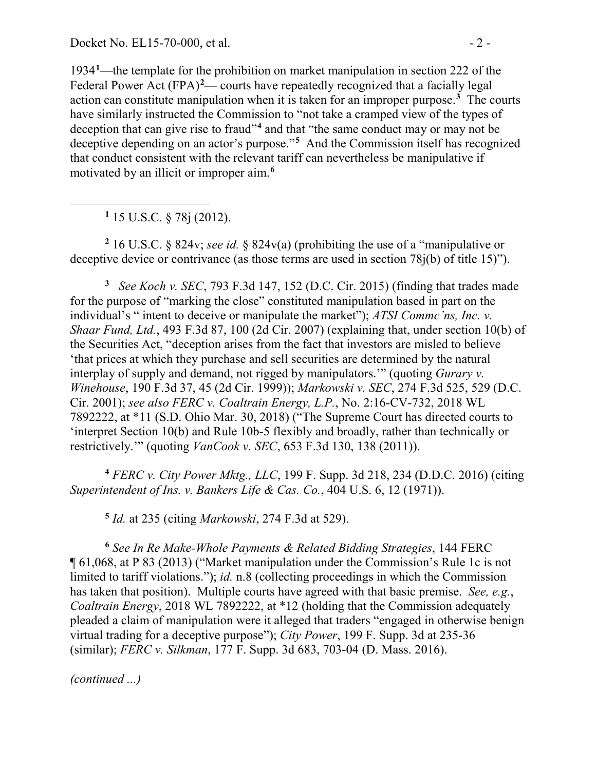1934**[1](#page-57-0)** —the template for the prohibition on market manipulation in section 222 of the Federal Power Act (FPA)<sup>[2](#page-57-1)</sup>— courts have repeatedly recognized that a facially legal action can constitute manipulation when it is taken for an improper purpose.**[3](#page-57-2)** The courts have similarly instructed the Commission to "not take a cramped view of the types of deception that can give rise to fraud"**[4](#page-57-3)** and that "the same conduct may or may not be deceptive depending on an actor's purpose."**[5](#page-57-4)** And the Commission itself has recognized that conduct consistent with the relevant tariff can nevertheless be manipulative if motivated by an illicit or improper aim.**[6](#page-57-5)**

**<sup>1</sup>** 15 U.S.C. § 78j (2012).

<span id="page-57-0"></span>

<span id="page-57-1"></span>**<sup>2</sup>** 16 U.S.C. § 824v; *see id.* § 824v(a) (prohibiting the use of a "manipulative or deceptive device or contrivance (as those terms are used in section 78j(b) of title 15)").

<span id="page-57-2"></span>**3** *See Koch v. SEC*, 793 F.3d 147, 152 (D.C. Cir. 2015) (finding that trades made for the purpose of "marking the close" constituted manipulation based in part on the individual's " intent to deceive or manipulate the market"); *ATSI Commc'ns, Inc. v. Shaar Fund, Ltd.*, 493 F.3d 87, 100 (2d Cir. 2007) (explaining that, under section 10(b) of the Securities Act, "deception arises from the fact that investors are misled to believe 'that prices at which they purchase and sell securities are determined by the natural interplay of supply and demand, not rigged by manipulators.'" (quoting *Gurary v. Winehouse*, 190 F.3d 37, 45 (2d Cir. 1999)); *Markowski v. SEC*, 274 F.3d 525, 529 (D.C. Cir. 2001); *see also FERC v. Coaltrain Energy, L.P.*, No. 2:16-CV-732, 2018 WL 7892222, at \*11 (S.D. Ohio Mar. 30, 2018) ("The Supreme Court has directed courts to 'interpret Section 10(b) and Rule 10b-5 flexibly and broadly, rather than technically or restrictively.'" (quoting *VanCook v. SEC*, 653 F.3d 130, 138 (2011)).

<span id="page-57-3"></span>**<sup>4</sup>** *FERC v. City Power Mktg., LLC*, 199 F. Supp. 3d 218, 234 (D.D.C. 2016) (citing *Superintendent of Ins. v. Bankers Life & Cas. Co.*, 404 U.S. 6, 12 (1971)).

**<sup>5</sup>** *Id.* at 235 (citing *Markowski*, 274 F.3d at 529).

<span id="page-57-5"></span><span id="page-57-4"></span>**<sup>6</sup>** *See In Re Make-Whole Payments & Related Bidding Strategies*, 144 FERC ¶ 61,068, at P 83 (2013) ("Market manipulation under the Commission's Rule 1c is not limited to tariff violations."); *id.* n.8 (collecting proceedings in which the Commission has taken that position). Multiple courts have agreed with that basic premise. *See, e.g.*, *Coaltrain Energy*, 2018 WL 7892222, at \*12 (holding that the Commission adequately pleaded a claim of manipulation were it alleged that traders "engaged in otherwise benign virtual trading for a deceptive purpose"); *City Power*, 199 F. Supp. 3d at 235-36 (similar); *FERC v. Silkman*, 177 F. Supp. 3d 683, 703-04 (D. Mass. 2016).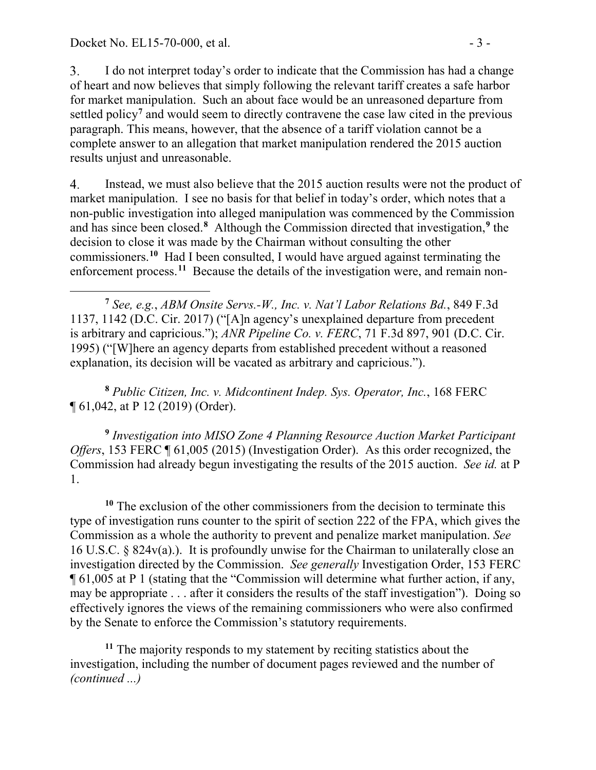$3<sub>1</sub>$ I do not interpret today's order to indicate that the Commission has had a change of heart and now believes that simply following the relevant tariff creates a safe harbor for market manipulation. Such an about face would be an unreasoned departure from settled policy**[7](#page-58-0)** and would seem to directly contravene the case law cited in the previous paragraph. This means, however, that the absence of a tariff violation cannot be a complete answer to an allegation that market manipulation rendered the 2015 auction results unjust and unreasonable.

4. Instead, we must also believe that the 2015 auction results were not the product of market manipulation. I see no basis for that belief in today's order, which notes that a non-public investigation into alleged manipulation was commenced by the Commission and has since been closed.**[8](#page-58-1)** Although the Commission directed that investigation,**[9](#page-58-2)** the decision to close it was made by the Chairman without consulting the other commissioners.**[10](#page-58-3)** Had I been consulted, I would have argued against terminating the enforcement process.<sup>[11](#page-58-4)</sup> Because the details of the investigation were, and remain non-

<span id="page-58-0"></span> $\overline{a}$ **<sup>7</sup>** *See, e.g.*, *ABM Onsite Servs.-W., Inc. v. Nat'l Labor Relations Bd.*, 849 F.3d 1137, 1142 (D.C. Cir. 2017) ("[A]n agency's unexplained departure from precedent is arbitrary and capricious."); *ANR Pipeline Co. v. FERC*, 71 F.3d 897, 901 (D.C. Cir. 1995) ("[W]here an agency departs from established precedent without a reasoned explanation, its decision will be vacated as arbitrary and capricious.").

<span id="page-58-1"></span>**<sup>8</sup>** *Public Citizen, Inc. v. Midcontinent Indep. Sys. Operator, Inc.*, 168 FERC ¶ 61,042, at P 12 (2019) (Order).

<span id="page-58-2"></span>**<sup>9</sup>** *Investigation into MISO Zone 4 Planning Resource Auction Market Participant Offers*, 153 FERC ¶ 61,005 (2015) (Investigation Order). As this order recognized, the Commission had already begun investigating the results of the 2015 auction. *See id.* at P 1.

<span id="page-58-3"></span>**<sup>10</sup>** The exclusion of the other commissioners from the decision to terminate this type of investigation runs counter to the spirit of section 222 of the FPA, which gives the Commission as a whole the authority to prevent and penalize market manipulation. *See*  16 U.S.C. § 824v(a).). It is profoundly unwise for the Chairman to unilaterally close an investigation directed by the Commission. *See generally* Investigation Order, 153 FERC ¶ 61,005 at P 1 (stating that the "Commission will determine what further action, if any, may be appropriate . . . after it considers the results of the staff investigation"). Doing so effectively ignores the views of the remaining commissioners who were also confirmed by the Senate to enforce the Commission's statutory requirements.

<span id="page-58-4"></span>**<sup>11</sup>** The majority responds to my statement by reciting statistics about the investigation, including the number of document pages reviewed and the number of *(continued ...)*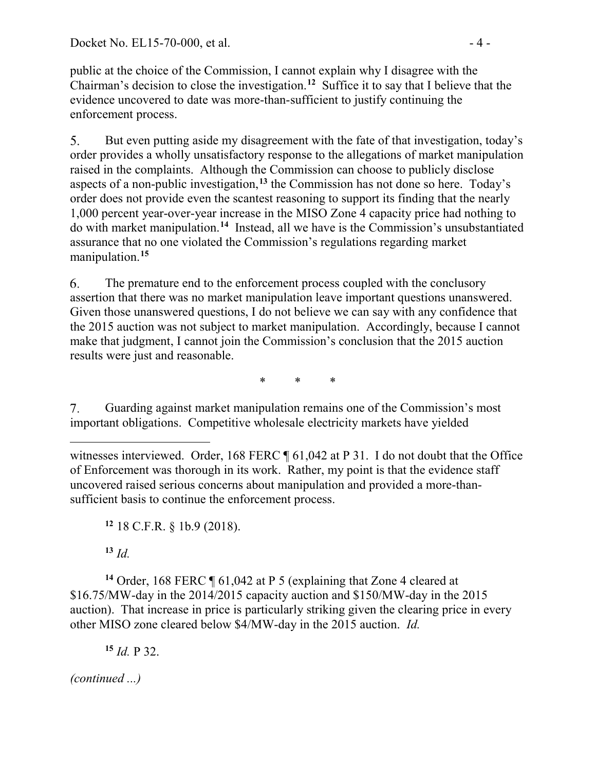public at the choice of the Commission, I cannot explain why I disagree with the Chairman's decision to close the investigation.**[12](#page-59-0)** Suffice it to say that I believe that the evidence uncovered to date was more-than-sufficient to justify continuing the enforcement process.

But even putting aside my disagreement with the fate of that investigation, today's 5. order provides a wholly unsatisfactory response to the allegations of market manipulation raised in the complaints. Although the Commission can choose to publicly disclose aspects of a non-public investigation,**[13](#page-59-1)** the Commission has not done so here. Today's order does not provide even the scantest reasoning to support its finding that the nearly 1,000 percent year-over-year increase in the MISO Zone 4 capacity price had nothing to do with market manipulation.**[14](#page-59-2)** Instead, all we have is the Commission's unsubstantiated assurance that no one violated the Commission's regulations regarding market manipulation.**[15](#page-59-3)**

6. The premature end to the enforcement process coupled with the conclusory assertion that there was no market manipulation leave important questions unanswered. Given those unanswered questions, I do not believe we can say with any confidence that the 2015 auction was not subject to market manipulation. Accordingly, because I cannot make that judgment, I cannot join the Commission's conclusion that the 2015 auction results were just and reasonable.

\* \* \*

Guarding against market manipulation remains one of the Commission's most 7. important obligations. Competitive wholesale electricity markets have yielded

 $\overline{a}$ witnesses interviewed. Order, 168 FERC ¶ 61,042 at P 31. I do not doubt that the Office of Enforcement was thorough in its work. Rather, my point is that the evidence staff uncovered raised serious concerns about manipulation and provided a more-thansufficient basis to continue the enforcement process.

**<sup>12</sup>** 18 C.F.R. § 1b.9 (2018).

 $13 \, Id.$ 

<span id="page-59-3"></span><span id="page-59-2"></span><span id="page-59-1"></span><span id="page-59-0"></span>**<sup>14</sup>** Order, 168 FERC ¶ 61,042 at P 5 (explaining that Zone 4 cleared at \$16.75/MW-day in the 2014/2015 capacity auction and \$150/MW-day in the 2015 auction). That increase in price is particularly striking given the clearing price in every other MISO zone cleared below \$4/MW-day in the 2015 auction. *Id.* 

**<sup>15</sup>** *Id.* P 32.